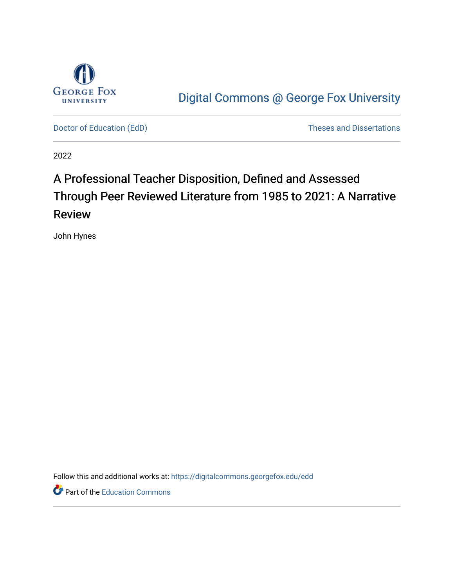

[Digital Commons @ George Fox University](https://digitalcommons.georgefox.edu/) 

[Doctor of Education \(EdD\)](https://digitalcommons.georgefox.edu/edd) and Dissertations of Education (EdD) and Dissertations of Educations of Educations of Educations of Educations of Educations of Educations of Educations of Educations of Educations of Educations o

2022

# A Professional Teacher Disposition, Defined and Assessed Through Peer Reviewed Literature from 1985 to 2021: A Narrative Review

John Hynes

Follow this and additional works at: [https://digitalcommons.georgefox.edu/edd](https://digitalcommons.georgefox.edu/edd?utm_source=digitalcommons.georgefox.edu%2Fedd%2F176&utm_medium=PDF&utm_campaign=PDFCoverPages) 

Part of the [Education Commons](http://network.bepress.com/hgg/discipline/784?utm_source=digitalcommons.georgefox.edu%2Fedd%2F176&utm_medium=PDF&utm_campaign=PDFCoverPages)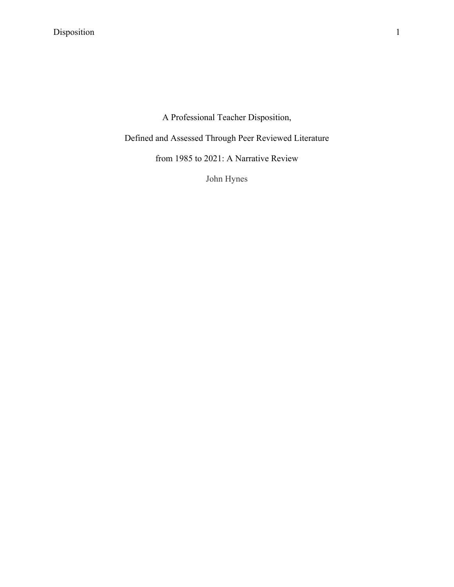A Professional Teacher Disposition,

Defined and Assessed Through Peer Reviewed Literature

from 1985 to 2021: A Narrative Review

John Hynes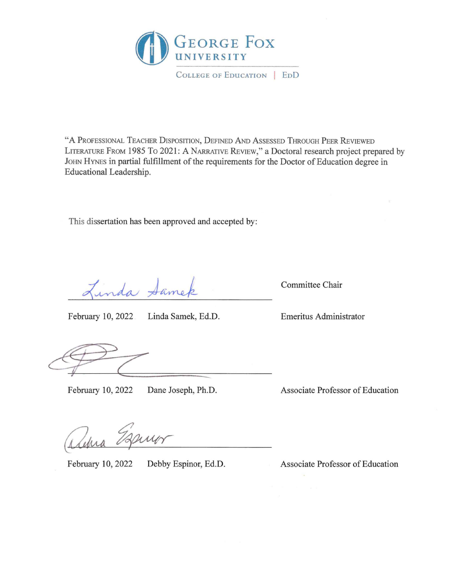

COLLEGE OF EDUCATION | EDD

"A PROFESSIONAL TEACHER DISPOSITION, DEFINED AND ASSESSED THROUGH PEER REVIEWED LITERATURE FROM 1985 To 2021: A NARRATIVE REvIEw," a Doctoral research project prepared by JOHN HYNES in partial fulfillment of the requirements for the Doctor of Education degree in Educational Leadership.

This dissertation has been approved and accepted by:

Linda Same

February 10, 2022 Linda Samek, Ed.D. Emeritus Administrator

Committee Chair

February 10, 2022 Dane Joseph, Ph.D. Associate Professor of Education

Mehra

February 10, 2022 Debby Espinor, Ed.D. Associate Professor of Education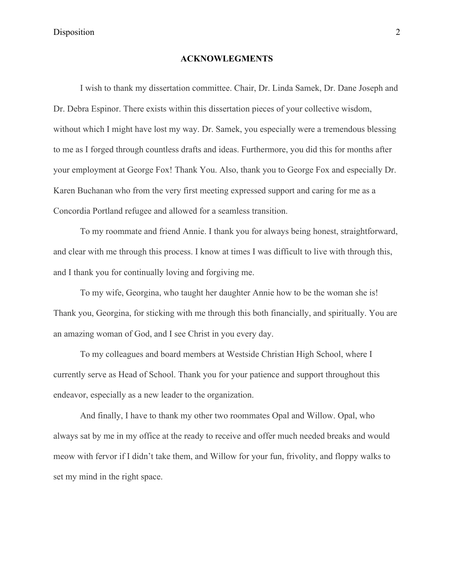# **ACKNOWLEGMENTS**

I wish to thank my dissertation committee. Chair, Dr. Linda Samek, Dr. Dane Joseph and Dr. Debra Espinor. There exists within this dissertation pieces of your collective wisdom, without which I might have lost my way. Dr. Samek, you especially were a tremendous blessing to me as I forged through countless drafts and ideas. Furthermore, you did this for months after your employment at George Fox! Thank You. Also, thank you to George Fox and especially Dr. Karen Buchanan who from the very first meeting expressed support and caring for me as a Concordia Portland refugee and allowed for a seamless transition.

To my roommate and friend Annie. I thank you for always being honest, straightforward, and clear with me through this process. I know at times I was difficult to live with through this, and I thank you for continually loving and forgiving me.

To my wife, Georgina, who taught her daughter Annie how to be the woman she is! Thank you, Georgina, for sticking with me through this both financially, and spiritually. You are an amazing woman of God, and I see Christ in you every day.

To my colleagues and board members at Westside Christian High School, where I currently serve as Head of School. Thank you for your patience and support throughout this endeavor, especially as a new leader to the organization.

And finally, I have to thank my other two roommates Opal and Willow. Opal, who always sat by me in my office at the ready to receive and offer much needed breaks and would meow with fervor if I didn't take them, and Willow for your fun, frivolity, and floppy walks to set my mind in the right space.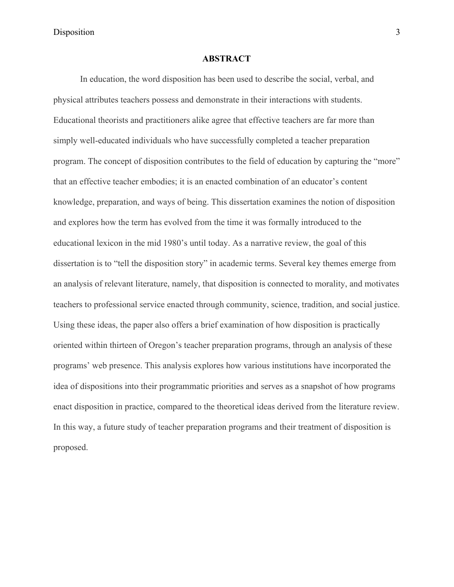# **ABSTRACT**

In education, the word disposition has been used to describe the social, verbal, and physical attributes teachers possess and demonstrate in their interactions with students. Educational theorists and practitioners alike agree that effective teachers are far more than simply well-educated individuals who have successfully completed a teacher preparation program. The concept of disposition contributes to the field of education by capturing the "more" that an effective teacher embodies; it is an enacted combination of an educator's content knowledge, preparation, and ways of being. This dissertation examines the notion of disposition and explores how the term has evolved from the time it was formally introduced to the educational lexicon in the mid 1980's until today. As a narrative review, the goal of this dissertation is to "tell the disposition story" in academic terms. Several key themes emerge from an analysis of relevant literature, namely, that disposition is connected to morality, and motivates teachers to professional service enacted through community, science, tradition, and social justice. Using these ideas, the paper also offers a brief examination of how disposition is practically oriented within thirteen of Oregon's teacher preparation programs, through an analysis of these programs' web presence. This analysis explores how various institutions have incorporated the idea of dispositions into their programmatic priorities and serves as a snapshot of how programs enact disposition in practice, compared to the theoretical ideas derived from the literature review. In this way, a future study of teacher preparation programs and their treatment of disposition is proposed.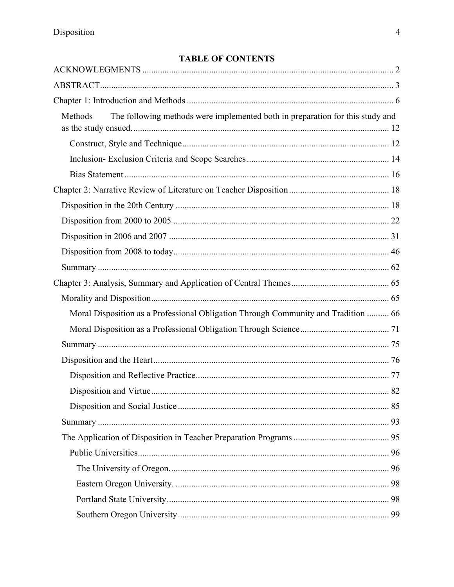# **TABLE OF CONTENTS**

| The following methods were implemented both in preparation for this study and<br>Methods |    |
|------------------------------------------------------------------------------------------|----|
|                                                                                          |    |
|                                                                                          |    |
|                                                                                          |    |
|                                                                                          |    |
|                                                                                          |    |
|                                                                                          |    |
|                                                                                          |    |
|                                                                                          |    |
|                                                                                          |    |
|                                                                                          |    |
|                                                                                          |    |
| Moral Disposition as a Professional Obligation Through Community and Tradition  66       |    |
|                                                                                          |    |
|                                                                                          |    |
|                                                                                          |    |
|                                                                                          |    |
|                                                                                          |    |
|                                                                                          |    |
|                                                                                          |    |
|                                                                                          |    |
|                                                                                          |    |
|                                                                                          |    |
|                                                                                          |    |
|                                                                                          |    |
|                                                                                          | 99 |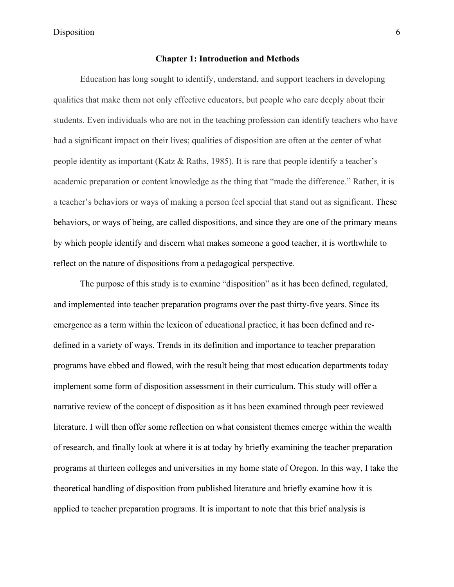# **Chapter 1: Introduction and Methods**

Education has long sought to identify, understand, and support teachers in developing qualities that make them not only effective educators, but people who care deeply about their students. Even individuals who are not in the teaching profession can identify teachers who have had a significant impact on their lives; qualities of disposition are often at the center of what people identity as important (Katz & Raths, 1985). It is rare that people identify a teacher's academic preparation or content knowledge as the thing that "made the difference." Rather, it is a teacher's behaviors or ways of making a person feel special that stand out as significant. These behaviors, or ways of being, are called dispositions, and since they are one of the primary means by which people identify and discern what makes someone a good teacher, it is worthwhile to reflect on the nature of dispositions from a pedagogical perspective.

The purpose of this study is to examine "disposition" as it has been defined, regulated, and implemented into teacher preparation programs over the past thirty-five years. Since its emergence as a term within the lexicon of educational practice, it has been defined and redefined in a variety of ways. Trends in its definition and importance to teacher preparation programs have ebbed and flowed, with the result being that most education departments today implement some form of disposition assessment in their curriculum. This study will offer a narrative review of the concept of disposition as it has been examined through peer reviewed literature. I will then offer some reflection on what consistent themes emerge within the wealth of research, and finally look at where it is at today by briefly examining the teacher preparation programs at thirteen colleges and universities in my home state of Oregon. In this way, I take the theoretical handling of disposition from published literature and briefly examine how it is applied to teacher preparation programs. It is important to note that this brief analysis is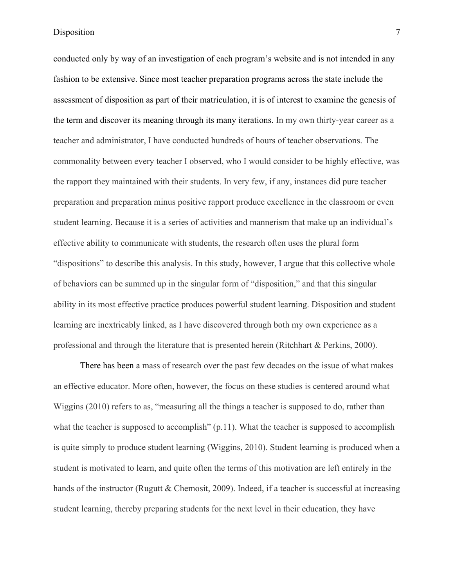conducted only by way of an investigation of each program's website and is not intended in any fashion to be extensive. Since most teacher preparation programs across the state include the assessment of disposition as part of their matriculation, it is of interest to examine the genesis of the term and discover its meaning through its many iterations. In my own thirty-year career as a teacher and administrator, I have conducted hundreds of hours of teacher observations. The commonality between every teacher I observed, who I would consider to be highly effective, was the rapport they maintained with their students. In very few, if any, instances did pure teacher preparation and preparation minus positive rapport produce excellence in the classroom or even student learning. Because it is a series of activities and mannerism that make up an individual's effective ability to communicate with students, the research often uses the plural form "dispositions" to describe this analysis. In this study, however, I argue that this collective whole of behaviors can be summed up in the singular form of "disposition," and that this singular ability in its most effective practice produces powerful student learning. Disposition and student learning are inextricably linked, as I have discovered through both my own experience as a professional and through the literature that is presented herein (Ritchhart & Perkins, 2000).

There has been a mass of research over the past few decades on the issue of what makes an effective educator. More often, however, the focus on these studies is centered around what Wiggins (2010) refers to as, "measuring all the things a teacher is supposed to do, rather than what the teacher is supposed to accomplish" (p.11). What the teacher is supposed to accomplish is quite simply to produce student learning (Wiggins, 2010). Student learning is produced when a student is motivated to learn, and quite often the terms of this motivation are left entirely in the hands of the instructor (Rugutt & Chemosit, 2009). Indeed, if a teacher is successful at increasing student learning, thereby preparing students for the next level in their education, they have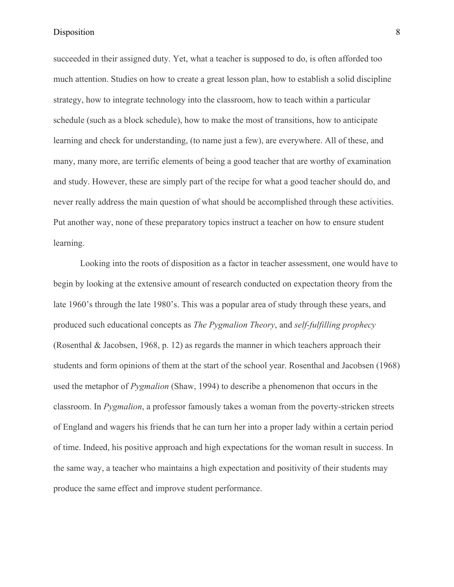succeeded in their assigned duty. Yet, what a teacher is supposed to do, is often afforded too much attention. Studies on how to create a great lesson plan, how to establish a solid discipline strategy, how to integrate technology into the classroom, how to teach within a particular schedule (such as a block schedule), how to make the most of transitions, how to anticipate learning and check for understanding, (to name just a few), are everywhere. All of these, and many, many more, are terrific elements of being a good teacher that are worthy of examination and study. However, these are simply part of the recipe for what a good teacher should do, and never really address the main question of what should be accomplished through these activities. Put another way, none of these preparatory topics instruct a teacher on how to ensure student learning.

Looking into the roots of disposition as a factor in teacher assessment, one would have to begin by looking at the extensive amount of research conducted on expectation theory from the late 1960's through the late 1980's. This was a popular area of study through these years, and produced such educational concepts as *The Pygmalion Theory*, and *self-fulfilling prophecy* (Rosenthal & Jacobsen, 1968, p. 12) as regards the manner in which teachers approach their students and form opinions of them at the start of the school year. Rosenthal and Jacobsen (1968) used the metaphor of *Pygmalion* (Shaw, 1994) to describe a phenomenon that occurs in the classroom. In *Pygmalion*, a professor famously takes a woman from the poverty-stricken streets of England and wagers his friends that he can turn her into a proper lady within a certain period of time. Indeed, his positive approach and high expectations for the woman result in success. In the same way, a teacher who maintains a high expectation and positivity of their students may produce the same effect and improve student performance.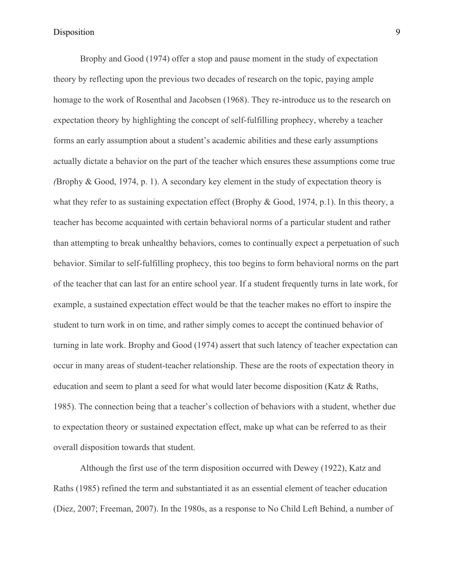Brophy and Good (1974) offer a stop and pause moment in the study of expectation theory by reflecting upon the previous two decades of research on the topic, paying ample homage to the work of Rosenthal and Jacobsen (1968). They re-introduce us to the research on expectation theory by highlighting the concept of self-fulfilling prophecy, whereby a teacher forms an early assumption about a student's academic abilities and these early assumptions actually dictate a behavior on the part of the teacher which ensures these assumptions come true *(*Brophy & Good, 1974, p. 1). A secondary key element in the study of expectation theory is what they refer to as sustaining expectation effect (Brophy & Good, 1974, p.1). In this theory, a teacher has become acquainted with certain behavioral norms of a particular student and rather than attempting to break unhealthy behaviors, comes to continually expect a perpetuation of such behavior. Similar to self-fulfilling prophecy, this too begins to form behavioral norms on the part of the teacher that can last for an entire school year. If a student frequently turns in late work, for example, a sustained expectation effect would be that the teacher makes no effort to inspire the student to turn work in on time, and rather simply comes to accept the continued behavior of turning in late work. Brophy and Good (1974) assert that such latency of teacher expectation can occur in many areas of student-teacher relationship. These are the roots of expectation theory in education and seem to plant a seed for what would later become disposition (Katz & Raths, 1985). The connection being that a teacher's collection of behaviors with a student, whether due to expectation theory or sustained expectation effect, make up what can be referred to as their overall disposition towards that student.

Although the first use of the term disposition occurred with Dewey (1922), Katz and Raths (1985) refined the term and substantiated it as an essential element of teacher education (Diez, 2007; Freeman, 2007). In the 1980s, as a response to No Child Left Behind, a number of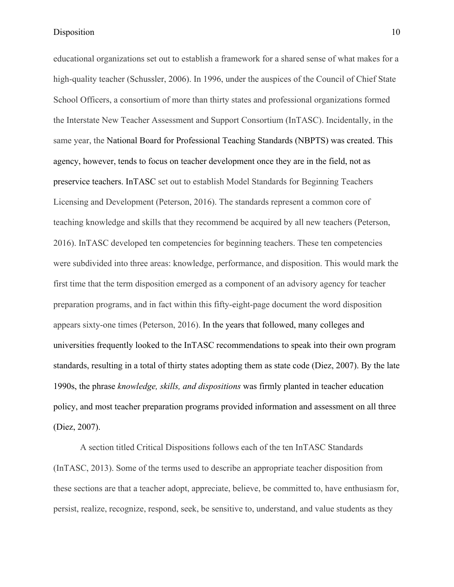educational organizations set out to establish a framework for a shared sense of what makes for a high-quality teacher (Schussler, 2006). In 1996, under the auspices of the Council of Chief State School Officers, a consortium of more than thirty states and professional organizations formed the Interstate New Teacher Assessment and Support Consortium (InTASC). Incidentally, in the same year, the National Board for Professional Teaching Standards (NBPTS) was created. This agency, however, tends to focus on teacher development once they are in the field, not as preservice teachers. InTASC set out to establish Model Standards for Beginning Teachers Licensing and Development (Peterson, 2016). The standards represent a common core of teaching knowledge and skills that they recommend be acquired by all new teachers (Peterson, 2016). InTASC developed ten competencies for beginning teachers. These ten competencies were subdivided into three areas: knowledge, performance, and disposition. This would mark the first time that the term disposition emerged as a component of an advisory agency for teacher preparation programs, and in fact within this fifty-eight-page document the word disposition appears sixty-one times (Peterson, 2016). In the years that followed, many colleges and universities frequently looked to the InTASC recommendations to speak into their own program standards, resulting in a total of thirty states adopting them as state code (Diez, 2007). By the late 1990s, the phrase *knowledge, skills, and dispositions* was firmly planted in teacher education policy, and most teacher preparation programs provided information and assessment on all three (Diez, 2007).

A section titled Critical Dispositions follows each of the ten InTASC Standards (InTASC, 2013). Some of the terms used to describe an appropriate teacher disposition from these sections are that a teacher adopt, appreciate, believe, be committed to, have enthusiasm for, persist, realize, recognize, respond, seek, be sensitive to, understand, and value students as they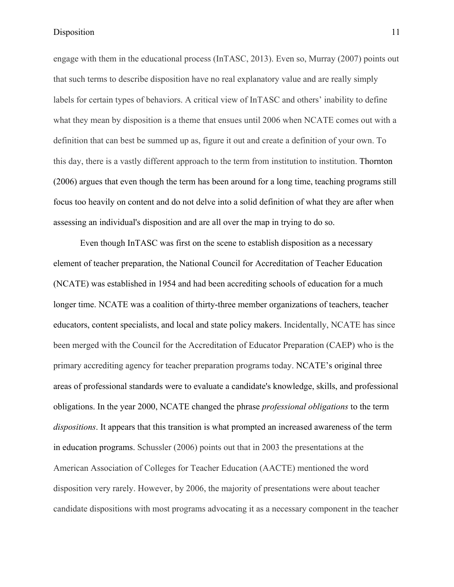engage with them in the educational process (InTASC, 2013). Even so, Murray (2007) points out that such terms to describe disposition have no real explanatory value and are really simply labels for certain types of behaviors. A critical view of InTASC and others' inability to define what they mean by disposition is a theme that ensues until 2006 when NCATE comes out with a definition that can best be summed up as, figure it out and create a definition of your own. To this day, there is a vastly different approach to the term from institution to institution. Thornton (2006) argues that even though the term has been around for a long time, teaching programs still focus too heavily on content and do not delve into a solid definition of what they are after when assessing an individual's disposition and are all over the map in trying to do so.

Even though InTASC was first on the scene to establish disposition as a necessary element of teacher preparation, the National Council for Accreditation of Teacher Education (NCATE) was established in 1954 and had been accrediting schools of education for a much longer time. NCATE was a coalition of thirty-three member organizations of teachers, teacher educators, content specialists, and local and state policy makers. Incidentally, NCATE has since been merged with the Council for the Accreditation of Educator Preparation (CAEP) who is the primary accrediting agency for teacher preparation programs today. NCATE's original three areas of professional standards were to evaluate a candidate's knowledge, skills, and professional obligations. In the year 2000, NCATE changed the phrase *professional obligations* to the term *dispositions*. It appears that this transition is what prompted an increased awareness of the term in education programs. Schussler (2006) points out that in 2003 the presentations at the American Association of Colleges for Teacher Education (AACTE) mentioned the word disposition very rarely. However, by 2006, the majority of presentations were about teacher candidate dispositions with most programs advocating it as a necessary component in the teacher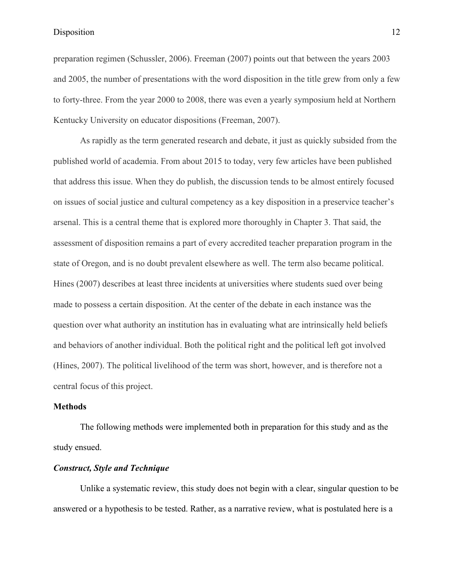preparation regimen (Schussler, 2006). Freeman (2007) points out that between the years 2003 and 2005, the number of presentations with the word disposition in the title grew from only a few to forty-three. From the year 2000 to 2008, there was even a yearly symposium held at Northern Kentucky University on educator dispositions (Freeman, 2007).

As rapidly as the term generated research and debate, it just as quickly subsided from the published world of academia. From about 2015 to today, very few articles have been published that address this issue. When they do publish, the discussion tends to be almost entirely focused on issues of social justice and cultural competency as a key disposition in a preservice teacher's arsenal. This is a central theme that is explored more thoroughly in Chapter 3. That said, the assessment of disposition remains a part of every accredited teacher preparation program in the state of Oregon, and is no doubt prevalent elsewhere as well. The term also became political. Hines (2007) describes at least three incidents at universities where students sued over being made to possess a certain disposition. At the center of the debate in each instance was the question over what authority an institution has in evaluating what are intrinsically held beliefs and behaviors of another individual. Both the political right and the political left got involved (Hines, 2007). The political livelihood of the term was short, however, and is therefore not a central focus of this project.

# **Methods**

The following methods were implemented both in preparation for this study and as the study ensued.

# *Construct, Style and Technique*

Unlike a systematic review, this study does not begin with a clear, singular question to be answered or a hypothesis to be tested. Rather, as a narrative review, what is postulated here is a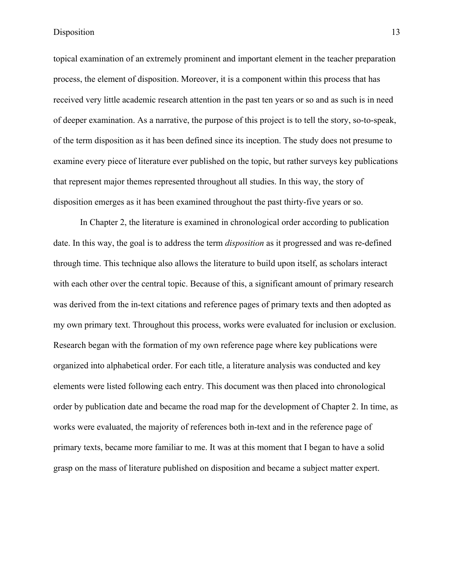topical examination of an extremely prominent and important element in the teacher preparation process, the element of disposition. Moreover, it is a component within this process that has received very little academic research attention in the past ten years or so and as such is in need of deeper examination. As a narrative, the purpose of this project is to tell the story, so-to-speak, of the term disposition as it has been defined since its inception. The study does not presume to examine every piece of literature ever published on the topic, but rather surveys key publications that represent major themes represented throughout all studies. In this way, the story of disposition emerges as it has been examined throughout the past thirty-five years or so.

In Chapter 2, the literature is examined in chronological order according to publication date. In this way, the goal is to address the term *disposition* as it progressed and was re-defined through time. This technique also allows the literature to build upon itself, as scholars interact with each other over the central topic. Because of this, a significant amount of primary research was derived from the in-text citations and reference pages of primary texts and then adopted as my own primary text. Throughout this process, works were evaluated for inclusion or exclusion. Research began with the formation of my own reference page where key publications were organized into alphabetical order. For each title, a literature analysis was conducted and key elements were listed following each entry. This document was then placed into chronological order by publication date and became the road map for the development of Chapter 2. In time, as works were evaluated, the majority of references both in-text and in the reference page of primary texts, became more familiar to me. It was at this moment that I began to have a solid grasp on the mass of literature published on disposition and became a subject matter expert.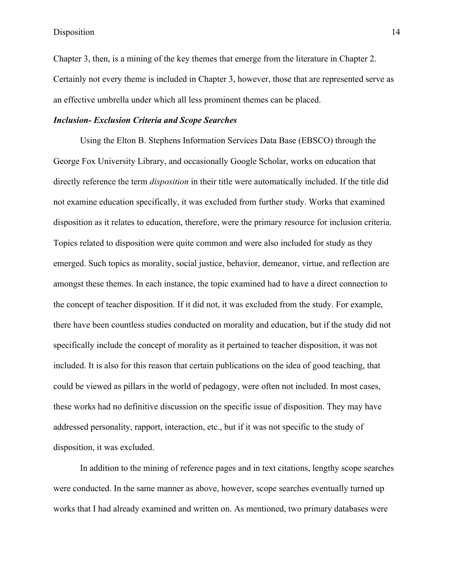Chapter 3, then, is a mining of the key themes that emerge from the literature in Chapter 2. Certainly not every theme is included in Chapter 3, however, those that are represented serve as an effective umbrella under which all less prominent themes can be placed.

# *Inclusion- Exclusion Criteria and Scope Searches*

Using the Elton B. Stephens Information Services Data Base (EBSCO) through the George Fox University Library, and occasionally Google Scholar, works on education that directly reference the term *disposition* in their title were automatically included. If the title did not examine education specifically, it was excluded from further study. Works that examined disposition as it relates to education, therefore, were the primary resource for inclusion criteria. Topics related to disposition were quite common and were also included for study as they emerged. Such topics as morality, social justice, behavior, demeanor, virtue, and reflection are amongst these themes. In each instance, the topic examined had to have a direct connection to the concept of teacher disposition. If it did not, it was excluded from the study. For example, there have been countless studies conducted on morality and education, but if the study did not specifically include the concept of morality as it pertained to teacher disposition, it was not included. It is also for this reason that certain publications on the idea of good teaching, that could be viewed as pillars in the world of pedagogy, were often not included. In most cases, these works had no definitive discussion on the specific issue of disposition. They may have addressed personality, rapport, interaction, etc., but if it was not specific to the study of disposition, it was excluded.

In addition to the mining of reference pages and in text citations, lengthy scope searches were conducted. In the same manner as above, however, scope searches eventually turned up works that I had already examined and written on. As mentioned, two primary databases were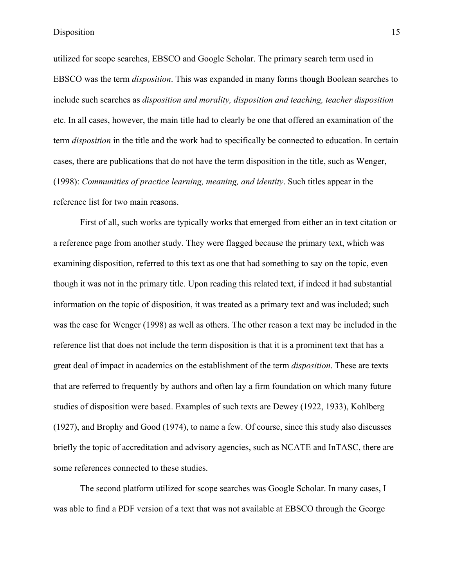utilized for scope searches, EBSCO and Google Scholar. The primary search term used in EBSCO was the term *disposition*. This was expanded in many forms though Boolean searches to include such searches as *disposition and morality, disposition and teaching, teacher disposition* etc. In all cases, however, the main title had to clearly be one that offered an examination of the term *disposition* in the title and the work had to specifically be connected to education. In certain cases, there are publications that do not have the term disposition in the title, such as Wenger, (1998): *Communities of practice learning, meaning, and identity*. Such titles appear in the reference list for two main reasons.

First of all, such works are typically works that emerged from either an in text citation or a reference page from another study. They were flagged because the primary text, which was examining disposition, referred to this text as one that had something to say on the topic, even though it was not in the primary title. Upon reading this related text, if indeed it had substantial information on the topic of disposition, it was treated as a primary text and was included; such was the case for Wenger (1998) as well as others. The other reason a text may be included in the reference list that does not include the term disposition is that it is a prominent text that has a great deal of impact in academics on the establishment of the term *disposition*. These are texts that are referred to frequently by authors and often lay a firm foundation on which many future studies of disposition were based. Examples of such texts are Dewey (1922, 1933), Kohlberg (1927), and Brophy and Good (1974), to name a few. Of course, since this study also discusses briefly the topic of accreditation and advisory agencies, such as NCATE and InTASC, there are some references connected to these studies.

The second platform utilized for scope searches was Google Scholar. In many cases, I was able to find a PDF version of a text that was not available at EBSCO through the George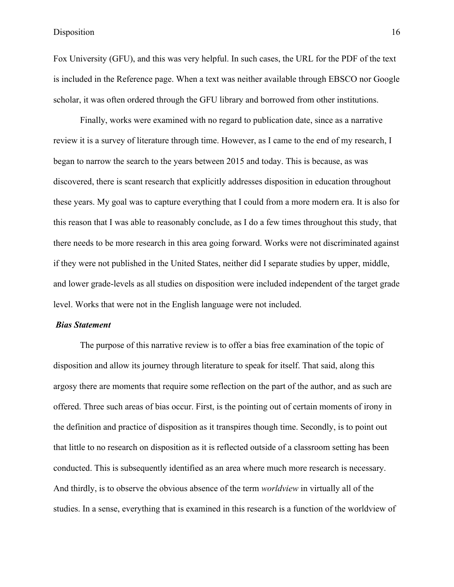Fox University (GFU), and this was very helpful. In such cases, the URL for the PDF of the text is included in the Reference page. When a text was neither available through EBSCO nor Google scholar, it was often ordered through the GFU library and borrowed from other institutions.

Finally, works were examined with no regard to publication date, since as a narrative review it is a survey of literature through time. However, as I came to the end of my research, I began to narrow the search to the years between 2015 and today. This is because, as was discovered, there is scant research that explicitly addresses disposition in education throughout these years. My goal was to capture everything that I could from a more modern era. It is also for this reason that I was able to reasonably conclude, as I do a few times throughout this study, that there needs to be more research in this area going forward. Works were not discriminated against if they were not published in the United States, neither did I separate studies by upper, middle, and lower grade-levels as all studies on disposition were included independent of the target grade level. Works that were not in the English language were not included.

#### *Bias Statement*

The purpose of this narrative review is to offer a bias free examination of the topic of disposition and allow its journey through literature to speak for itself. That said, along this argosy there are moments that require some reflection on the part of the author, and as such are offered. Three such areas of bias occur. First, is the pointing out of certain moments of irony in the definition and practice of disposition as it transpires though time. Secondly, is to point out that little to no research on disposition as it is reflected outside of a classroom setting has been conducted. This is subsequently identified as an area where much more research is necessary. And thirdly, is to observe the obvious absence of the term *worldview* in virtually all of the studies. In a sense, everything that is examined in this research is a function of the worldview of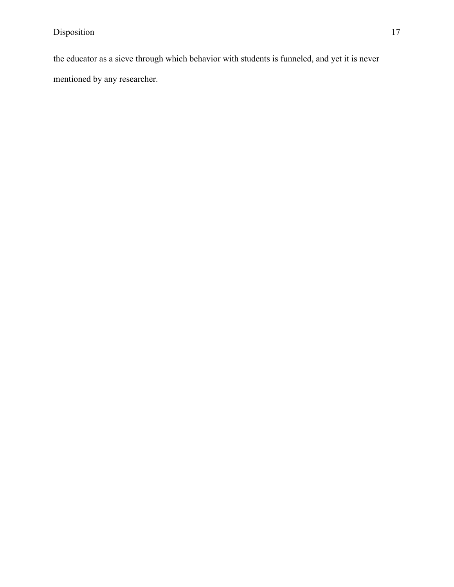the educator as a sieve through which behavior with students is funneled, and yet it is never mentioned by any researcher.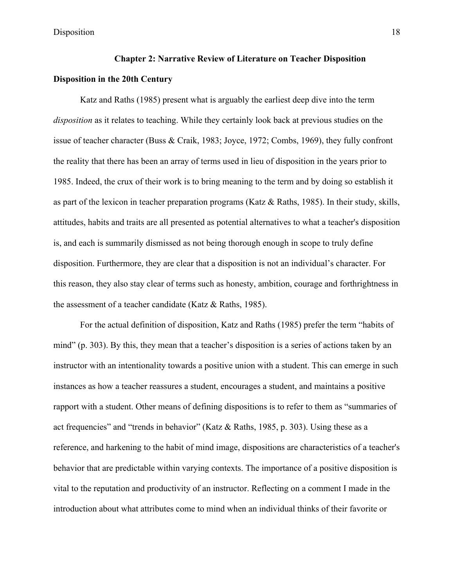# **Chapter 2: Narrative Review of Literature on Teacher Disposition**

# **Disposition in the 20th Century**

Katz and Raths (1985) present what is arguably the earliest deep dive into the term *disposition* as it relates to teaching. While they certainly look back at previous studies on the issue of teacher character (Buss & Craik, 1983; Joyce, 1972; Combs, 1969), they fully confront the reality that there has been an array of terms used in lieu of disposition in the years prior to 1985. Indeed, the crux of their work is to bring meaning to the term and by doing so establish it as part of the lexicon in teacher preparation programs (Katz & Raths, 1985). In their study, skills, attitudes, habits and traits are all presented as potential alternatives to what a teacher's disposition is, and each is summarily dismissed as not being thorough enough in scope to truly define disposition. Furthermore, they are clear that a disposition is not an individual's character. For this reason, they also stay clear of terms such as honesty, ambition, courage and forthrightness in the assessment of a teacher candidate (Katz & Raths, 1985).

For the actual definition of disposition, Katz and Raths (1985) prefer the term "habits of mind" (p. 303). By this, they mean that a teacher's disposition is a series of actions taken by an instructor with an intentionality towards a positive union with a student. This can emerge in such instances as how a teacher reassures a student, encourages a student, and maintains a positive rapport with a student. Other means of defining dispositions is to refer to them as "summaries of act frequencies" and "trends in behavior" (Katz & Raths, 1985, p. 303). Using these as a reference, and harkening to the habit of mind image, dispositions are characteristics of a teacher's behavior that are predictable within varying contexts. The importance of a positive disposition is vital to the reputation and productivity of an instructor. Reflecting on a comment I made in the introduction about what attributes come to mind when an individual thinks of their favorite or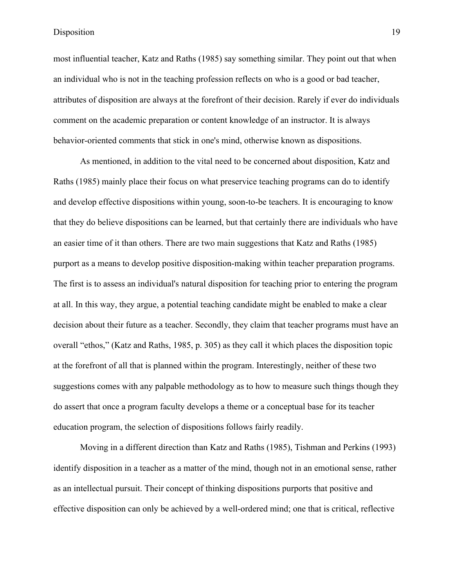most influential teacher, Katz and Raths (1985) say something similar. They point out that when an individual who is not in the teaching profession reflects on who is a good or bad teacher, attributes of disposition are always at the forefront of their decision. Rarely if ever do individuals comment on the academic preparation or content knowledge of an instructor. It is always behavior-oriented comments that stick in one's mind, otherwise known as dispositions.

As mentioned, in addition to the vital need to be concerned about disposition, Katz and Raths (1985) mainly place their focus on what preservice teaching programs can do to identify and develop effective dispositions within young, soon-to-be teachers. It is encouraging to know that they do believe dispositions can be learned, but that certainly there are individuals who have an easier time of it than others. There are two main suggestions that Katz and Raths (1985) purport as a means to develop positive disposition-making within teacher preparation programs. The first is to assess an individual's natural disposition for teaching prior to entering the program at all. In this way, they argue, a potential teaching candidate might be enabled to make a clear decision about their future as a teacher. Secondly, they claim that teacher programs must have an overall "ethos," (Katz and Raths, 1985, p. 305) as they call it which places the disposition topic at the forefront of all that is planned within the program. Interestingly, neither of these two suggestions comes with any palpable methodology as to how to measure such things though they do assert that once a program faculty develops a theme or a conceptual base for its teacher education program, the selection of dispositions follows fairly readily.

Moving in a different direction than Katz and Raths (1985), Tishman and Perkins (1993) identify disposition in a teacher as a matter of the mind, though not in an emotional sense, rather as an intellectual pursuit. Their concept of thinking dispositions purports that positive and effective disposition can only be achieved by a well-ordered mind; one that is critical, reflective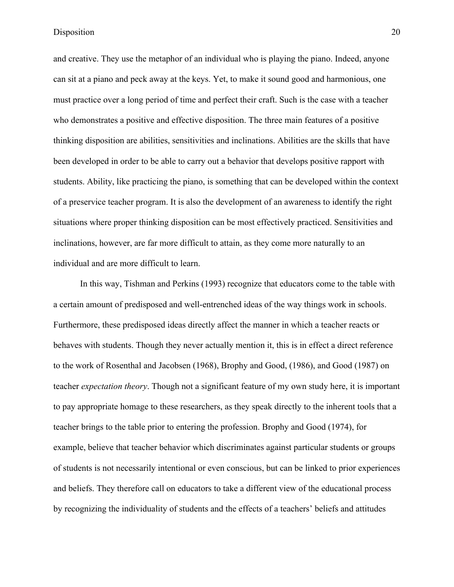and creative. They use the metaphor of an individual who is playing the piano. Indeed, anyone can sit at a piano and peck away at the keys. Yet, to make it sound good and harmonious, one must practice over a long period of time and perfect their craft. Such is the case with a teacher who demonstrates a positive and effective disposition. The three main features of a positive thinking disposition are abilities, sensitivities and inclinations. Abilities are the skills that have been developed in order to be able to carry out a behavior that develops positive rapport with students. Ability, like practicing the piano, is something that can be developed within the context of a preservice teacher program. It is also the development of an awareness to identify the right situations where proper thinking disposition can be most effectively practiced. Sensitivities and inclinations, however, are far more difficult to attain, as they come more naturally to an individual and are more difficult to learn.

In this way, Tishman and Perkins (1993) recognize that educators come to the table with a certain amount of predisposed and well-entrenched ideas of the way things work in schools. Furthermore, these predisposed ideas directly affect the manner in which a teacher reacts or behaves with students. Though they never actually mention it, this is in effect a direct reference to the work of Rosenthal and Jacobsen (1968), Brophy and Good, (1986), and Good (1987) on teacher *expectation theory*. Though not a significant feature of my own study here, it is important to pay appropriate homage to these researchers, as they speak directly to the inherent tools that a teacher brings to the table prior to entering the profession. Brophy and Good (1974), for example, believe that teacher behavior which discriminates against particular students or groups of students is not necessarily intentional or even conscious, but can be linked to prior experiences and beliefs. They therefore call on educators to take a different view of the educational process by recognizing the individuality of students and the effects of a teachers' beliefs and attitudes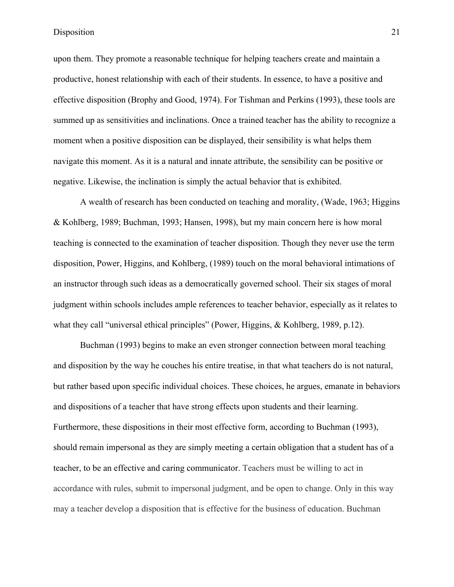upon them. They promote a reasonable technique for helping teachers create and maintain a productive, honest relationship with each of their students. In essence, to have a positive and effective disposition (Brophy and Good, 1974). For Tishman and Perkins (1993), these tools are summed up as sensitivities and inclinations. Once a trained teacher has the ability to recognize a moment when a positive disposition can be displayed, their sensibility is what helps them navigate this moment. As it is a natural and innate attribute, the sensibility can be positive or negative. Likewise, the inclination is simply the actual behavior that is exhibited.

A wealth of research has been conducted on teaching and morality, (Wade, 1963; Higgins & Kohlberg, 1989; Buchman, 1993; Hansen, 1998), but my main concern here is how moral teaching is connected to the examination of teacher disposition. Though they never use the term disposition, Power, Higgins, and Kohlberg, (1989) touch on the moral behavioral intimations of an instructor through such ideas as a democratically governed school. Their six stages of moral judgment within schools includes ample references to teacher behavior, especially as it relates to what they call "universal ethical principles" (Power, Higgins, & Kohlberg, 1989, p.12).

Buchman (1993) begins to make an even stronger connection between moral teaching and disposition by the way he couches his entire treatise, in that what teachers do is not natural, but rather based upon specific individual choices. These choices, he argues, emanate in behaviors and dispositions of a teacher that have strong effects upon students and their learning. Furthermore, these dispositions in their most effective form, according to Buchman (1993), should remain impersonal as they are simply meeting a certain obligation that a student has of a teacher, to be an effective and caring communicator. Teachers must be willing to act in accordance with rules, submit to impersonal judgment, and be open to change. Only in this way may a teacher develop a disposition that is effective for the business of education. Buchman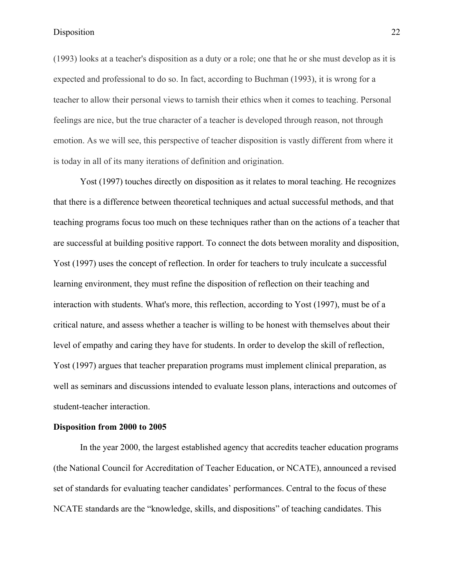(1993) looks at a teacher's disposition as a duty or a role; one that he or she must develop as it is expected and professional to do so. In fact, according to Buchman (1993), it is wrong for a teacher to allow their personal views to tarnish their ethics when it comes to teaching. Personal feelings are nice, but the true character of a teacher is developed through reason, not through emotion. As we will see, this perspective of teacher disposition is vastly different from where it is today in all of its many iterations of definition and origination.

Yost (1997) touches directly on disposition as it relates to moral teaching. He recognizes that there is a difference between theoretical techniques and actual successful methods, and that teaching programs focus too much on these techniques rather than on the actions of a teacher that are successful at building positive rapport. To connect the dots between morality and disposition, Yost (1997) uses the concept of reflection. In order for teachers to truly inculcate a successful learning environment, they must refine the disposition of reflection on their teaching and interaction with students. What's more, this reflection, according to Yost (1997), must be of a critical nature, and assess whether a teacher is willing to be honest with themselves about their level of empathy and caring they have for students. In order to develop the skill of reflection, Yost (1997) argues that teacher preparation programs must implement clinical preparation, as well as seminars and discussions intended to evaluate lesson plans, interactions and outcomes of student-teacher interaction.

#### **Disposition from 2000 to 2005**

In the year 2000, the largest established agency that accredits teacher education programs (the National Council for Accreditation of Teacher Education, or NCATE), announced a revised set of standards for evaluating teacher candidates' performances. Central to the focus of these NCATE standards are the "knowledge, skills, and dispositions" of teaching candidates. This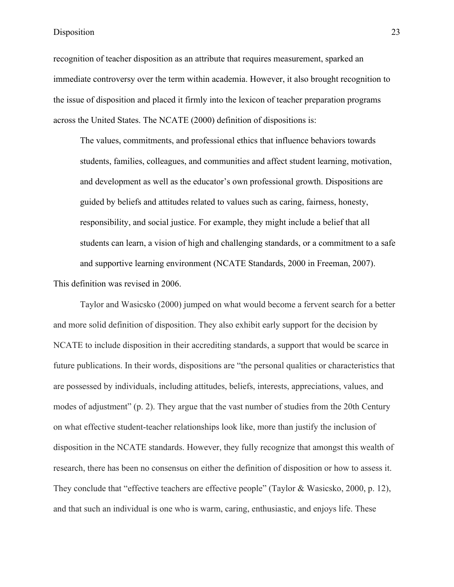recognition of teacher disposition as an attribute that requires measurement, sparked an immediate controversy over the term within academia. However, it also brought recognition to the issue of disposition and placed it firmly into the lexicon of teacher preparation programs across the United States. The NCATE (2000) definition of dispositions is:

The values, commitments, and professional ethics that influence behaviors towards students, families, colleagues, and communities and affect student learning, motivation, and development as well as the educator's own professional growth. Dispositions are guided by beliefs and attitudes related to values such as caring, fairness, honesty, responsibility, and social justice. For example, they might include a belief that all students can learn, a vision of high and challenging standards, or a commitment to a safe and supportive learning environment (NCATE Standards, 2000 in Freeman, 2007). This definition was revised in 2006.

Taylor and Wasicsko (2000) jumped on what would become a fervent search for a better and more solid definition of disposition. They also exhibit early support for the decision by NCATE to include disposition in their accrediting standards, a support that would be scarce in future publications. In their words, dispositions are "the personal qualities or characteristics that are possessed by individuals, including attitudes, beliefs, interests, appreciations, values, and modes of adjustment" (p. 2). They argue that the vast number of studies from the 20th Century on what effective student-teacher relationships look like, more than justify the inclusion of disposition in the NCATE standards. However, they fully recognize that amongst this wealth of research, there has been no consensus on either the definition of disposition or how to assess it. They conclude that "effective teachers are effective people" (Taylor & Wasicsko, 2000, p. 12), and that such an individual is one who is warm, caring, enthusiastic, and enjoys life. These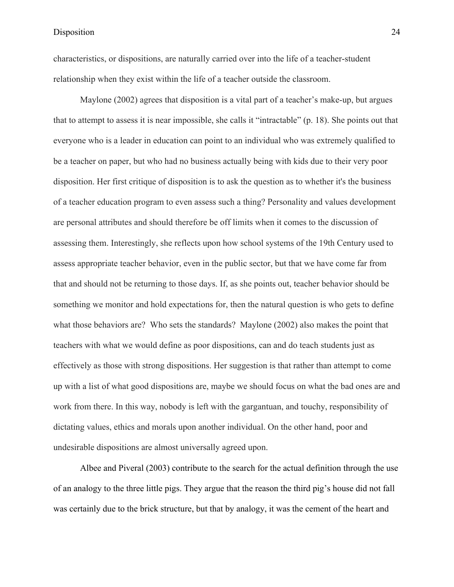characteristics, or dispositions, are naturally carried over into the life of a teacher-student relationship when they exist within the life of a teacher outside the classroom.

Maylone (2002) agrees that disposition is a vital part of a teacher's make-up, but argues that to attempt to assess it is near impossible, she calls it "intractable" (p. 18). She points out that everyone who is a leader in education can point to an individual who was extremely qualified to be a teacher on paper, but who had no business actually being with kids due to their very poor disposition. Her first critique of disposition is to ask the question as to whether it's the business of a teacher education program to even assess such a thing? Personality and values development are personal attributes and should therefore be off limits when it comes to the discussion of assessing them. Interestingly, she reflects upon how school systems of the 19th Century used to assess appropriate teacher behavior, even in the public sector, but that we have come far from that and should not be returning to those days. If, as she points out, teacher behavior should be something we monitor and hold expectations for, then the natural question is who gets to define what those behaviors are? Who sets the standards? Maylone (2002) also makes the point that teachers with what we would define as poor dispositions, can and do teach students just as effectively as those with strong dispositions. Her suggestion is that rather than attempt to come up with a list of what good dispositions are, maybe we should focus on what the bad ones are and work from there. In this way, nobody is left with the gargantuan, and touchy, responsibility of dictating values, ethics and morals upon another individual. On the other hand, poor and undesirable dispositions are almost universally agreed upon.

Albee and Piveral (2003) contribute to the search for the actual definition through the use of an analogy to the three little pigs. They argue that the reason the third pig's house did not fall was certainly due to the brick structure, but that by analogy, it was the cement of the heart and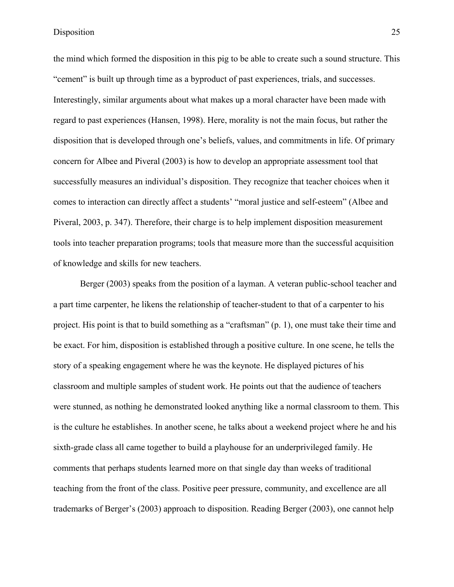the mind which formed the disposition in this pig to be able to create such a sound structure. This "cement" is built up through time as a byproduct of past experiences, trials, and successes. Interestingly, similar arguments about what makes up a moral character have been made with regard to past experiences (Hansen, 1998). Here, morality is not the main focus, but rather the disposition that is developed through one's beliefs, values, and commitments in life. Of primary concern for Albee and Piveral (2003) is how to develop an appropriate assessment tool that successfully measures an individual's disposition. They recognize that teacher choices when it comes to interaction can directly affect a students' "moral justice and self-esteem" (Albee and Piveral, 2003, p. 347). Therefore, their charge is to help implement disposition measurement tools into teacher preparation programs; tools that measure more than the successful acquisition of knowledge and skills for new teachers.

Berger (2003) speaks from the position of a layman. A veteran public-school teacher and a part time carpenter, he likens the relationship of teacher-student to that of a carpenter to his project. His point is that to build something as a "craftsman" (p. 1), one must take their time and be exact. For him, disposition is established through a positive culture. In one scene, he tells the story of a speaking engagement where he was the keynote. He displayed pictures of his classroom and multiple samples of student work. He points out that the audience of teachers were stunned, as nothing he demonstrated looked anything like a normal classroom to them. This is the culture he establishes. In another scene, he talks about a weekend project where he and his sixth-grade class all came together to build a playhouse for an underprivileged family. He comments that perhaps students learned more on that single day than weeks of traditional teaching from the front of the class. Positive peer pressure, community, and excellence are all trademarks of Berger's (2003) approach to disposition. Reading Berger (2003), one cannot help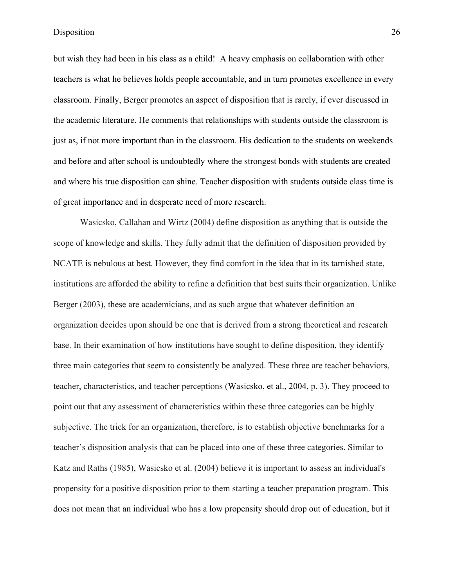but wish they had been in his class as a child! A heavy emphasis on collaboration with other teachers is what he believes holds people accountable, and in turn promotes excellence in every classroom. Finally, Berger promotes an aspect of disposition that is rarely, if ever discussed in the academic literature. He comments that relationships with students outside the classroom is just as, if not more important than in the classroom. His dedication to the students on weekends and before and after school is undoubtedly where the strongest bonds with students are created and where his true disposition can shine. Teacher disposition with students outside class time is of great importance and in desperate need of more research.

Wasicsko, Callahan and Wirtz (2004) define disposition as anything that is outside the scope of knowledge and skills. They fully admit that the definition of disposition provided by NCATE is nebulous at best. However, they find comfort in the idea that in its tarnished state, institutions are afforded the ability to refine a definition that best suits their organization. Unlike Berger (2003), these are academicians, and as such argue that whatever definition an organization decides upon should be one that is derived from a strong theoretical and research base. In their examination of how institutions have sought to define disposition, they identify three main categories that seem to consistently be analyzed. These three are teacher behaviors, teacher, characteristics, and teacher perceptions (Wasicsko, et al., 2004, p. 3). They proceed to point out that any assessment of characteristics within these three categories can be highly subjective. The trick for an organization, therefore, is to establish objective benchmarks for a teacher's disposition analysis that can be placed into one of these three categories. Similar to Katz and Raths (1985), Wasicsko et al. (2004) believe it is important to assess an individual's propensity for a positive disposition prior to them starting a teacher preparation program. This does not mean that an individual who has a low propensity should drop out of education, but it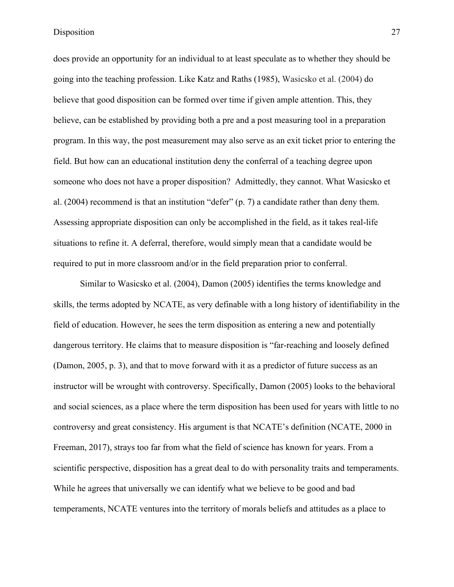does provide an opportunity for an individual to at least speculate as to whether they should be going into the teaching profession. Like Katz and Raths (1985), Wasicsko et al. (2004) do believe that good disposition can be formed over time if given ample attention. This, they believe, can be established by providing both a pre and a post measuring tool in a preparation program. In this way, the post measurement may also serve as an exit ticket prior to entering the field. But how can an educational institution deny the conferral of a teaching degree upon someone who does not have a proper disposition? Admittedly, they cannot. What Wasicsko et al. (2004) recommend is that an institution "defer" (p. 7) a candidate rather than deny them. Assessing appropriate disposition can only be accomplished in the field, as it takes real-life situations to refine it. A deferral, therefore, would simply mean that a candidate would be required to put in more classroom and/or in the field preparation prior to conferral.

Similar to Wasicsko et al. (2004), Damon (2005) identifies the terms knowledge and skills, the terms adopted by NCATE, as very definable with a long history of identifiability in the field of education. However, he sees the term disposition as entering a new and potentially dangerous territory. He claims that to measure disposition is "far-reaching and loosely defined (Damon, 2005, p. 3), and that to move forward with it as a predictor of future success as an instructor will be wrought with controversy. Specifically, Damon (2005) looks to the behavioral and social sciences, as a place where the term disposition has been used for years with little to no controversy and great consistency. His argument is that NCATE's definition (NCATE, 2000 in Freeman, 2017), strays too far from what the field of science has known for years. From a scientific perspective, disposition has a great deal to do with personality traits and temperaments. While he agrees that universally we can identify what we believe to be good and bad temperaments, NCATE ventures into the territory of morals beliefs and attitudes as a place to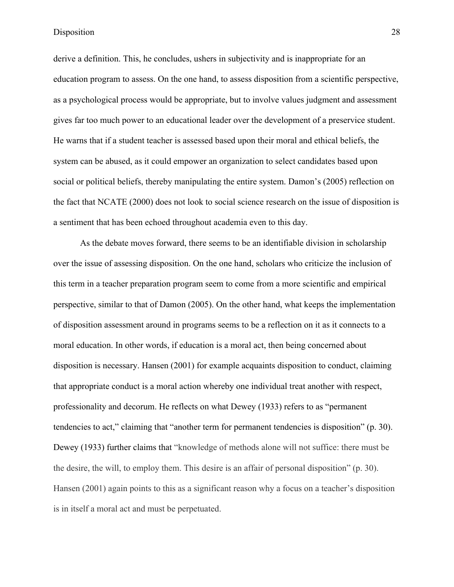derive a definition. This, he concludes, ushers in subjectivity and is inappropriate for an education program to assess. On the one hand, to assess disposition from a scientific perspective, as a psychological process would be appropriate, but to involve values judgment and assessment gives far too much power to an educational leader over the development of a preservice student. He warns that if a student teacher is assessed based upon their moral and ethical beliefs, the system can be abused, as it could empower an organization to select candidates based upon social or political beliefs, thereby manipulating the entire system. Damon's (2005) reflection on the fact that NCATE (2000) does not look to social science research on the issue of disposition is a sentiment that has been echoed throughout academia even to this day.

As the debate moves forward, there seems to be an identifiable division in scholarship over the issue of assessing disposition. On the one hand, scholars who criticize the inclusion of this term in a teacher preparation program seem to come from a more scientific and empirical perspective, similar to that of Damon (2005). On the other hand, what keeps the implementation of disposition assessment around in programs seems to be a reflection on it as it connects to a moral education. In other words, if education is a moral act, then being concerned about disposition is necessary. Hansen (2001) for example acquaints disposition to conduct, claiming that appropriate conduct is a moral action whereby one individual treat another with respect, professionality and decorum. He reflects on what Dewey (1933) refers to as "permanent tendencies to act," claiming that "another term for permanent tendencies is disposition" (p. 30). Dewey (1933) further claims that "knowledge of methods alone will not suffice: there must be the desire, the will, to employ them. This desire is an affair of personal disposition" (p. 30). Hansen (2001) again points to this as a significant reason why a focus on a teacher's disposition is in itself a moral act and must be perpetuated.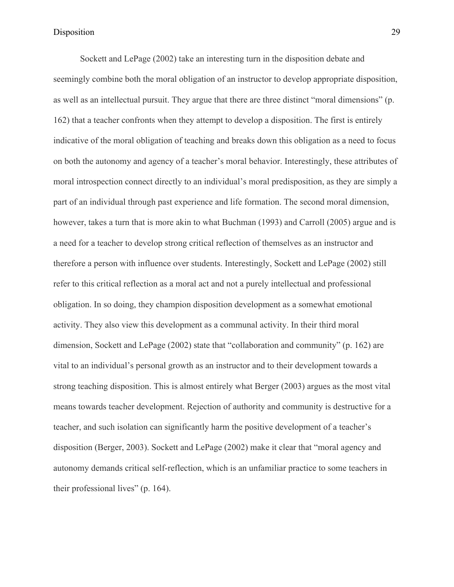Sockett and LePage (2002) take an interesting turn in the disposition debate and seemingly combine both the moral obligation of an instructor to develop appropriate disposition, as well as an intellectual pursuit. They argue that there are three distinct "moral dimensions" (p. 162) that a teacher confronts when they attempt to develop a disposition. The first is entirely indicative of the moral obligation of teaching and breaks down this obligation as a need to focus on both the autonomy and agency of a teacher's moral behavior. Interestingly, these attributes of moral introspection connect directly to an individual's moral predisposition, as they are simply a part of an individual through past experience and life formation. The second moral dimension, however, takes a turn that is more akin to what Buchman (1993) and Carroll (2005) argue and is a need for a teacher to develop strong critical reflection of themselves as an instructor and therefore a person with influence over students. Interestingly, Sockett and LePage (2002) still refer to this critical reflection as a moral act and not a purely intellectual and professional obligation. In so doing, they champion disposition development as a somewhat emotional activity. They also view this development as a communal activity. In their third moral dimension, Sockett and LePage (2002) state that "collaboration and community" (p. 162) are vital to an individual's personal growth as an instructor and to their development towards a strong teaching disposition. This is almost entirely what Berger (2003) argues as the most vital means towards teacher development. Rejection of authority and community is destructive for a teacher, and such isolation can significantly harm the positive development of a teacher's disposition (Berger, 2003). Sockett and LePage (2002) make it clear that "moral agency and autonomy demands critical self-reflection, which is an unfamiliar practice to some teachers in their professional lives" (p. 164).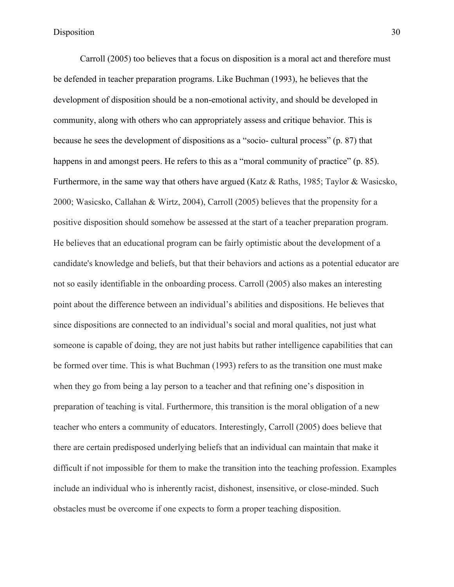Carroll (2005) too believes that a focus on disposition is a moral act and therefore must be defended in teacher preparation programs. Like Buchman (1993), he believes that the development of disposition should be a non-emotional activity, and should be developed in community, along with others who can appropriately assess and critique behavior. This is because he sees the development of dispositions as a "socio- cultural process" (p. 87) that happens in and amongst peers. He refers to this as a "moral community of practice" (p. 85). Furthermore, in the same way that others have argued (Katz & Raths, 1985; Taylor & Wasicsko, 2000; Wasicsko, Callahan & Wirtz, 2004), Carroll (2005) believes that the propensity for a positive disposition should somehow be assessed at the start of a teacher preparation program. He believes that an educational program can be fairly optimistic about the development of a candidate's knowledge and beliefs, but that their behaviors and actions as a potential educator are not so easily identifiable in the onboarding process. Carroll (2005) also makes an interesting point about the difference between an individual's abilities and dispositions. He believes that since dispositions are connected to an individual's social and moral qualities, not just what someone is capable of doing, they are not just habits but rather intelligence capabilities that can be formed over time. This is what Buchman (1993) refers to as the transition one must make when they go from being a lay person to a teacher and that refining one's disposition in preparation of teaching is vital. Furthermore, this transition is the moral obligation of a new teacher who enters a community of educators. Interestingly, Carroll (2005) does believe that there are certain predisposed underlying beliefs that an individual can maintain that make it difficult if not impossible for them to make the transition into the teaching profession. Examples include an individual who is inherently racist, dishonest, insensitive, or close-minded. Such obstacles must be overcome if one expects to form a proper teaching disposition.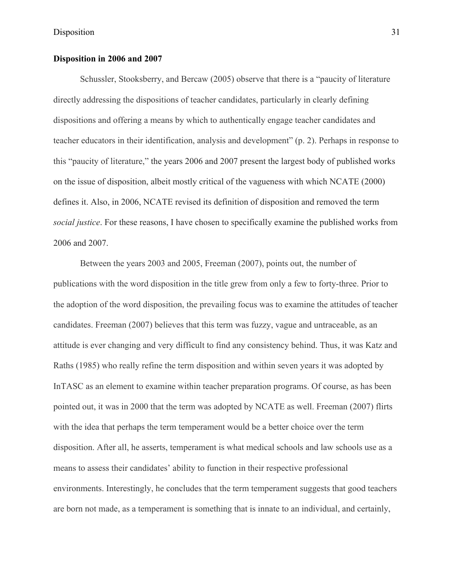# **Disposition in 2006 and 2007**

Schussler, Stooksberry, and Bercaw (2005) observe that there is a "paucity of literature directly addressing the dispositions of teacher candidates, particularly in clearly defining dispositions and offering a means by which to authentically engage teacher candidates and teacher educators in their identification, analysis and development" (p. 2). Perhaps in response to this "paucity of literature," the years 2006 and 2007 present the largest body of published works on the issue of disposition, albeit mostly critical of the vagueness with which NCATE (2000) defines it. Also, in 2006, NCATE revised its definition of disposition and removed the term *social justice*. For these reasons, I have chosen to specifically examine the published works from 2006 and 2007.

Between the years 2003 and 2005, Freeman (2007), points out, the number of publications with the word disposition in the title grew from only a few to forty-three. Prior to the adoption of the word disposition, the prevailing focus was to examine the attitudes of teacher candidates. Freeman (2007) believes that this term was fuzzy, vague and untraceable, as an attitude is ever changing and very difficult to find any consistency behind. Thus, it was Katz and Raths (1985) who really refine the term disposition and within seven years it was adopted by InTASC as an element to examine within teacher preparation programs. Of course, as has been pointed out, it was in 2000 that the term was adopted by NCATE as well. Freeman (2007) flirts with the idea that perhaps the term temperament would be a better choice over the term disposition. After all, he asserts, temperament is what medical schools and law schools use as a means to assess their candidates' ability to function in their respective professional environments. Interestingly, he concludes that the term temperament suggests that good teachers are born not made, as a temperament is something that is innate to an individual, and certainly,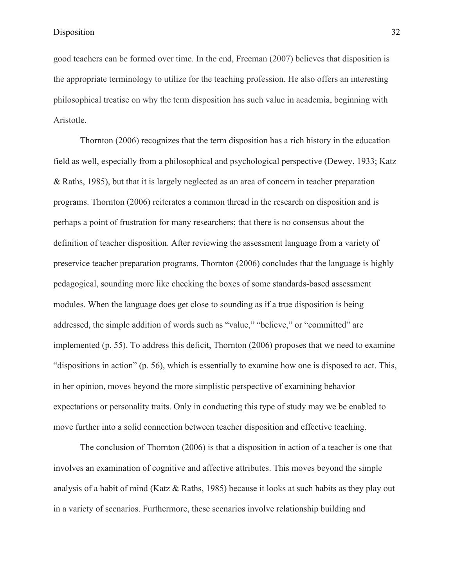good teachers can be formed over time. In the end, Freeman (2007) believes that disposition is the appropriate terminology to utilize for the teaching profession. He also offers an interesting philosophical treatise on why the term disposition has such value in academia, beginning with Aristotle.

Thornton (2006) recognizes that the term disposition has a rich history in the education field as well, especially from a philosophical and psychological perspective (Dewey, 1933; Katz & Raths, 1985), but that it is largely neglected as an area of concern in teacher preparation programs. Thornton (2006) reiterates a common thread in the research on disposition and is perhaps a point of frustration for many researchers; that there is no consensus about the definition of teacher disposition. After reviewing the assessment language from a variety of preservice teacher preparation programs, Thornton (2006) concludes that the language is highly pedagogical, sounding more like checking the boxes of some standards-based assessment modules. When the language does get close to sounding as if a true disposition is being addressed, the simple addition of words such as "value," "believe," or "committed" are implemented (p. 55). To address this deficit, Thornton (2006) proposes that we need to examine "dispositions in action" (p. 56), which is essentially to examine how one is disposed to act. This, in her opinion, moves beyond the more simplistic perspective of examining behavior expectations or personality traits. Only in conducting this type of study may we be enabled to move further into a solid connection between teacher disposition and effective teaching.

The conclusion of Thornton (2006) is that a disposition in action of a teacher is one that involves an examination of cognitive and affective attributes. This moves beyond the simple analysis of a habit of mind (Katz & Raths, 1985) because it looks at such habits as they play out in a variety of scenarios. Furthermore, these scenarios involve relationship building and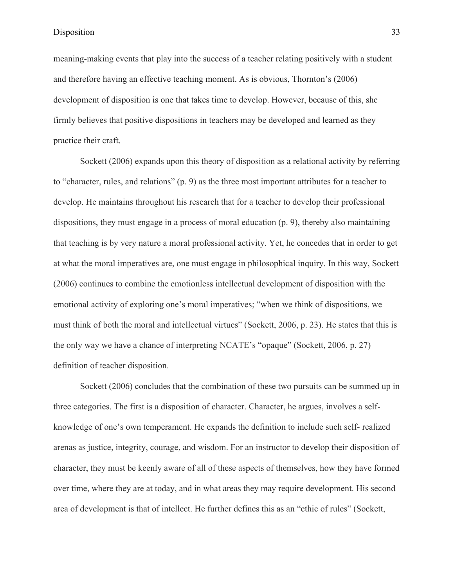meaning-making events that play into the success of a teacher relating positively with a student and therefore having an effective teaching moment. As is obvious, Thornton's (2006) development of disposition is one that takes time to develop. However, because of this, she firmly believes that positive dispositions in teachers may be developed and learned as they practice their craft.

Sockett (2006) expands upon this theory of disposition as a relational activity by referring to "character, rules, and relations" (p. 9) as the three most important attributes for a teacher to develop. He maintains throughout his research that for a teacher to develop their professional dispositions, they must engage in a process of moral education (p. 9), thereby also maintaining that teaching is by very nature a moral professional activity. Yet, he concedes that in order to get at what the moral imperatives are, one must engage in philosophical inquiry. In this way, Sockett (2006) continues to combine the emotionless intellectual development of disposition with the emotional activity of exploring one's moral imperatives; "when we think of dispositions, we must think of both the moral and intellectual virtues" (Sockett, 2006, p. 23). He states that this is the only way we have a chance of interpreting NCATE's "opaque" (Sockett, 2006, p. 27) definition of teacher disposition.

Sockett (2006) concludes that the combination of these two pursuits can be summed up in three categories. The first is a disposition of character. Character, he argues, involves a selfknowledge of one's own temperament. He expands the definition to include such self- realized arenas as justice, integrity, courage, and wisdom. For an instructor to develop their disposition of character, they must be keenly aware of all of these aspects of themselves, how they have formed over time, where they are at today, and in what areas they may require development. His second area of development is that of intellect. He further defines this as an "ethic of rules" (Sockett,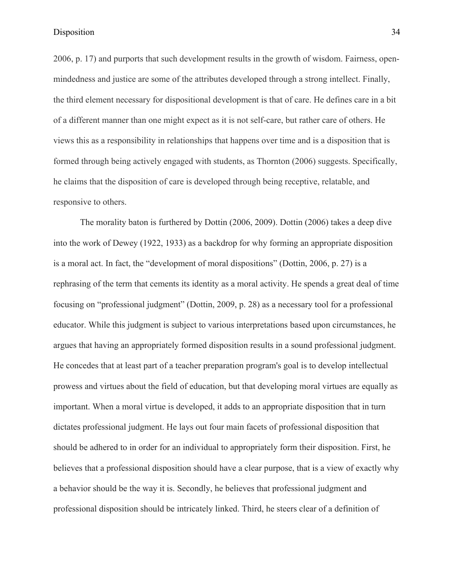2006, p. 17) and purports that such development results in the growth of wisdom. Fairness, openmindedness and justice are some of the attributes developed through a strong intellect. Finally, the third element necessary for dispositional development is that of care. He defines care in a bit of a different manner than one might expect as it is not self-care, but rather care of others. He views this as a responsibility in relationships that happens over time and is a disposition that is formed through being actively engaged with students, as Thornton (2006) suggests. Specifically, he claims that the disposition of care is developed through being receptive, relatable, and responsive to others.

The morality baton is furthered by Dottin (2006, 2009). Dottin (2006) takes a deep dive into the work of Dewey (1922, 1933) as a backdrop for why forming an appropriate disposition is a moral act. In fact, the "development of moral dispositions" (Dottin, 2006, p. 27) is a rephrasing of the term that cements its identity as a moral activity. He spends a great deal of time focusing on "professional judgment" (Dottin, 2009, p. 28) as a necessary tool for a professional educator. While this judgment is subject to various interpretations based upon circumstances, he argues that having an appropriately formed disposition results in a sound professional judgment. He concedes that at least part of a teacher preparation program's goal is to develop intellectual prowess and virtues about the field of education, but that developing moral virtues are equally as important. When a moral virtue is developed, it adds to an appropriate disposition that in turn dictates professional judgment. He lays out four main facets of professional disposition that should be adhered to in order for an individual to appropriately form their disposition. First, he believes that a professional disposition should have a clear purpose, that is a view of exactly why a behavior should be the way it is. Secondly, he believes that professional judgment and professional disposition should be intricately linked. Third, he steers clear of a definition of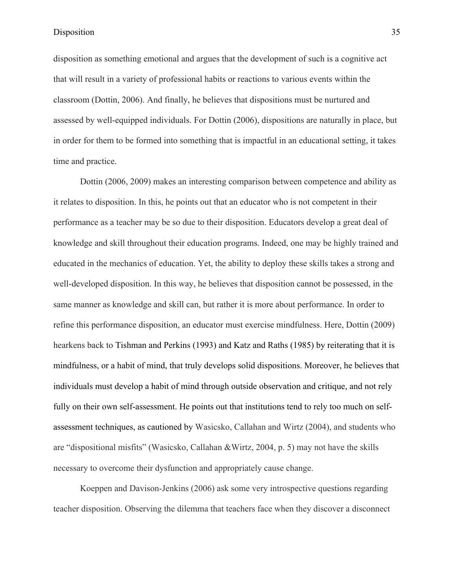disposition as something emotional and argues that the development of such is a cognitive act that will result in a variety of professional habits or reactions to various events within the classroom (Dottin, 2006). And finally, he believes that dispositions must be nurtured and assessed by well-equipped individuals. For Dottin (2006), dispositions are naturally in place, but in order for them to be formed into something that is impactful in an educational setting, it takes time and practice.

Dottin (2006, 2009) makes an interesting comparison between competence and ability as it relates to disposition. In this, he points out that an educator who is not competent in their performance as a teacher may be so due to their disposition. Educators develop a great deal of knowledge and skill throughout their education programs. Indeed, one may be highly trained and educated in the mechanics of education. Yet, the ability to deploy these skills takes a strong and well-developed disposition. In this way, he believes that disposition cannot be possessed, in the same manner as knowledge and skill can, but rather it is more about performance. In order to refine this performance disposition, an educator must exercise mindfulness. Here, Dottin (2009) hearkens back to Tishman and Perkins (1993) and Katz and Raths (1985) by reiterating that it is mindfulness, or a habit of mind, that truly develops solid dispositions. Moreover, he believes that individuals must develop a habit of mind through outside observation and critique, and not rely fully on their own self-assessment. He points out that institutions tend to rely too much on selfassessment techniques, as cautioned by Wasicsko, Callahan and Wirtz (2004), and students who are "dispositional misfits" (Wasicsko, Callahan &Wirtz, 2004, p. 5) may not have the skills necessary to overcome their dysfunction and appropriately cause change.

Koeppen and Davison-Jenkins (2006) ask some very introspective questions regarding teacher disposition. Observing the dilemma that teachers face when they discover a disconnect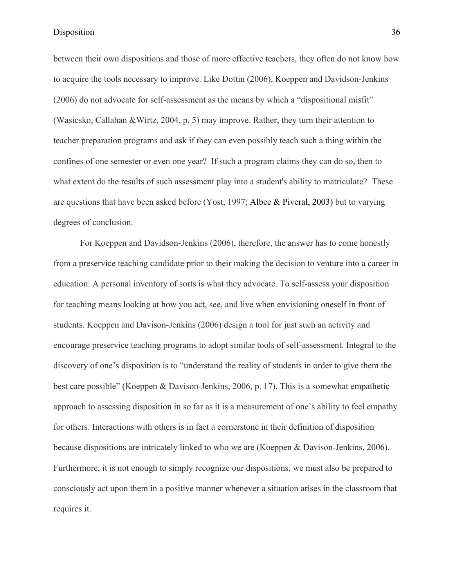between their own dispositions and those of more effective teachers, they often do not know how to acquire the tools necessary to improve. Like Dottin (2006), Koeppen and Davidson-Jenkins (2006) do not advocate for self-assessment as the means by which a "dispositional misfit" (Wasicsko, Callahan &Wirtz, 2004, p. 5) may improve. Rather, they turn their attention to teacher preparation programs and ask if they can even possibly teach such a thing within the confines of one semester or even one year? If such a program claims they can do so, then to what extent do the results of such assessment play into a student's ability to matriculate? These are questions that have been asked before (Yost, 1997; Albee & Piveral, 2003) but to varying degrees of conclusion.

For Koeppen and Davidson-Jenkins (2006), therefore, the answer has to come honestly from a preservice teaching candidate prior to their making the decision to venture into a career in education. A personal inventory of sorts is what they advocate. To self-assess your disposition for teaching means looking at how you act, see, and live when envisioning oneself in front of students. Koeppen and Davison-Jenkins (2006) design a tool for just such an activity and encourage preservice teaching programs to adopt similar tools of self-assessment. Integral to the discovery of one's disposition is to "understand the reality of students in order to give them the best care possible" (Koeppen & Davison-Jenkins, 2006, p. 17). This is a somewhat empathetic approach to assessing disposition in so far as it is a measurement of one's ability to feel empathy for others. Interactions with others is in fact a cornerstone in their definition of disposition because dispositions are intricately linked to who we are (Koeppen & Davison-Jenkins, 2006). Furthermore, it is not enough to simply recognize our dispositions, we must also be prepared to consciously act upon them in a positive manner whenever a situation arises in the classroom that requires it.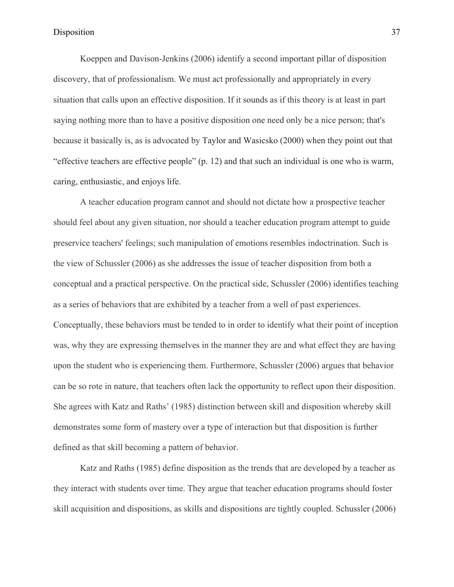Koeppen and Davison-Jenkins (2006) identify a second important pillar of disposition discovery, that of professionalism. We must act professionally and appropriately in every situation that calls upon an effective disposition. If it sounds as if this theory is at least in part saying nothing more than to have a positive disposition one need only be a nice person; that's because it basically is, as is advocated by Taylor and Wasicsko (2000) when they point out that "effective teachers are effective people" (p. 12) and that such an individual is one who is warm, caring, enthusiastic, and enjoys life.

A teacher education program cannot and should not dictate how a prospective teacher should feel about any given situation, nor should a teacher education program attempt to guide preservice teachers' feelings; such manipulation of emotions resembles indoctrination. Such is the view of Schussler (2006) as she addresses the issue of teacher disposition from both a conceptual and a practical perspective. On the practical side, Schussler (2006) identifies teaching as a series of behaviors that are exhibited by a teacher from a well of past experiences. Conceptually, these behaviors must be tended to in order to identify what their point of inception was, why they are expressing themselves in the manner they are and what effect they are having upon the student who is experiencing them. Furthermore, Schussler (2006) argues that behavior can be so rote in nature, that teachers often lack the opportunity to reflect upon their disposition. She agrees with Katz and Raths' (1985) distinction between skill and disposition whereby skill demonstrates some form of mastery over a type of interaction but that disposition is further defined as that skill becoming a pattern of behavior.

Katz and Raths (1985) define disposition as the trends that are developed by a teacher as they interact with students over time. They argue that teacher education programs should foster skill acquisition and dispositions, as skills and dispositions are tightly coupled. Schussler (2006)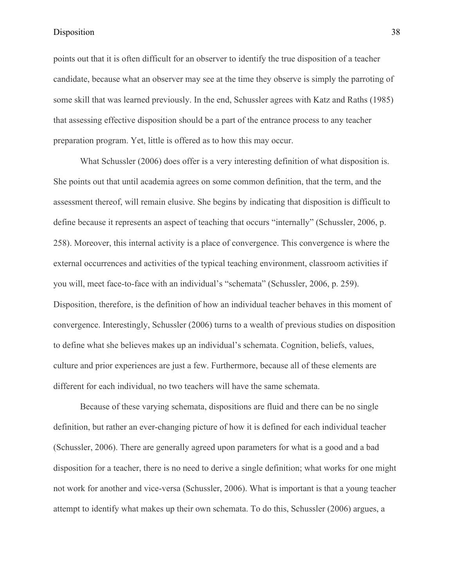points out that it is often difficult for an observer to identify the true disposition of a teacher candidate, because what an observer may see at the time they observe is simply the parroting of some skill that was learned previously. In the end, Schussler agrees with Katz and Raths (1985) that assessing effective disposition should be a part of the entrance process to any teacher preparation program. Yet, little is offered as to how this may occur.

What Schussler (2006) does offer is a very interesting definition of what disposition is. She points out that until academia agrees on some common definition, that the term, and the assessment thereof, will remain elusive. She begins by indicating that disposition is difficult to define because it represents an aspect of teaching that occurs "internally" (Schussler, 2006, p. 258). Moreover, this internal activity is a place of convergence. This convergence is where the external occurrences and activities of the typical teaching environment, classroom activities if you will, meet face-to-face with an individual's "schemata" (Schussler, 2006, p. 259). Disposition, therefore, is the definition of how an individual teacher behaves in this moment of convergence. Interestingly, Schussler (2006) turns to a wealth of previous studies on disposition to define what she believes makes up an individual's schemata. Cognition, beliefs, values, culture and prior experiences are just a few. Furthermore, because all of these elements are different for each individual, no two teachers will have the same schemata.

Because of these varying schemata, dispositions are fluid and there can be no single definition, but rather an ever-changing picture of how it is defined for each individual teacher (Schussler, 2006). There are generally agreed upon parameters for what is a good and a bad disposition for a teacher, there is no need to derive a single definition; what works for one might not work for another and vice-versa (Schussler, 2006). What is important is that a young teacher attempt to identify what makes up their own schemata. To do this, Schussler (2006) argues, a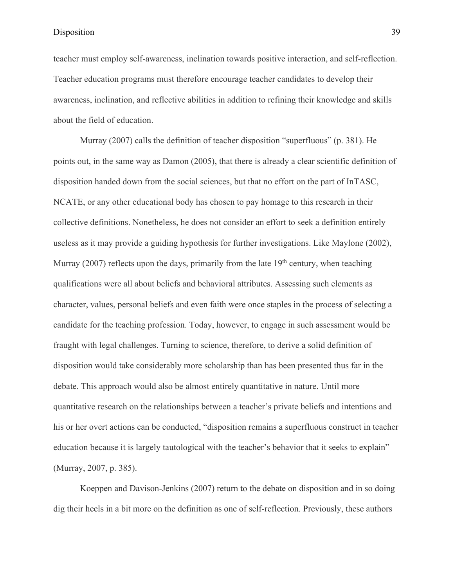teacher must employ self-awareness, inclination towards positive interaction, and self-reflection. Teacher education programs must therefore encourage teacher candidates to develop their awareness, inclination, and reflective abilities in addition to refining their knowledge and skills about the field of education.

Murray (2007) calls the definition of teacher disposition "superfluous" (p. 381). He points out, in the same way as Damon (2005), that there is already a clear scientific definition of disposition handed down from the social sciences, but that no effort on the part of InTASC, NCATE, or any other educational body has chosen to pay homage to this research in their collective definitions. Nonetheless, he does not consider an effort to seek a definition entirely useless as it may provide a guiding hypothesis for further investigations. Like Maylone (2002), Murray (2007) reflects upon the days, primarily from the late  $19<sup>th</sup>$  century, when teaching qualifications were all about beliefs and behavioral attributes. Assessing such elements as character, values, personal beliefs and even faith were once staples in the process of selecting a candidate for the teaching profession. Today, however, to engage in such assessment would be fraught with legal challenges. Turning to science, therefore, to derive a solid definition of disposition would take considerably more scholarship than has been presented thus far in the debate. This approach would also be almost entirely quantitative in nature. Until more quantitative research on the relationships between a teacher's private beliefs and intentions and his or her overt actions can be conducted, "disposition remains a superfluous construct in teacher education because it is largely tautological with the teacher's behavior that it seeks to explain" (Murray, 2007, p. 385).

Koeppen and Davison-Jenkins (2007) return to the debate on disposition and in so doing dig their heels in a bit more on the definition as one of self-reflection. Previously, these authors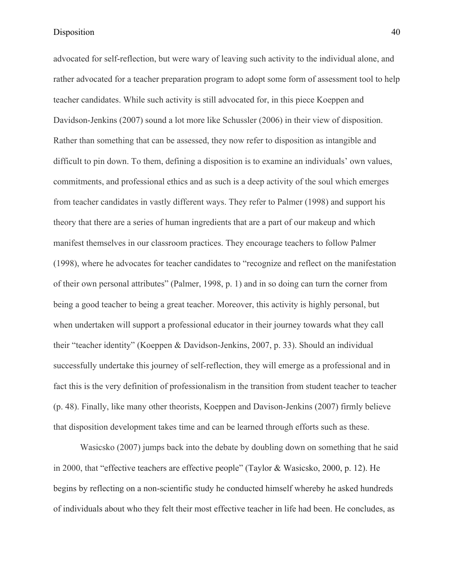advocated for self-reflection, but were wary of leaving such activity to the individual alone, and rather advocated for a teacher preparation program to adopt some form of assessment tool to help teacher candidates. While such activity is still advocated for, in this piece Koeppen and Davidson-Jenkins (2007) sound a lot more like Schussler (2006) in their view of disposition. Rather than something that can be assessed, they now refer to disposition as intangible and difficult to pin down. To them, defining a disposition is to examine an individuals' own values, commitments, and professional ethics and as such is a deep activity of the soul which emerges from teacher candidates in vastly different ways. They refer to Palmer (1998) and support his theory that there are a series of human ingredients that are a part of our makeup and which manifest themselves in our classroom practices. They encourage teachers to follow Palmer (1998), where he advocates for teacher candidates to "recognize and reflect on the manifestation of their own personal attributes" (Palmer, 1998, p. 1) and in so doing can turn the corner from being a good teacher to being a great teacher. Moreover, this activity is highly personal, but when undertaken will support a professional educator in their journey towards what they call their "teacher identity" (Koeppen & Davidson-Jenkins, 2007, p. 33). Should an individual successfully undertake this journey of self-reflection, they will emerge as a professional and in fact this is the very definition of professionalism in the transition from student teacher to teacher (p. 48). Finally, like many other theorists, Koeppen and Davison-Jenkins (2007) firmly believe that disposition development takes time and can be learned through efforts such as these.

Wasicsko (2007) jumps back into the debate by doubling down on something that he said in 2000, that "effective teachers are effective people" (Taylor & Wasicsko, 2000, p. 12). He begins by reflecting on a non-scientific study he conducted himself whereby he asked hundreds of individuals about who they felt their most effective teacher in life had been. He concludes, as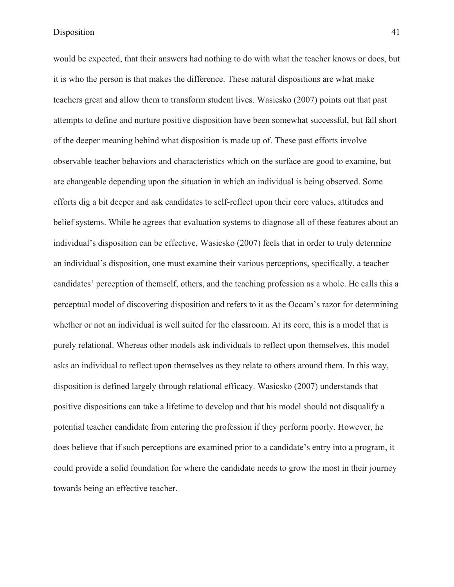would be expected, that their answers had nothing to do with what the teacher knows or does, but it is who the person is that makes the difference. These natural dispositions are what make teachers great and allow them to transform student lives. Wasicsko (2007) points out that past attempts to define and nurture positive disposition have been somewhat successful, but fall short of the deeper meaning behind what disposition is made up of. These past efforts involve observable teacher behaviors and characteristics which on the surface are good to examine, but are changeable depending upon the situation in which an individual is being observed. Some efforts dig a bit deeper and ask candidates to self-reflect upon their core values, attitudes and belief systems. While he agrees that evaluation systems to diagnose all of these features about an individual's disposition can be effective, Wasicsko (2007) feels that in order to truly determine an individual's disposition, one must examine their various perceptions, specifically, a teacher candidates' perception of themself, others, and the teaching profession as a whole. He calls this a perceptual model of discovering disposition and refers to it as the Occam's razor for determining whether or not an individual is well suited for the classroom. At its core, this is a model that is purely relational. Whereas other models ask individuals to reflect upon themselves, this model asks an individual to reflect upon themselves as they relate to others around them. In this way, disposition is defined largely through relational efficacy. Wasicsko (2007) understands that positive dispositions can take a lifetime to develop and that his model should not disqualify a potential teacher candidate from entering the profession if they perform poorly. However, he does believe that if such perceptions are examined prior to a candidate's entry into a program, it could provide a solid foundation for where the candidate needs to grow the most in their journey towards being an effective teacher.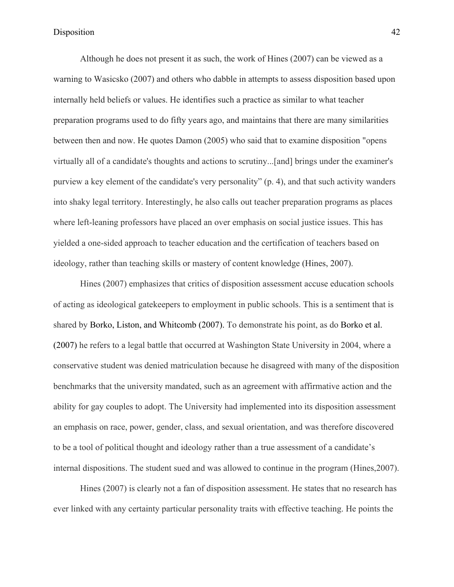Although he does not present it as such, the work of Hines (2007) can be viewed as a warning to Wasicsko (2007) and others who dabble in attempts to assess disposition based upon internally held beliefs or values. He identifies such a practice as similar to what teacher preparation programs used to do fifty years ago, and maintains that there are many similarities between then and now. He quotes Damon (2005) who said that to examine disposition "opens virtually all of a candidate's thoughts and actions to scrutiny...[and] brings under the examiner's purview a key element of the candidate's very personality" (p. 4), and that such activity wanders into shaky legal territory. Interestingly, he also calls out teacher preparation programs as places where left-leaning professors have placed an over emphasis on social justice issues. This has yielded a one-sided approach to teacher education and the certification of teachers based on ideology, rather than teaching skills or mastery of content knowledge (Hines, 2007).

Hines (2007) emphasizes that critics of disposition assessment accuse education schools of acting as ideological gatekeepers to employment in public schools. This is a sentiment that is shared by Borko, Liston, and Whitcomb (2007). To demonstrate his point, as do Borko et al. (2007) he refers to a legal battle that occurred at Washington State University in 2004, where a conservative student was denied matriculation because he disagreed with many of the disposition benchmarks that the university mandated, such as an agreement with affirmative action and the ability for gay couples to adopt. The University had implemented into its disposition assessment an emphasis on race, power, gender, class, and sexual orientation, and was therefore discovered to be a tool of political thought and ideology rather than a true assessment of a candidate's internal dispositions. The student sued and was allowed to continue in the program (Hines,2007).

Hines (2007) is clearly not a fan of disposition assessment. He states that no research has ever linked with any certainty particular personality traits with effective teaching. He points the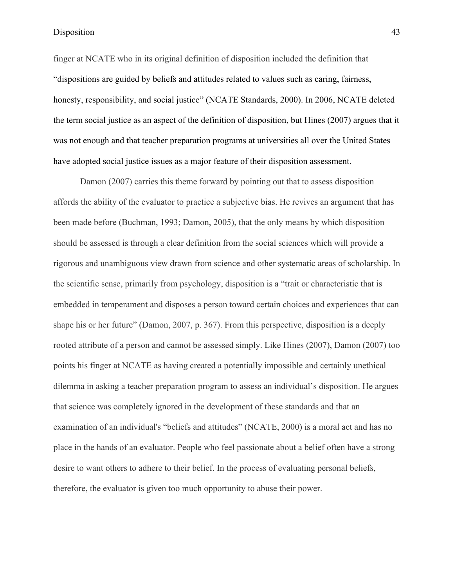finger at NCATE who in its original definition of disposition included the definition that "dispositions are guided by beliefs and attitudes related to values such as caring, fairness, honesty, responsibility, and social justice" (NCATE Standards, 2000). In 2006, NCATE deleted the term social justice as an aspect of the definition of disposition, but Hines (2007) argues that it was not enough and that teacher preparation programs at universities all over the United States have adopted social justice issues as a major feature of their disposition assessment.

Damon (2007) carries this theme forward by pointing out that to assess disposition affords the ability of the evaluator to practice a subjective bias. He revives an argument that has been made before (Buchman, 1993; Damon, 2005), that the only means by which disposition should be assessed is through a clear definition from the social sciences which will provide a rigorous and unambiguous view drawn from science and other systematic areas of scholarship. In the scientific sense, primarily from psychology, disposition is a "trait or characteristic that is embedded in temperament and disposes a person toward certain choices and experiences that can shape his or her future" (Damon, 2007, p. 367). From this perspective, disposition is a deeply rooted attribute of a person and cannot be assessed simply. Like Hines (2007), Damon (2007) too points his finger at NCATE as having created a potentially impossible and certainly unethical dilemma in asking a teacher preparation program to assess an individual's disposition. He argues that science was completely ignored in the development of these standards and that an examination of an individual's "beliefs and attitudes" (NCATE, 2000) is a moral act and has no place in the hands of an evaluator. People who feel passionate about a belief often have a strong desire to want others to adhere to their belief. In the process of evaluating personal beliefs, therefore, the evaluator is given too much opportunity to abuse their power.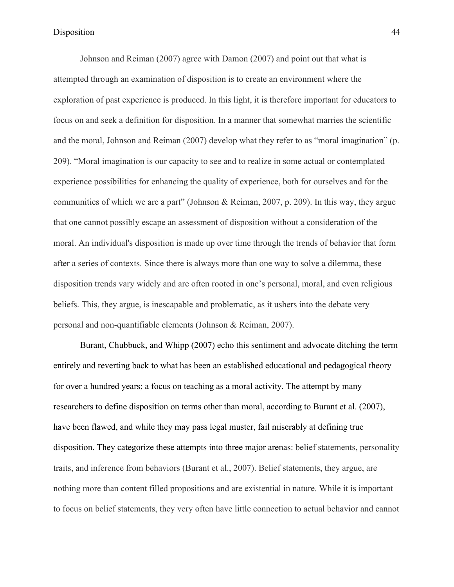Johnson and Reiman (2007) agree with Damon (2007) and point out that what is attempted through an examination of disposition is to create an environment where the exploration of past experience is produced. In this light, it is therefore important for educators to focus on and seek a definition for disposition. In a manner that somewhat marries the scientific and the moral, Johnson and Reiman (2007) develop what they refer to as "moral imagination" (p. 209). "Moral imagination is our capacity to see and to realize in some actual or contemplated experience possibilities for enhancing the quality of experience, both for ourselves and for the communities of which we are a part" (Johnson & Reiman, 2007, p. 209). In this way, they argue that one cannot possibly escape an assessment of disposition without a consideration of the moral. An individual's disposition is made up over time through the trends of behavior that form after a series of contexts. Since there is always more than one way to solve a dilemma, these disposition trends vary widely and are often rooted in one's personal, moral, and even religious beliefs. This, they argue, is inescapable and problematic, as it ushers into the debate very personal and non-quantifiable elements (Johnson & Reiman, 2007).

Burant, Chubbuck, and Whipp (2007) echo this sentiment and advocate ditching the term entirely and reverting back to what has been an established educational and pedagogical theory for over a hundred years; a focus on teaching as a moral activity. The attempt by many researchers to define disposition on terms other than moral, according to Burant et al. (2007), have been flawed, and while they may pass legal muster, fail miserably at defining true disposition. They categorize these attempts into three major arenas: belief statements, personality traits, and inference from behaviors (Burant et al., 2007). Belief statements, they argue, are nothing more than content filled propositions and are existential in nature. While it is important to focus on belief statements, they very often have little connection to actual behavior and cannot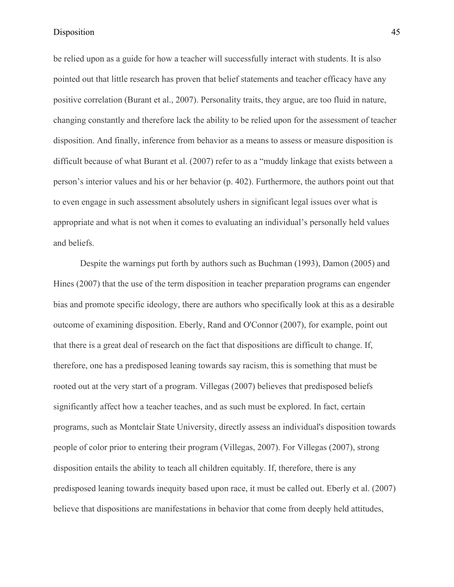be relied upon as a guide for how a teacher will successfully interact with students. It is also pointed out that little research has proven that belief statements and teacher efficacy have any positive correlation (Burant et al., 2007). Personality traits, they argue, are too fluid in nature, changing constantly and therefore lack the ability to be relied upon for the assessment of teacher disposition. And finally, inference from behavior as a means to assess or measure disposition is difficult because of what Burant et al. (2007) refer to as a "muddy linkage that exists between a person's interior values and his or her behavior (p. 402). Furthermore, the authors point out that to even engage in such assessment absolutely ushers in significant legal issues over what is appropriate and what is not when it comes to evaluating an individual's personally held values and beliefs.

Despite the warnings put forth by authors such as Buchman (1993), Damon (2005) and Hines (2007) that the use of the term disposition in teacher preparation programs can engender bias and promote specific ideology, there are authors who specifically look at this as a desirable outcome of examining disposition. Eberly, Rand and O'Connor (2007), for example, point out that there is a great deal of research on the fact that dispositions are difficult to change. If, therefore, one has a predisposed leaning towards say racism, this is something that must be rooted out at the very start of a program. Villegas (2007) believes that predisposed beliefs significantly affect how a teacher teaches, and as such must be explored. In fact, certain programs, such as Montclair State University, directly assess an individual's disposition towards people of color prior to entering their program (Villegas, 2007). For Villegas (2007), strong disposition entails the ability to teach all children equitably. If, therefore, there is any predisposed leaning towards inequity based upon race, it must be called out. Eberly et al. (2007) believe that dispositions are manifestations in behavior that come from deeply held attitudes,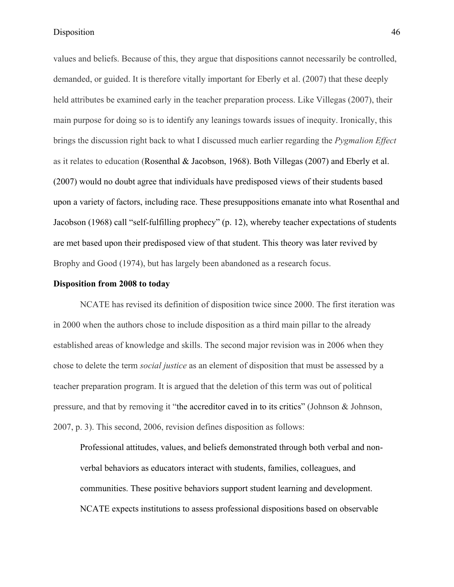values and beliefs. Because of this, they argue that dispositions cannot necessarily be controlled, demanded, or guided. It is therefore vitally important for Eberly et al. (2007) that these deeply held attributes be examined early in the teacher preparation process. Like Villegas (2007), their main purpose for doing so is to identify any leanings towards issues of inequity. Ironically, this brings the discussion right back to what I discussed much earlier regarding the *Pygmalion Effect* as it relates to education (Rosenthal & Jacobson, 1968). Both Villegas (2007) and Eberly et al. (2007) would no doubt agree that individuals have predisposed views of their students based upon a variety of factors, including race. These presuppositions emanate into what Rosenthal and Jacobson (1968) call "self-fulfilling prophecy" (p. 12), whereby teacher expectations of students are met based upon their predisposed view of that student. This theory was later revived by Brophy and Good (1974), but has largely been abandoned as a research focus.

# **Disposition from 2008 to today**

NCATE has revised its definition of disposition twice since 2000. The first iteration was in 2000 when the authors chose to include disposition as a third main pillar to the already established areas of knowledge and skills. The second major revision was in 2006 when they chose to delete the term *social justice* as an element of disposition that must be assessed by a teacher preparation program. It is argued that the deletion of this term was out of political pressure, and that by removing it "the accreditor caved in to its critics" (Johnson & Johnson, 2007, p. 3). This second, 2006, revision defines disposition as follows:

Professional attitudes, values, and beliefs demonstrated through both verbal and nonverbal behaviors as educators interact with students, families, colleagues, and communities. These positive behaviors support student learning and development. NCATE expects institutions to assess professional dispositions based on observable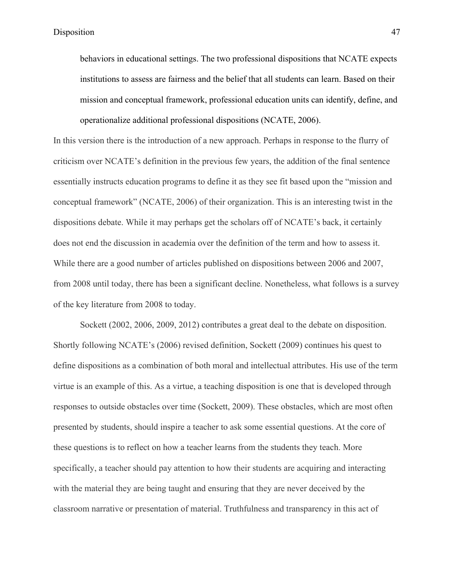behaviors in educational settings. The two professional dispositions that NCATE expects institutions to assess are fairness and the belief that all students can learn. Based on their mission and conceptual framework, professional education units can identify, define, and operationalize additional professional dispositions (NCATE, 2006).

In this version there is the introduction of a new approach. Perhaps in response to the flurry of criticism over NCATE's definition in the previous few years, the addition of the final sentence essentially instructs education programs to define it as they see fit based upon the "mission and conceptual framework" (NCATE, 2006) of their organization. This is an interesting twist in the dispositions debate. While it may perhaps get the scholars off of NCATE's back, it certainly does not end the discussion in academia over the definition of the term and how to assess it. While there are a good number of articles published on dispositions between 2006 and 2007, from 2008 until today, there has been a significant decline. Nonetheless, what follows is a survey of the key literature from 2008 to today.

Sockett (2002, 2006, 2009, 2012) contributes a great deal to the debate on disposition. Shortly following NCATE's (2006) revised definition, Sockett (2009) continues his quest to define dispositions as a combination of both moral and intellectual attributes. His use of the term virtue is an example of this. As a virtue, a teaching disposition is one that is developed through responses to outside obstacles over time (Sockett, 2009). These obstacles, which are most often presented by students, should inspire a teacher to ask some essential questions. At the core of these questions is to reflect on how a teacher learns from the students they teach. More specifically, a teacher should pay attention to how their students are acquiring and interacting with the material they are being taught and ensuring that they are never deceived by the classroom narrative or presentation of material. Truthfulness and transparency in this act of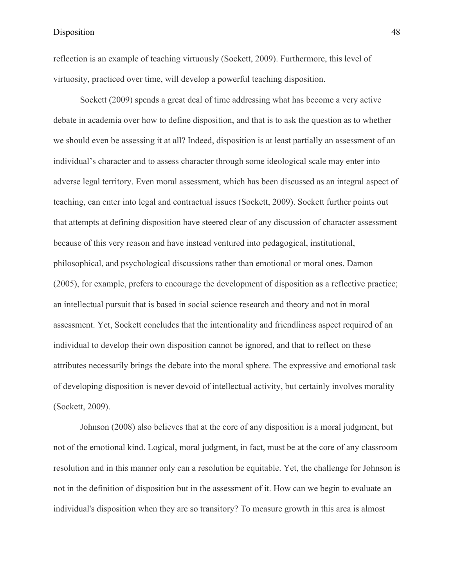reflection is an example of teaching virtuously (Sockett, 2009). Furthermore, this level of virtuosity, practiced over time, will develop a powerful teaching disposition.

Sockett (2009) spends a great deal of time addressing what has become a very active debate in academia over how to define disposition, and that is to ask the question as to whether we should even be assessing it at all? Indeed, disposition is at least partially an assessment of an individual's character and to assess character through some ideological scale may enter into adverse legal territory. Even moral assessment, which has been discussed as an integral aspect of teaching, can enter into legal and contractual issues (Sockett, 2009). Sockett further points out that attempts at defining disposition have steered clear of any discussion of character assessment because of this very reason and have instead ventured into pedagogical, institutional, philosophical, and psychological discussions rather than emotional or moral ones. Damon (2005), for example, prefers to encourage the development of disposition as a reflective practice; an intellectual pursuit that is based in social science research and theory and not in moral assessment. Yet, Sockett concludes that the intentionality and friendliness aspect required of an individual to develop their own disposition cannot be ignored, and that to reflect on these attributes necessarily brings the debate into the moral sphere. The expressive and emotional task of developing disposition is never devoid of intellectual activity, but certainly involves morality (Sockett, 2009).

Johnson (2008) also believes that at the core of any disposition is a moral judgment, but not of the emotional kind. Logical, moral judgment, in fact, must be at the core of any classroom resolution and in this manner only can a resolution be equitable. Yet, the challenge for Johnson is not in the definition of disposition but in the assessment of it. How can we begin to evaluate an individual's disposition when they are so transitory? To measure growth in this area is almost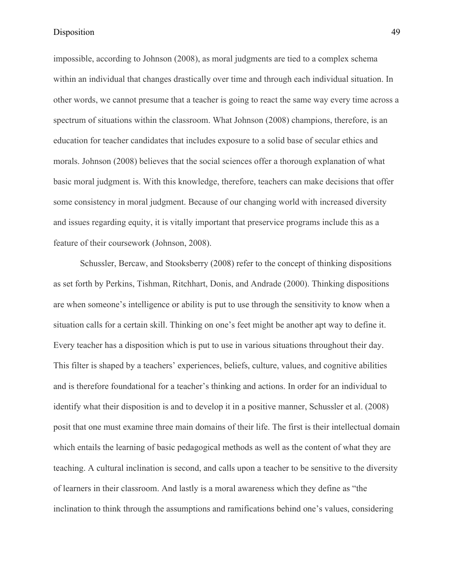impossible, according to Johnson (2008), as moral judgments are tied to a complex schema within an individual that changes drastically over time and through each individual situation. In other words, we cannot presume that a teacher is going to react the same way every time across a spectrum of situations within the classroom. What Johnson (2008) champions, therefore, is an education for teacher candidates that includes exposure to a solid base of secular ethics and morals. Johnson (2008) believes that the social sciences offer a thorough explanation of what basic moral judgment is. With this knowledge, therefore, teachers can make decisions that offer some consistency in moral judgment. Because of our changing world with increased diversity and issues regarding equity, it is vitally important that preservice programs include this as a feature of their coursework (Johnson, 2008).

Schussler, Bercaw, and Stooksberry (2008) refer to the concept of thinking dispositions as set forth by Perkins, Tishman, Ritchhart, Donis, and Andrade (2000). Thinking dispositions are when someone's intelligence or ability is put to use through the sensitivity to know when a situation calls for a certain skill. Thinking on one's feet might be another apt way to define it. Every teacher has a disposition which is put to use in various situations throughout their day. This filter is shaped by a teachers' experiences, beliefs, culture, values, and cognitive abilities and is therefore foundational for a teacher's thinking and actions. In order for an individual to identify what their disposition is and to develop it in a positive manner, Schussler et al. (2008) posit that one must examine three main domains of their life. The first is their intellectual domain which entails the learning of basic pedagogical methods as well as the content of what they are teaching. A cultural inclination is second, and calls upon a teacher to be sensitive to the diversity of learners in their classroom. And lastly is a moral awareness which they define as "the inclination to think through the assumptions and ramifications behind one's values, considering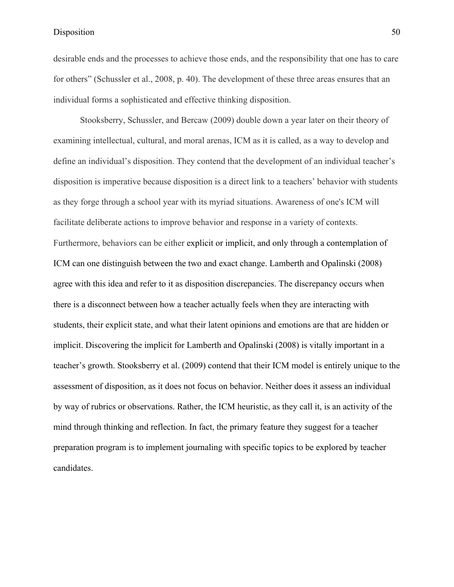desirable ends and the processes to achieve those ends, and the responsibility that one has to care for others" (Schussler et al., 2008, p. 40). The development of these three areas ensures that an individual forms a sophisticated and effective thinking disposition.

Stooksberry, Schussler, and Bercaw (2009) double down a year later on their theory of examining intellectual, cultural, and moral arenas, ICM as it is called, as a way to develop and define an individual's disposition. They contend that the development of an individual teacher's disposition is imperative because disposition is a direct link to a teachers' behavior with students as they forge through a school year with its myriad situations. Awareness of one's ICM will facilitate deliberate actions to improve behavior and response in a variety of contexts. Furthermore, behaviors can be either explicit or implicit, and only through a contemplation of ICM can one distinguish between the two and exact change. Lamberth and Opalinski (2008) agree with this idea and refer to it as disposition discrepancies. The discrepancy occurs when there is a disconnect between how a teacher actually feels when they are interacting with students, their explicit state, and what their latent opinions and emotions are that are hidden or implicit. Discovering the implicit for Lamberth and Opalinski (2008) is vitally important in a teacher's growth. Stooksberry et al. (2009) contend that their ICM model is entirely unique to the assessment of disposition, as it does not focus on behavior. Neither does it assess an individual by way of rubrics or observations. Rather, the ICM heuristic, as they call it, is an activity of the mind through thinking and reflection. In fact, the primary feature they suggest for a teacher preparation program is to implement journaling with specific topics to be explored by teacher candidates.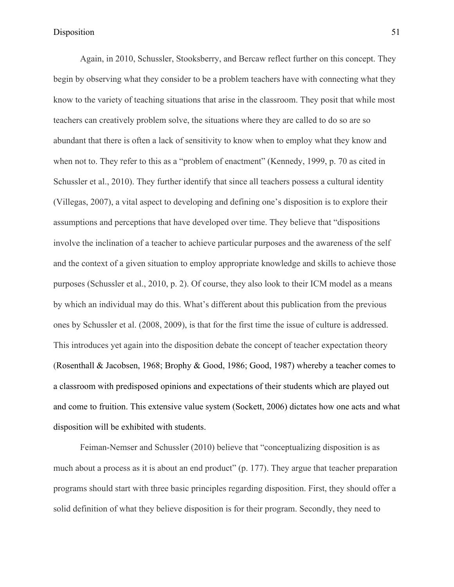Again, in 2010, Schussler, Stooksberry, and Bercaw reflect further on this concept. They begin by observing what they consider to be a problem teachers have with connecting what they know to the variety of teaching situations that arise in the classroom. They posit that while most teachers can creatively problem solve, the situations where they are called to do so are so abundant that there is often a lack of sensitivity to know when to employ what they know and when not to. They refer to this as a "problem of enactment" (Kennedy, 1999, p. 70 as cited in Schussler et al., 2010). They further identify that since all teachers possess a cultural identity (Villegas, 2007), a vital aspect to developing and defining one's disposition is to explore their assumptions and perceptions that have developed over time. They believe that "dispositions involve the inclination of a teacher to achieve particular purposes and the awareness of the self and the context of a given situation to employ appropriate knowledge and skills to achieve those purposes (Schussler et al., 2010, p. 2). Of course, they also look to their ICM model as a means by which an individual may do this. What's different about this publication from the previous ones by Schussler et al. (2008, 2009), is that for the first time the issue of culture is addressed. This introduces yet again into the disposition debate the concept of teacher expectation theory (Rosenthall & Jacobsen, 1968; Brophy & Good, 1986; Good, 1987) whereby a teacher comes to a classroom with predisposed opinions and expectations of their students which are played out and come to fruition. This extensive value system (Sockett, 2006) dictates how one acts and what disposition will be exhibited with students.

Feiman-Nemser and Schussler (2010) believe that "conceptualizing disposition is as much about a process as it is about an end product" (p. 177). They argue that teacher preparation programs should start with three basic principles regarding disposition. First, they should offer a solid definition of what they believe disposition is for their program. Secondly, they need to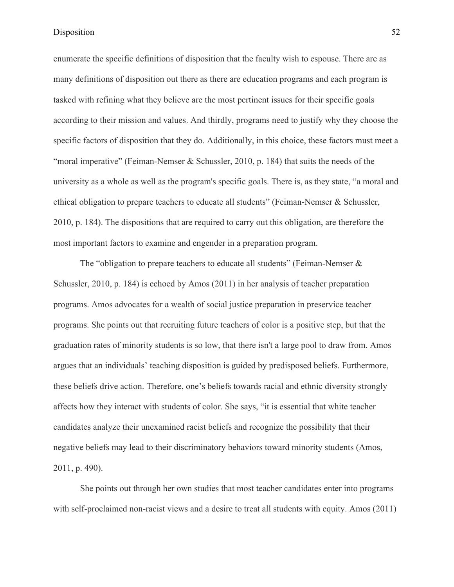enumerate the specific definitions of disposition that the faculty wish to espouse. There are as many definitions of disposition out there as there are education programs and each program is tasked with refining what they believe are the most pertinent issues for their specific goals according to their mission and values. And thirdly, programs need to justify why they choose the specific factors of disposition that they do. Additionally, in this choice, these factors must meet a "moral imperative" (Feiman-Nemser & Schussler, 2010, p. 184) that suits the needs of the university as a whole as well as the program's specific goals. There is, as they state, "a moral and ethical obligation to prepare teachers to educate all students" (Feiman-Nemser & Schussler, 2010, p. 184). The dispositions that are required to carry out this obligation, are therefore the most important factors to examine and engender in a preparation program.

The "obligation to prepare teachers to educate all students" (Feiman-Nemser  $\&$ Schussler, 2010, p. 184) is echoed by Amos (2011) in her analysis of teacher preparation programs. Amos advocates for a wealth of social justice preparation in preservice teacher programs. She points out that recruiting future teachers of color is a positive step, but that the graduation rates of minority students is so low, that there isn't a large pool to draw from. Amos argues that an individuals' teaching disposition is guided by predisposed beliefs. Furthermore, these beliefs drive action. Therefore, one's beliefs towards racial and ethnic diversity strongly affects how they interact with students of color. She says, "it is essential that white teacher candidates analyze their unexamined racist beliefs and recognize the possibility that their negative beliefs may lead to their discriminatory behaviors toward minority students (Amos, 2011, p. 490).

She points out through her own studies that most teacher candidates enter into programs with self-proclaimed non-racist views and a desire to treat all students with equity. Amos (2011)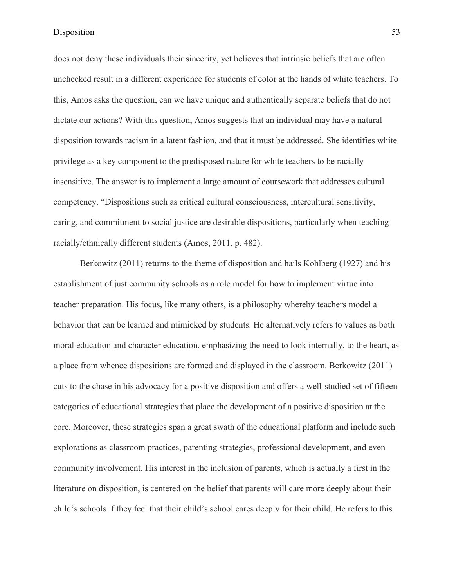does not deny these individuals their sincerity, yet believes that intrinsic beliefs that are often unchecked result in a different experience for students of color at the hands of white teachers. To this, Amos asks the question, can we have unique and authentically separate beliefs that do not dictate our actions? With this question, Amos suggests that an individual may have a natural disposition towards racism in a latent fashion, and that it must be addressed. She identifies white privilege as a key component to the predisposed nature for white teachers to be racially insensitive. The answer is to implement a large amount of coursework that addresses cultural competency. "Dispositions such as critical cultural consciousness, intercultural sensitivity, caring, and commitment to social justice are desirable dispositions, particularly when teaching racially/ethnically different students (Amos, 2011, p. 482).

Berkowitz (2011) returns to the theme of disposition and hails Kohlberg (1927) and his establishment of just community schools as a role model for how to implement virtue into teacher preparation. His focus, like many others, is a philosophy whereby teachers model a behavior that can be learned and mimicked by students. He alternatively refers to values as both moral education and character education, emphasizing the need to look internally, to the heart, as a place from whence dispositions are formed and displayed in the classroom. Berkowitz (2011) cuts to the chase in his advocacy for a positive disposition and offers a well-studied set of fifteen categories of educational strategies that place the development of a positive disposition at the core. Moreover, these strategies span a great swath of the educational platform and include such explorations as classroom practices, parenting strategies, professional development, and even community involvement. His interest in the inclusion of parents, which is actually a first in the literature on disposition, is centered on the belief that parents will care more deeply about their child's schools if they feel that their child's school cares deeply for their child. He refers to this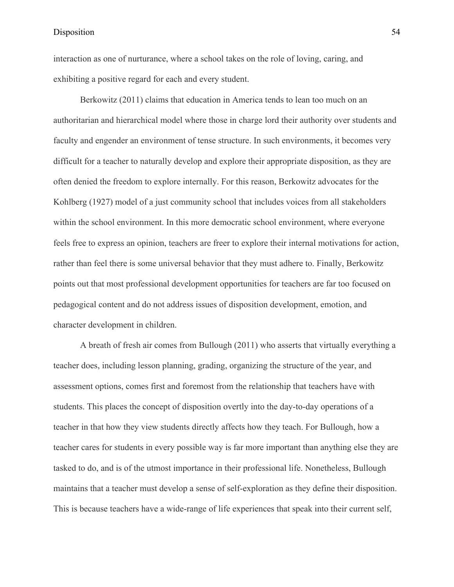interaction as one of nurturance, where a school takes on the role of loving, caring, and exhibiting a positive regard for each and every student.

Berkowitz (2011) claims that education in America tends to lean too much on an authoritarian and hierarchical model where those in charge lord their authority over students and faculty and engender an environment of tense structure. In such environments, it becomes very difficult for a teacher to naturally develop and explore their appropriate disposition, as they are often denied the freedom to explore internally. For this reason, Berkowitz advocates for the Kohlberg (1927) model of a just community school that includes voices from all stakeholders within the school environment. In this more democratic school environment, where everyone feels free to express an opinion, teachers are freer to explore their internal motivations for action, rather than feel there is some universal behavior that they must adhere to. Finally, Berkowitz points out that most professional development opportunities for teachers are far too focused on pedagogical content and do not address issues of disposition development, emotion, and character development in children.

A breath of fresh air comes from Bullough (2011) who asserts that virtually everything a teacher does, including lesson planning, grading, organizing the structure of the year, and assessment options, comes first and foremost from the relationship that teachers have with students. This places the concept of disposition overtly into the day-to-day operations of a teacher in that how they view students directly affects how they teach. For Bullough, how a teacher cares for students in every possible way is far more important than anything else they are tasked to do, and is of the utmost importance in their professional life. Nonetheless, Bullough maintains that a teacher must develop a sense of self-exploration as they define their disposition. This is because teachers have a wide-range of life experiences that speak into their current self,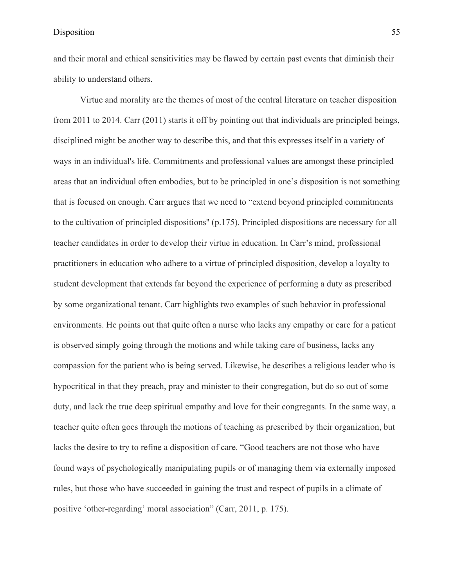and their moral and ethical sensitivities may be flawed by certain past events that diminish their ability to understand others.

Virtue and morality are the themes of most of the central literature on teacher disposition from 2011 to 2014. Carr (2011) starts it off by pointing out that individuals are principled beings, disciplined might be another way to describe this, and that this expresses itself in a variety of ways in an individual's life. Commitments and professional values are amongst these principled areas that an individual often embodies, but to be principled in one's disposition is not something that is focused on enough. Carr argues that we need to "extend beyond principled commitments to the cultivation of principled dispositions'' (p.175). Principled dispositions are necessary for all teacher candidates in order to develop their virtue in education. In Carr's mind, professional practitioners in education who adhere to a virtue of principled disposition, develop a loyalty to student development that extends far beyond the experience of performing a duty as prescribed by some organizational tenant. Carr highlights two examples of such behavior in professional environments. He points out that quite often a nurse who lacks any empathy or care for a patient is observed simply going through the motions and while taking care of business, lacks any compassion for the patient who is being served. Likewise, he describes a religious leader who is hypocritical in that they preach, pray and minister to their congregation, but do so out of some duty, and lack the true deep spiritual empathy and love for their congregants. In the same way, a teacher quite often goes through the motions of teaching as prescribed by their organization, but lacks the desire to try to refine a disposition of care. "Good teachers are not those who have found ways of psychologically manipulating pupils or of managing them via externally imposed rules, but those who have succeeded in gaining the trust and respect of pupils in a climate of positive 'other-regarding' moral association" (Carr, 2011, p. 175).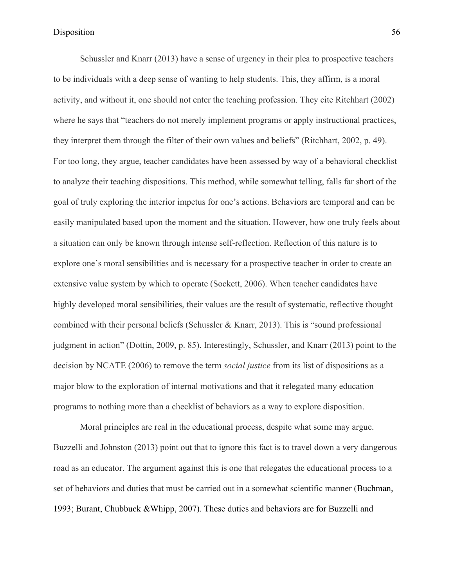Schussler and Knarr (2013) have a sense of urgency in their plea to prospective teachers to be individuals with a deep sense of wanting to help students. This, they affirm, is a moral activity, and without it, one should not enter the teaching profession. They cite Ritchhart (2002) where he says that "teachers do not merely implement programs or apply instructional practices, they interpret them through the filter of their own values and beliefs" (Ritchhart, 2002, p. 49). For too long, they argue, teacher candidates have been assessed by way of a behavioral checklist to analyze their teaching dispositions. This method, while somewhat telling, falls far short of the goal of truly exploring the interior impetus for one's actions. Behaviors are temporal and can be easily manipulated based upon the moment and the situation. However, how one truly feels about a situation can only be known through intense self-reflection. Reflection of this nature is to explore one's moral sensibilities and is necessary for a prospective teacher in order to create an extensive value system by which to operate (Sockett, 2006). When teacher candidates have highly developed moral sensibilities, their values are the result of systematic, reflective thought combined with their personal beliefs (Schussler & Knarr, 2013). This is "sound professional judgment in action" (Dottin, 2009, p. 85). Interestingly, Schussler, and Knarr (2013) point to the decision by NCATE (2006) to remove the term *social justice* from its list of dispositions as a major blow to the exploration of internal motivations and that it relegated many education programs to nothing more than a checklist of behaviors as a way to explore disposition.

Moral principles are real in the educational process, despite what some may argue. Buzzelli and Johnston (2013) point out that to ignore this fact is to travel down a very dangerous road as an educator. The argument against this is one that relegates the educational process to a set of behaviors and duties that must be carried out in a somewhat scientific manner (Buchman, 1993; Burant, Chubbuck &Whipp, 2007). These duties and behaviors are for Buzzelli and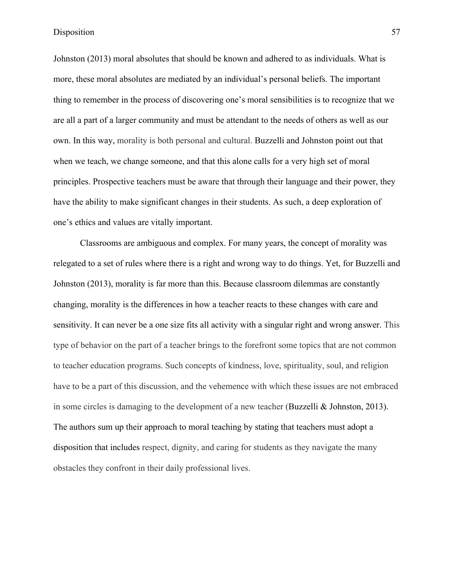Johnston (2013) moral absolutes that should be known and adhered to as individuals. What is more, these moral absolutes are mediated by an individual's personal beliefs. The important thing to remember in the process of discovering one's moral sensibilities is to recognize that we are all a part of a larger community and must be attendant to the needs of others as well as our own. In this way, morality is both personal and cultural. Buzzelli and Johnston point out that when we teach, we change someone, and that this alone calls for a very high set of moral principles. Prospective teachers must be aware that through their language and their power, they have the ability to make significant changes in their students. As such, a deep exploration of one's ethics and values are vitally important.

Classrooms are ambiguous and complex. For many years, the concept of morality was relegated to a set of rules where there is a right and wrong way to do things. Yet, for Buzzelli and Johnston (2013), morality is far more than this. Because classroom dilemmas are constantly changing, morality is the differences in how a teacher reacts to these changes with care and sensitivity. It can never be a one size fits all activity with a singular right and wrong answer. This type of behavior on the part of a teacher brings to the forefront some topics that are not common to teacher education programs. Such concepts of kindness, love, spirituality, soul, and religion have to be a part of this discussion, and the vehemence with which these issues are not embraced in some circles is damaging to the development of a new teacher (Buzzelli & Johnston, 2013). The authors sum up their approach to moral teaching by stating that teachers must adopt a disposition that includes respect, dignity, and caring for students as they navigate the many obstacles they confront in their daily professional lives.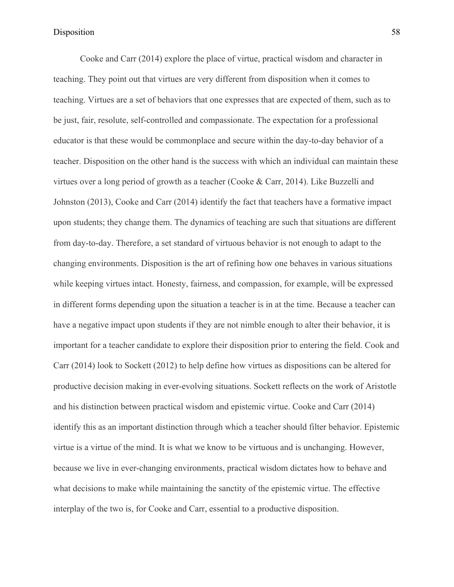Cooke and Carr (2014) explore the place of virtue, practical wisdom and character in teaching. They point out that virtues are very different from disposition when it comes to teaching. Virtues are a set of behaviors that one expresses that are expected of them, such as to be just, fair, resolute, self-controlled and compassionate. The expectation for a professional educator is that these would be commonplace and secure within the day-to-day behavior of a teacher. Disposition on the other hand is the success with which an individual can maintain these virtues over a long period of growth as a teacher (Cooke & Carr, 2014). Like Buzzelli and Johnston (2013), Cooke and Carr (2014) identify the fact that teachers have a formative impact upon students; they change them. The dynamics of teaching are such that situations are different from day-to-day. Therefore, a set standard of virtuous behavior is not enough to adapt to the changing environments. Disposition is the art of refining how one behaves in various situations while keeping virtues intact. Honesty, fairness, and compassion, for example, will be expressed in different forms depending upon the situation a teacher is in at the time. Because a teacher can have a negative impact upon students if they are not nimble enough to alter their behavior, it is important for a teacher candidate to explore their disposition prior to entering the field. Cook and Carr (2014) look to Sockett (2012) to help define how virtues as dispositions can be altered for productive decision making in ever-evolving situations. Sockett reflects on the work of Aristotle and his distinction between practical wisdom and epistemic virtue. Cooke and Carr (2014) identify this as an important distinction through which a teacher should filter behavior. Epistemic virtue is a virtue of the mind. It is what we know to be virtuous and is unchanging. However, because we live in ever-changing environments, practical wisdom dictates how to behave and what decisions to make while maintaining the sanctity of the epistemic virtue. The effective interplay of the two is, for Cooke and Carr, essential to a productive disposition.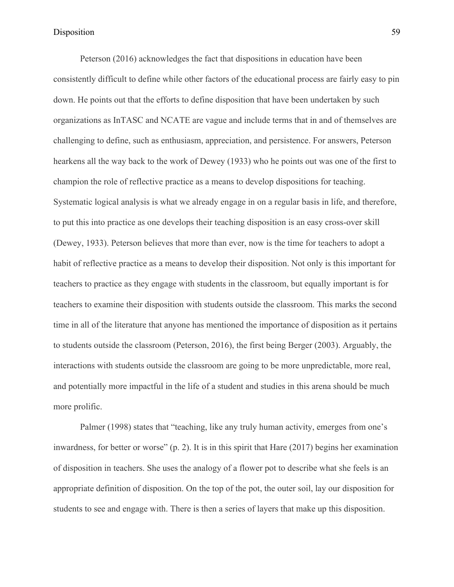Peterson (2016) acknowledges the fact that dispositions in education have been consistently difficult to define while other factors of the educational process are fairly easy to pin down. He points out that the efforts to define disposition that have been undertaken by such organizations as InTASC and NCATE are vague and include terms that in and of themselves are challenging to define, such as enthusiasm, appreciation, and persistence. For answers, Peterson hearkens all the way back to the work of Dewey (1933) who he points out was one of the first to champion the role of reflective practice as a means to develop dispositions for teaching. Systematic logical analysis is what we already engage in on a regular basis in life, and therefore, to put this into practice as one develops their teaching disposition is an easy cross-over skill (Dewey, 1933). Peterson believes that more than ever, now is the time for teachers to adopt a habit of reflective practice as a means to develop their disposition. Not only is this important for teachers to practice as they engage with students in the classroom, but equally important is for teachers to examine their disposition with students outside the classroom. This marks the second time in all of the literature that anyone has mentioned the importance of disposition as it pertains to students outside the classroom (Peterson, 2016), the first being Berger (2003). Arguably, the interactions with students outside the classroom are going to be more unpredictable, more real, and potentially more impactful in the life of a student and studies in this arena should be much more prolific.

Palmer (1998) states that "teaching, like any truly human activity, emerges from one's inwardness, for better or worse" (p. 2). It is in this spirit that Hare (2017) begins her examination of disposition in teachers. She uses the analogy of a flower pot to describe what she feels is an appropriate definition of disposition. On the top of the pot, the outer soil, lay our disposition for students to see and engage with. There is then a series of layers that make up this disposition.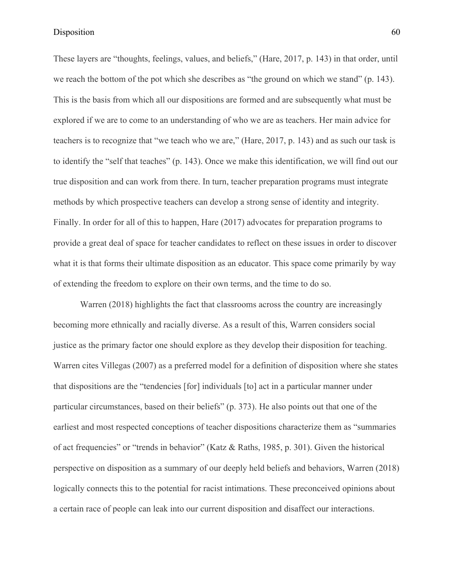These layers are "thoughts, feelings, values, and beliefs," (Hare, 2017, p. 143) in that order, until we reach the bottom of the pot which she describes as "the ground on which we stand" (p. 143). This is the basis from which all our dispositions are formed and are subsequently what must be explored if we are to come to an understanding of who we are as teachers. Her main advice for teachers is to recognize that "we teach who we are," (Hare, 2017, p. 143) and as such our task is to identify the "self that teaches" (p. 143). Once we make this identification, we will find out our true disposition and can work from there. In turn, teacher preparation programs must integrate methods by which prospective teachers can develop a strong sense of identity and integrity. Finally. In order for all of this to happen, Hare (2017) advocates for preparation programs to provide a great deal of space for teacher candidates to reflect on these issues in order to discover what it is that forms their ultimate disposition as an educator. This space come primarily by way of extending the freedom to explore on their own terms, and the time to do so.

Warren (2018) highlights the fact that classrooms across the country are increasingly becoming more ethnically and racially diverse. As a result of this, Warren considers social justice as the primary factor one should explore as they develop their disposition for teaching. Warren cites Villegas (2007) as a preferred model for a definition of disposition where she states that dispositions are the "tendencies [for] individuals [to] act in a particular manner under particular circumstances, based on their beliefs" (p. 373). He also points out that one of the earliest and most respected conceptions of teacher dispositions characterize them as "summaries of act frequencies" or "trends in behavior" (Katz & Raths, 1985, p. 301). Given the historical perspective on disposition as a summary of our deeply held beliefs and behaviors, Warren (2018) logically connects this to the potential for racist intimations. These preconceived opinions about a certain race of people can leak into our current disposition and disaffect our interactions.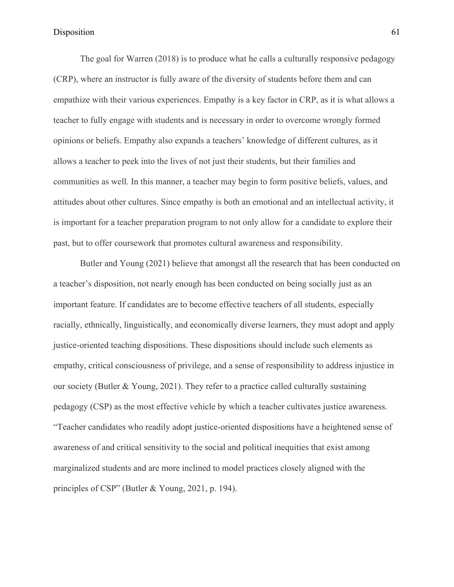The goal for Warren (2018) is to produce what he calls a culturally responsive pedagogy (CRP), where an instructor is fully aware of the diversity of students before them and can empathize with their various experiences. Empathy is a key factor in CRP, as it is what allows a teacher to fully engage with students and is necessary in order to overcome wrongly formed opinions or beliefs. Empathy also expands a teachers' knowledge of different cultures, as it allows a teacher to peek into the lives of not just their students, but their families and communities as well. In this manner, a teacher may begin to form positive beliefs, values, and attitudes about other cultures. Since empathy is both an emotional and an intellectual activity, it is important for a teacher preparation program to not only allow for a candidate to explore their past, but to offer coursework that promotes cultural awareness and responsibility.

Butler and Young (2021) believe that amongst all the research that has been conducted on a teacher's disposition, not nearly enough has been conducted on being socially just as an important feature. If candidates are to become effective teachers of all students, especially racially, ethnically, linguistically, and economically diverse learners, they must adopt and apply justice-oriented teaching dispositions. These dispositions should include such elements as empathy, critical consciousness of privilege, and a sense of responsibility to address injustice in our society (Butler & Young, 2021). They refer to a practice called culturally sustaining pedagogy (CSP) as the most effective vehicle by which a teacher cultivates justice awareness. "Teacher candidates who readily adopt justice-oriented dispositions have a heightened sense of awareness of and critical sensitivity to the social and political inequities that exist among marginalized students and are more inclined to model practices closely aligned with the principles of CSP" (Butler & Young, 2021, p. 194).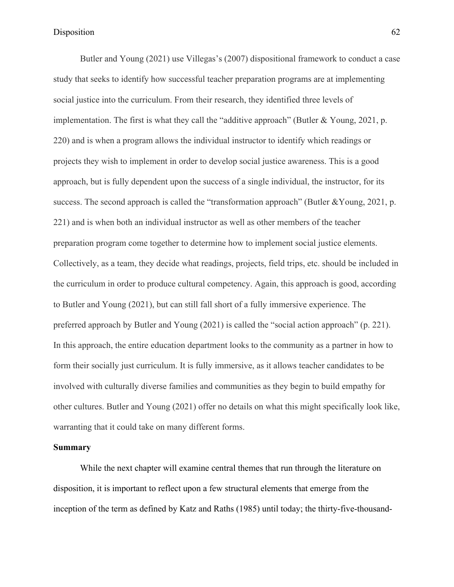Butler and Young (2021) use Villegas's (2007) dispositional framework to conduct a case study that seeks to identify how successful teacher preparation programs are at implementing social justice into the curriculum. From their research, they identified three levels of implementation. The first is what they call the "additive approach" (Butler & Young, 2021, p. 220) and is when a program allows the individual instructor to identify which readings or projects they wish to implement in order to develop social justice awareness. This is a good approach, but is fully dependent upon the success of a single individual, the instructor, for its success. The second approach is called the "transformation approach" (Butler &Young, 2021, p. 221) and is when both an individual instructor as well as other members of the teacher preparation program come together to determine how to implement social justice elements. Collectively, as a team, they decide what readings, projects, field trips, etc. should be included in the curriculum in order to produce cultural competency. Again, this approach is good, according to Butler and Young (2021), but can still fall short of a fully immersive experience. The preferred approach by Butler and Young (2021) is called the "social action approach" (p. 221). In this approach, the entire education department looks to the community as a partner in how to form their socially just curriculum. It is fully immersive, as it allows teacher candidates to be involved with culturally diverse families and communities as they begin to build empathy for other cultures. Butler and Young (2021) offer no details on what this might specifically look like, warranting that it could take on many different forms.

# **Summary**

While the next chapter will examine central themes that run through the literature on disposition, it is important to reflect upon a few structural elements that emerge from the inception of the term as defined by Katz and Raths (1985) until today; the thirty-five-thousand-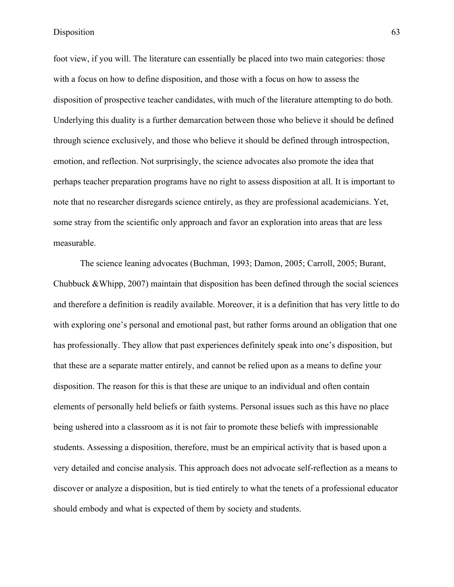foot view, if you will. The literature can essentially be placed into two main categories: those with a focus on how to define disposition, and those with a focus on how to assess the disposition of prospective teacher candidates, with much of the literature attempting to do both. Underlying this duality is a further demarcation between those who believe it should be defined through science exclusively, and those who believe it should be defined through introspection, emotion, and reflection. Not surprisingly, the science advocates also promote the idea that perhaps teacher preparation programs have no right to assess disposition at all. It is important to note that no researcher disregards science entirely, as they are professional academicians. Yet, some stray from the scientific only approach and favor an exploration into areas that are less measurable.

The science leaning advocates (Buchman, 1993; Damon, 2005; Carroll, 2005; Burant, Chubbuck &Whipp, 2007) maintain that disposition has been defined through the social sciences and therefore a definition is readily available. Moreover, it is a definition that has very little to do with exploring one's personal and emotional past, but rather forms around an obligation that one has professionally. They allow that past experiences definitely speak into one's disposition, but that these are a separate matter entirely, and cannot be relied upon as a means to define your disposition. The reason for this is that these are unique to an individual and often contain elements of personally held beliefs or faith systems. Personal issues such as this have no place being ushered into a classroom as it is not fair to promote these beliefs with impressionable students. Assessing a disposition, therefore, must be an empirical activity that is based upon a very detailed and concise analysis. This approach does not advocate self-reflection as a means to discover or analyze a disposition, but is tied entirely to what the tenets of a professional educator should embody and what is expected of them by society and students.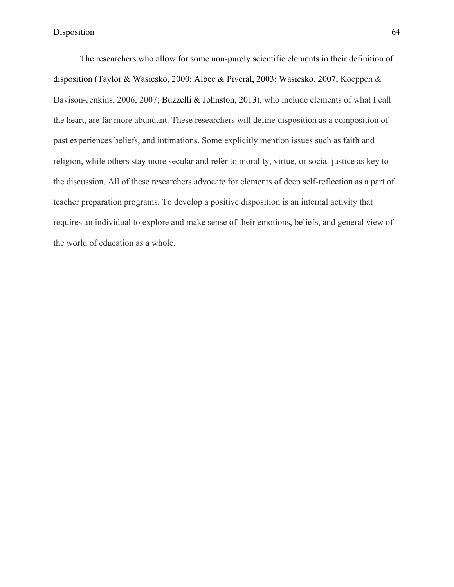The researchers who allow for some non-purely scientific elements in their definition of disposition (Taylor & Wasicsko, 2000; Albee & Piveral, 2003; Wasicsko, 2007; Koeppen & Davison-Jenkins, 2006, 2007; Buzzelli & Johnston, 2013), who include elements of what I call the heart, are far more abundant. These researchers will define disposition as a composition of past experiences beliefs, and intimations. Some explicitly mention issues such as faith and religion, while others stay more secular and refer to morality, virtue, or social justice as key to the discussion. All of these researchers advocate for elements of deep self-reflection as a part of teacher preparation programs. To develop a positive disposition is an internal activity that requires an individual to explore and make sense of their emotions, beliefs, and general view of the world of education as a whole.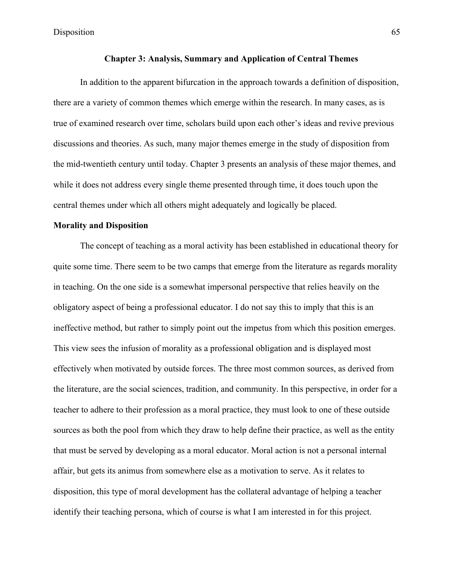# **Chapter 3: Analysis, Summary and Application of Central Themes**

In addition to the apparent bifurcation in the approach towards a definition of disposition, there are a variety of common themes which emerge within the research. In many cases, as is true of examined research over time, scholars build upon each other's ideas and revive previous discussions and theories. As such, many major themes emerge in the study of disposition from the mid-twentieth century until today. Chapter 3 presents an analysis of these major themes, and while it does not address every single theme presented through time, it does touch upon the central themes under which all others might adequately and logically be placed.

#### **Morality and Disposition**

The concept of teaching as a moral activity has been established in educational theory for quite some time. There seem to be two camps that emerge from the literature as regards morality in teaching. On the one side is a somewhat impersonal perspective that relies heavily on the obligatory aspect of being a professional educator. I do not say this to imply that this is an ineffective method, but rather to simply point out the impetus from which this position emerges. This view sees the infusion of morality as a professional obligation and is displayed most effectively when motivated by outside forces. The three most common sources, as derived from the literature, are the social sciences, tradition, and community. In this perspective, in order for a teacher to adhere to their profession as a moral practice, they must look to one of these outside sources as both the pool from which they draw to help define their practice, as well as the entity that must be served by developing as a moral educator. Moral action is not a personal internal affair, but gets its animus from somewhere else as a motivation to serve. As it relates to disposition, this type of moral development has the collateral advantage of helping a teacher identify their teaching persona, which of course is what I am interested in for this project.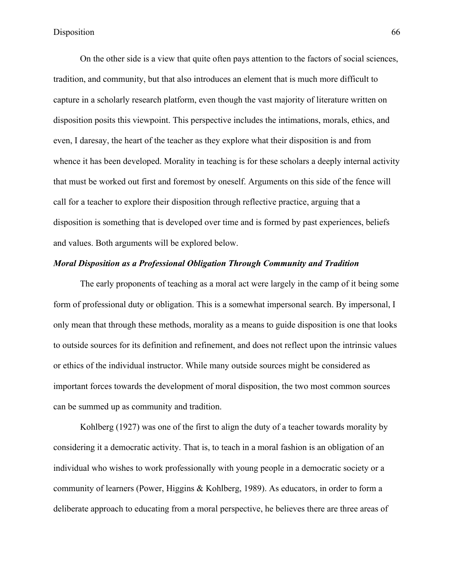On the other side is a view that quite often pays attention to the factors of social sciences, tradition, and community, but that also introduces an element that is much more difficult to capture in a scholarly research platform, even though the vast majority of literature written on disposition posits this viewpoint. This perspective includes the intimations, morals, ethics, and even, I daresay, the heart of the teacher as they explore what their disposition is and from whence it has been developed. Morality in teaching is for these scholars a deeply internal activity that must be worked out first and foremost by oneself. Arguments on this side of the fence will call for a teacher to explore their disposition through reflective practice, arguing that a disposition is something that is developed over time and is formed by past experiences, beliefs and values. Both arguments will be explored below.

## *Moral Disposition as a Professional Obligation Through Community and Tradition*

The early proponents of teaching as a moral act were largely in the camp of it being some form of professional duty or obligation. This is a somewhat impersonal search. By impersonal, I only mean that through these methods, morality as a means to guide disposition is one that looks to outside sources for its definition and refinement, and does not reflect upon the intrinsic values or ethics of the individual instructor. While many outside sources might be considered as important forces towards the development of moral disposition, the two most common sources can be summed up as community and tradition.

Kohlberg (1927) was one of the first to align the duty of a teacher towards morality by considering it a democratic activity. That is, to teach in a moral fashion is an obligation of an individual who wishes to work professionally with young people in a democratic society or a community of learners (Power, Higgins & Kohlberg, 1989). As educators, in order to form a deliberate approach to educating from a moral perspective, he believes there are three areas of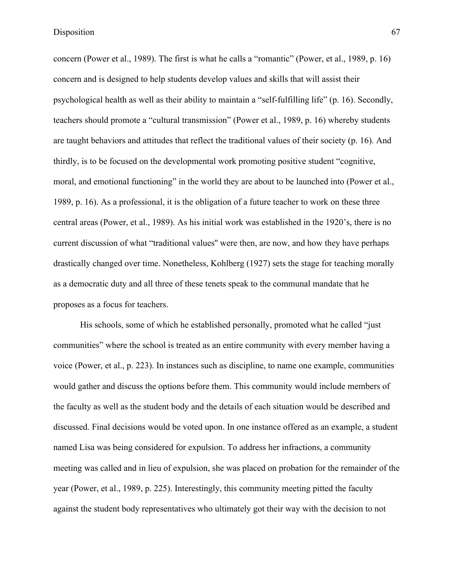concern (Power et al., 1989). The first is what he calls a "romantic" (Power, et al., 1989, p. 16) concern and is designed to help students develop values and skills that will assist their psychological health as well as their ability to maintain a "self-fulfilling life" (p. 16). Secondly, teachers should promote a "cultural transmission" (Power et al., 1989, p. 16) whereby students are taught behaviors and attitudes that reflect the traditional values of their society (p. 16). And thirdly, is to be focused on the developmental work promoting positive student "cognitive, moral, and emotional functioning" in the world they are about to be launched into (Power et al., 1989, p. 16). As a professional, it is the obligation of a future teacher to work on these three central areas (Power, et al., 1989). As his initial work was established in the 1920's, there is no current discussion of what "traditional values'' were then, are now, and how they have perhaps drastically changed over time. Nonetheless, Kohlberg (1927) sets the stage for teaching morally as a democratic duty and all three of these tenets speak to the communal mandate that he proposes as a focus for teachers.

His schools, some of which he established personally, promoted what he called "just communities" where the school is treated as an entire community with every member having a voice (Power, et al., p. 223). In instances such as discipline, to name one example, communities would gather and discuss the options before them. This community would include members of the faculty as well as the student body and the details of each situation would be described and discussed. Final decisions would be voted upon. In one instance offered as an example, a student named Lisa was being considered for expulsion. To address her infractions, a community meeting was called and in lieu of expulsion, she was placed on probation for the remainder of the year (Power, et al., 1989, p. 225). Interestingly, this community meeting pitted the faculty against the student body representatives who ultimately got their way with the decision to not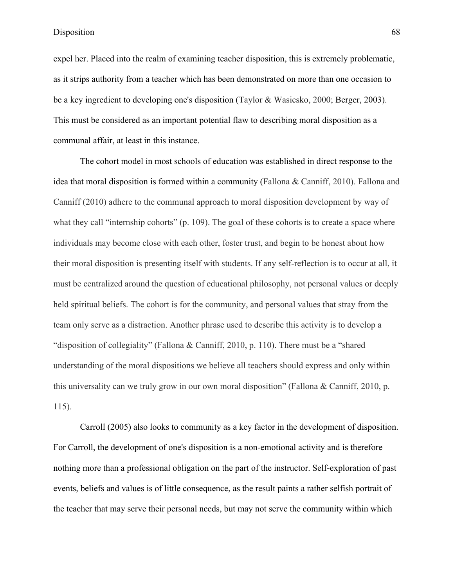expel her. Placed into the realm of examining teacher disposition, this is extremely problematic, as it strips authority from a teacher which has been demonstrated on more than one occasion to be a key ingredient to developing one's disposition (Taylor & Wasicsko, 2000; Berger, 2003). This must be considered as an important potential flaw to describing moral disposition as a communal affair, at least in this instance.

The cohort model in most schools of education was established in direct response to the idea that moral disposition is formed within a community (Fallona & Canniff, 2010). Fallona and Canniff (2010) adhere to the communal approach to moral disposition development by way of what they call "internship cohorts" (p. 109). The goal of these cohorts is to create a space where individuals may become close with each other, foster trust, and begin to be honest about how their moral disposition is presenting itself with students. If any self-reflection is to occur at all, it must be centralized around the question of educational philosophy, not personal values or deeply held spiritual beliefs. The cohort is for the community, and personal values that stray from the team only serve as a distraction. Another phrase used to describe this activity is to develop a "disposition of collegiality" (Fallona & Canniff, 2010, p. 110). There must be a "shared understanding of the moral dispositions we believe all teachers should express and only within this universality can we truly grow in our own moral disposition" (Fallona & Canniff, 2010, p. 115).

Carroll (2005) also looks to community as a key factor in the development of disposition. For Carroll, the development of one's disposition is a non-emotional activity and is therefore nothing more than a professional obligation on the part of the instructor. Self-exploration of past events, beliefs and values is of little consequence, as the result paints a rather selfish portrait of the teacher that may serve their personal needs, but may not serve the community within which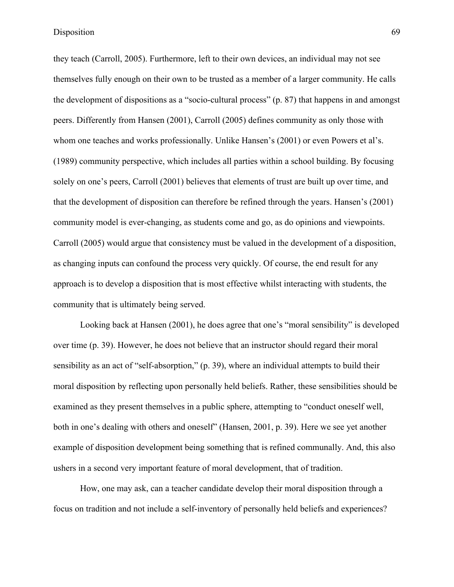they teach (Carroll, 2005). Furthermore, left to their own devices, an individual may not see themselves fully enough on their own to be trusted as a member of a larger community. He calls the development of dispositions as a "socio-cultural process" (p. 87) that happens in and amongst peers. Differently from Hansen (2001), Carroll (2005) defines community as only those with whom one teaches and works professionally. Unlike Hansen's (2001) or even Powers et al's. (1989) community perspective, which includes all parties within a school building. By focusing solely on one's peers, Carroll (2001) believes that elements of trust are built up over time, and that the development of disposition can therefore be refined through the years. Hansen's (2001) community model is ever-changing, as students come and go, as do opinions and viewpoints. Carroll (2005) would argue that consistency must be valued in the development of a disposition, as changing inputs can confound the process very quickly. Of course, the end result for any approach is to develop a disposition that is most effective whilst interacting with students, the community that is ultimately being served.

Looking back at Hansen (2001), he does agree that one's "moral sensibility" is developed over time (p. 39). However, he does not believe that an instructor should regard their moral sensibility as an act of "self-absorption," (p. 39), where an individual attempts to build their moral disposition by reflecting upon personally held beliefs. Rather, these sensibilities should be examined as they present themselves in a public sphere, attempting to "conduct oneself well, both in one's dealing with others and oneself" (Hansen, 2001, p. 39). Here we see yet another example of disposition development being something that is refined communally. And, this also ushers in a second very important feature of moral development, that of tradition.

How, one may ask, can a teacher candidate develop their moral disposition through a focus on tradition and not include a self-inventory of personally held beliefs and experiences?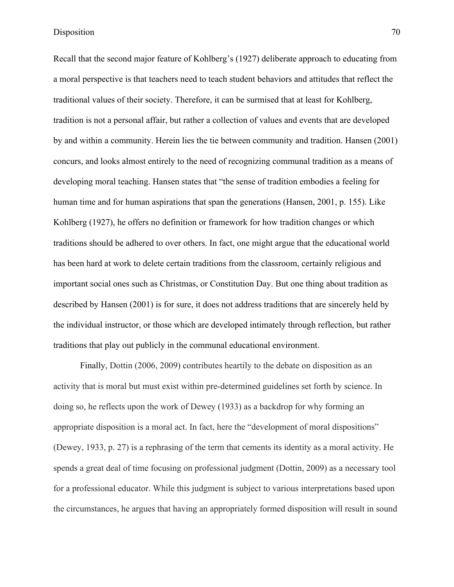Recall that the second major feature of Kohlberg's (1927) deliberate approach to educating from a moral perspective is that teachers need to teach student behaviors and attitudes that reflect the traditional values of their society. Therefore, it can be surmised that at least for Kohlberg, tradition is not a personal affair, but rather a collection of values and events that are developed by and within a community. Herein lies the tie between community and tradition. Hansen (2001) concurs, and looks almost entirely to the need of recognizing communal tradition as a means of developing moral teaching. Hansen states that "the sense of tradition embodies a feeling for human time and for human aspirations that span the generations (Hansen, 2001, p. 155). Like Kohlberg (1927), he offers no definition or framework for how tradition changes or which traditions should be adhered to over others. In fact, one might argue that the educational world has been hard at work to delete certain traditions from the classroom, certainly religious and important social ones such as Christmas, or Constitution Day. But one thing about tradition as described by Hansen (2001) is for sure, it does not address traditions that are sincerely held by the individual instructor, or those which are developed intimately through reflection, but rather traditions that play out publicly in the communal educational environment.

Finally, Dottin (2006, 2009) contributes heartily to the debate on disposition as an activity that is moral but must exist within pre-determined guidelines set forth by science. In doing so, he reflects upon the work of Dewey (1933) as a backdrop for why forming an appropriate disposition is a moral act. In fact, here the "development of moral dispositions" (Dewey, 1933, p. 27) is a rephrasing of the term that cements its identity as a moral activity. He spends a great deal of time focusing on professional judgment (Dottin, 2009) as a necessary tool for a professional educator. While this judgment is subject to various interpretations based upon the circumstances, he argues that having an appropriately formed disposition will result in sound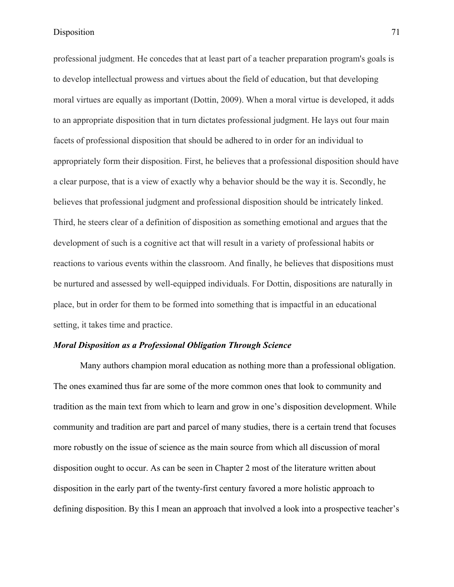professional judgment. He concedes that at least part of a teacher preparation program's goals is to develop intellectual prowess and virtues about the field of education, but that developing moral virtues are equally as important (Dottin, 2009). When a moral virtue is developed, it adds to an appropriate disposition that in turn dictates professional judgment. He lays out four main facets of professional disposition that should be adhered to in order for an individual to appropriately form their disposition. First, he believes that a professional disposition should have a clear purpose, that is a view of exactly why a behavior should be the way it is. Secondly, he believes that professional judgment and professional disposition should be intricately linked. Third, he steers clear of a definition of disposition as something emotional and argues that the development of such is a cognitive act that will result in a variety of professional habits or reactions to various events within the classroom. And finally, he believes that dispositions must be nurtured and assessed by well-equipped individuals. For Dottin, dispositions are naturally in place, but in order for them to be formed into something that is impactful in an educational setting, it takes time and practice.

# *Moral Disposition as a Professional Obligation Through Science*

Many authors champion moral education as nothing more than a professional obligation. The ones examined thus far are some of the more common ones that look to community and tradition as the main text from which to learn and grow in one's disposition development. While community and tradition are part and parcel of many studies, there is a certain trend that focuses more robustly on the issue of science as the main source from which all discussion of moral disposition ought to occur. As can be seen in Chapter 2 most of the literature written about disposition in the early part of the twenty-first century favored a more holistic approach to defining disposition. By this I mean an approach that involved a look into a prospective teacher's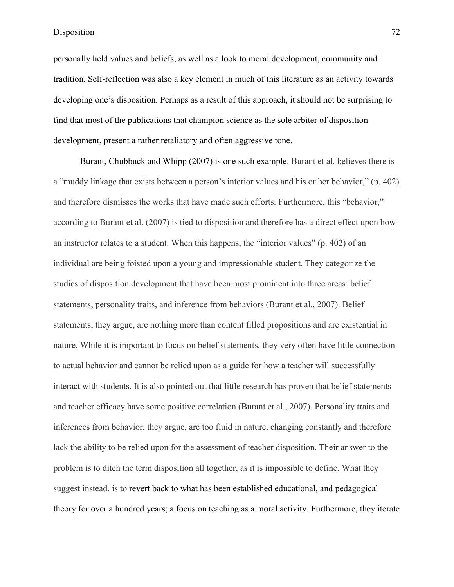personally held values and beliefs, as well as a look to moral development, community and tradition. Self-reflection was also a key element in much of this literature as an activity towards developing one's disposition. Perhaps as a result of this approach, it should not be surprising to find that most of the publications that champion science as the sole arbiter of disposition development, present a rather retaliatory and often aggressive tone.

Burant, Chubbuck and Whipp (2007) is one such example. Burant et al. believes there is a "muddy linkage that exists between a person's interior values and his or her behavior," (p. 402) and therefore dismisses the works that have made such efforts. Furthermore, this "behavior," according to Burant et al. (2007) is tied to disposition and therefore has a direct effect upon how an instructor relates to a student. When this happens, the "interior values" (p. 402) of an individual are being foisted upon a young and impressionable student. They categorize the studies of disposition development that have been most prominent into three areas: belief statements, personality traits, and inference from behaviors (Burant et al., 2007). Belief statements, they argue, are nothing more than content filled propositions and are existential in nature. While it is important to focus on belief statements, they very often have little connection to actual behavior and cannot be relied upon as a guide for how a teacher will successfully interact with students. It is also pointed out that little research has proven that belief statements and teacher efficacy have some positive correlation (Burant et al., 2007). Personality traits and inferences from behavior, they argue, are too fluid in nature, changing constantly and therefore lack the ability to be relied upon for the assessment of teacher disposition. Their answer to the problem is to ditch the term disposition all together, as it is impossible to define. What they suggest instead, is to revert back to what has been established educational, and pedagogical theory for over a hundred years; a focus on teaching as a moral activity. Furthermore, they iterate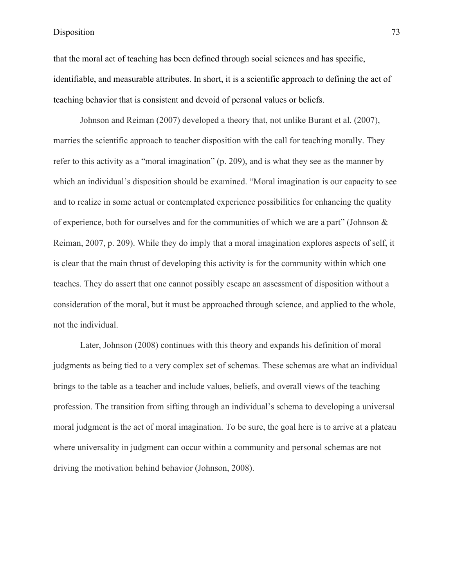that the moral act of teaching has been defined through social sciences and has specific, identifiable, and measurable attributes. In short, it is a scientific approach to defining the act of teaching behavior that is consistent and devoid of personal values or beliefs.

Johnson and Reiman (2007) developed a theory that, not unlike Burant et al. (2007), marries the scientific approach to teacher disposition with the call for teaching morally. They refer to this activity as a "moral imagination" (p. 209), and is what they see as the manner by which an individual's disposition should be examined. "Moral imagination is our capacity to see and to realize in some actual or contemplated experience possibilities for enhancing the quality of experience, both for ourselves and for the communities of which we are a part" (Johnson & Reiman, 2007, p. 209). While they do imply that a moral imagination explores aspects of self, it is clear that the main thrust of developing this activity is for the community within which one teaches. They do assert that one cannot possibly escape an assessment of disposition without a consideration of the moral, but it must be approached through science, and applied to the whole, not the individual.

Later, Johnson (2008) continues with this theory and expands his definition of moral judgments as being tied to a very complex set of schemas. These schemas are what an individual brings to the table as a teacher and include values, beliefs, and overall views of the teaching profession. The transition from sifting through an individual's schema to developing a universal moral judgment is the act of moral imagination. To be sure, the goal here is to arrive at a plateau where universality in judgment can occur within a community and personal schemas are not driving the motivation behind behavior (Johnson, 2008).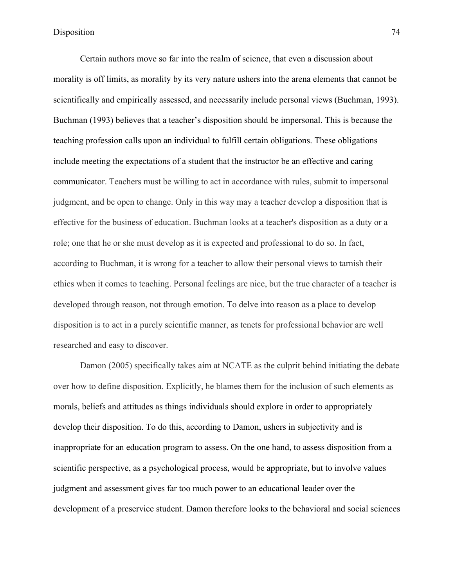Certain authors move so far into the realm of science, that even a discussion about morality is off limits, as morality by its very nature ushers into the arena elements that cannot be scientifically and empirically assessed, and necessarily include personal views (Buchman, 1993). Buchman (1993) believes that a teacher's disposition should be impersonal. This is because the teaching profession calls upon an individual to fulfill certain obligations. These obligations include meeting the expectations of a student that the instructor be an effective and caring communicator. Teachers must be willing to act in accordance with rules, submit to impersonal judgment, and be open to change. Only in this way may a teacher develop a disposition that is effective for the business of education. Buchman looks at a teacher's disposition as a duty or a role; one that he or she must develop as it is expected and professional to do so. In fact, according to Buchman, it is wrong for a teacher to allow their personal views to tarnish their ethics when it comes to teaching. Personal feelings are nice, but the true character of a teacher is developed through reason, not through emotion. To delve into reason as a place to develop disposition is to act in a purely scientific manner, as tenets for professional behavior are well researched and easy to discover.

Damon (2005) specifically takes aim at NCATE as the culprit behind initiating the debate over how to define disposition. Explicitly, he blames them for the inclusion of such elements as morals, beliefs and attitudes as things individuals should explore in order to appropriately develop their disposition. To do this, according to Damon, ushers in subjectivity and is inappropriate for an education program to assess. On the one hand, to assess disposition from a scientific perspective, as a psychological process, would be appropriate, but to involve values judgment and assessment gives far too much power to an educational leader over the development of a preservice student. Damon therefore looks to the behavioral and social sciences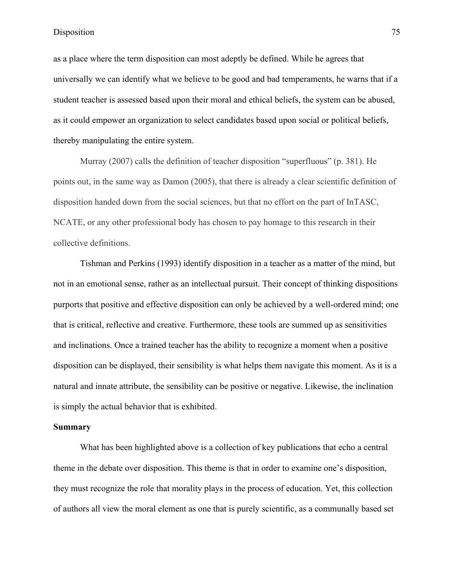as a place where the term disposition can most adeptly be defined. While he agrees that universally we can identify what we believe to be good and bad temperaments, he warns that if a student teacher is assessed based upon their moral and ethical beliefs, the system can be abused, as it could empower an organization to select candidates based upon social or political beliefs, thereby manipulating the entire system.

Murray (2007) calls the definition of teacher disposition "superfluous" (p. 381). He points out, in the same way as Damon (2005), that there is already a clear scientific definition of disposition handed down from the social sciences, but that no effort on the part of InTASC, NCATE, or any other professional body has chosen to pay homage to this research in their collective definitions.

Tishman and Perkins (1993) identify disposition in a teacher as a matter of the mind, but not in an emotional sense, rather as an intellectual pursuit. Their concept of thinking dispositions purports that positive and effective disposition can only be achieved by a well-ordered mind; one that is critical, reflective and creative. Furthermore, these tools are summed up as sensitivities and inclinations. Once a trained teacher has the ability to recognize a moment when a positive disposition can be displayed, their sensibility is what helps them navigate this moment. As it is a natural and innate attribute, the sensibility can be positive or negative. Likewise, the inclination is simply the actual behavior that is exhibited.

#### **Summary**

What has been highlighted above is a collection of key publications that echo a central theme in the debate over disposition. This theme is that in order to examine one's disposition, they must recognize the role that morality plays in the process of education. Yet, this collection of authors all view the moral element as one that is purely scientific, as a communally based set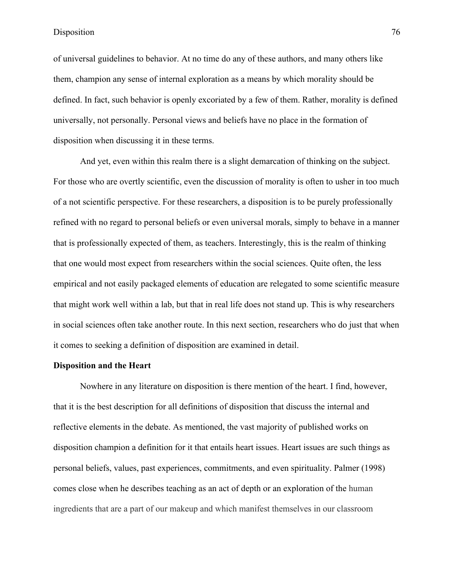of universal guidelines to behavior. At no time do any of these authors, and many others like them, champion any sense of internal exploration as a means by which morality should be defined. In fact, such behavior is openly excoriated by a few of them. Rather, morality is defined universally, not personally. Personal views and beliefs have no place in the formation of disposition when discussing it in these terms.

And yet, even within this realm there is a slight demarcation of thinking on the subject. For those who are overtly scientific, even the discussion of morality is often to usher in too much of a not scientific perspective. For these researchers, a disposition is to be purely professionally refined with no regard to personal beliefs or even universal morals, simply to behave in a manner that is professionally expected of them, as teachers. Interestingly, this is the realm of thinking that one would most expect from researchers within the social sciences. Quite often, the less empirical and not easily packaged elements of education are relegated to some scientific measure that might work well within a lab, but that in real life does not stand up. This is why researchers in social sciences often take another route. In this next section, researchers who do just that when it comes to seeking a definition of disposition are examined in detail.

### **Disposition and the Heart**

Nowhere in any literature on disposition is there mention of the heart. I find, however, that it is the best description for all definitions of disposition that discuss the internal and reflective elements in the debate. As mentioned, the vast majority of published works on disposition champion a definition for it that entails heart issues. Heart issues are such things as personal beliefs, values, past experiences, commitments, and even spirituality. Palmer (1998) comes close when he describes teaching as an act of depth or an exploration of the human ingredients that are a part of our makeup and which manifest themselves in our classroom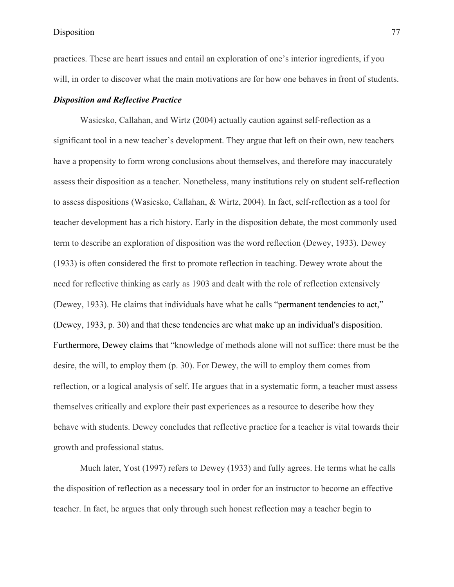practices. These are heart issues and entail an exploration of one's interior ingredients, if you will, in order to discover what the main motivations are for how one behaves in front of students.

# *Disposition and Reflective Practice*

Wasicsko, Callahan, and Wirtz (2004) actually caution against self-reflection as a significant tool in a new teacher's development. They argue that left on their own, new teachers have a propensity to form wrong conclusions about themselves, and therefore may inaccurately assess their disposition as a teacher. Nonetheless, many institutions rely on student self-reflection to assess dispositions (Wasicsko, Callahan, & Wirtz, 2004). In fact, self-reflection as a tool for teacher development has a rich history. Early in the disposition debate, the most commonly used term to describe an exploration of disposition was the word reflection (Dewey, 1933). Dewey (1933) is often considered the first to promote reflection in teaching. Dewey wrote about the need for reflective thinking as early as 1903 and dealt with the role of reflection extensively (Dewey, 1933). He claims that individuals have what he calls "permanent tendencies to act," (Dewey, 1933, p. 30) and that these tendencies are what make up an individual's disposition. Furthermore, Dewey claims that "knowledge of methods alone will not suffice: there must be the desire, the will, to employ them (p. 30). For Dewey, the will to employ them comes from reflection, or a logical analysis of self. He argues that in a systematic form, a teacher must assess themselves critically and explore their past experiences as a resource to describe how they behave with students. Dewey concludes that reflective practice for a teacher is vital towards their growth and professional status.

Much later, Yost (1997) refers to Dewey (1933) and fully agrees. He terms what he calls the disposition of reflection as a necessary tool in order for an instructor to become an effective teacher. In fact, he argues that only through such honest reflection may a teacher begin to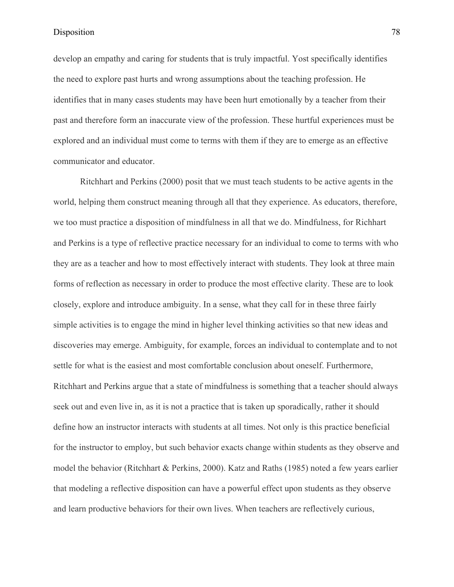develop an empathy and caring for students that is truly impactful. Yost specifically identifies the need to explore past hurts and wrong assumptions about the teaching profession. He identifies that in many cases students may have been hurt emotionally by a teacher from their past and therefore form an inaccurate view of the profession. These hurtful experiences must be explored and an individual must come to terms with them if they are to emerge as an effective communicator and educator.

Ritchhart and Perkins (2000) posit that we must teach students to be active agents in the world, helping them construct meaning through all that they experience. As educators, therefore, we too must practice a disposition of mindfulness in all that we do. Mindfulness, for Richhart and Perkins is a type of reflective practice necessary for an individual to come to terms with who they are as a teacher and how to most effectively interact with students. They look at three main forms of reflection as necessary in order to produce the most effective clarity. These are to look closely, explore and introduce ambiguity. In a sense, what they call for in these three fairly simple activities is to engage the mind in higher level thinking activities so that new ideas and discoveries may emerge. Ambiguity, for example, forces an individual to contemplate and to not settle for what is the easiest and most comfortable conclusion about oneself. Furthermore, Ritchhart and Perkins argue that a state of mindfulness is something that a teacher should always seek out and even live in, as it is not a practice that is taken up sporadically, rather it should define how an instructor interacts with students at all times. Not only is this practice beneficial for the instructor to employ, but such behavior exacts change within students as they observe and model the behavior (Ritchhart & Perkins, 2000). Katz and Raths (1985) noted a few years earlier that modeling a reflective disposition can have a powerful effect upon students as they observe and learn productive behaviors for their own lives. When teachers are reflectively curious,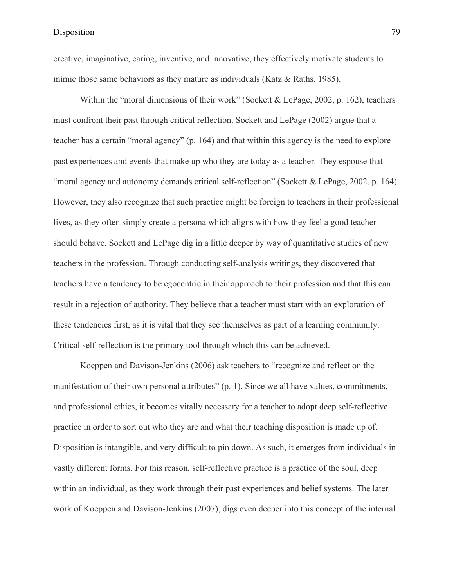creative, imaginative, caring, inventive, and innovative, they effectively motivate students to mimic those same behaviors as they mature as individuals (Katz & Raths, 1985).

Within the "moral dimensions of their work" (Sockett & LePage, 2002, p. 162), teachers must confront their past through critical reflection. Sockett and LePage (2002) argue that a teacher has a certain "moral agency" (p. 164) and that within this agency is the need to explore past experiences and events that make up who they are today as a teacher. They espouse that "moral agency and autonomy demands critical self-reflection" (Sockett & LePage, 2002, p. 164). However, they also recognize that such practice might be foreign to teachers in their professional lives, as they often simply create a persona which aligns with how they feel a good teacher should behave. Sockett and LePage dig in a little deeper by way of quantitative studies of new teachers in the profession. Through conducting self-analysis writings, they discovered that teachers have a tendency to be egocentric in their approach to their profession and that this can result in a rejection of authority. They believe that a teacher must start with an exploration of these tendencies first, as it is vital that they see themselves as part of a learning community. Critical self-reflection is the primary tool through which this can be achieved.

Koeppen and Davison-Jenkins (2006) ask teachers to "recognize and reflect on the manifestation of their own personal attributes" (p. 1). Since we all have values, commitments, and professional ethics, it becomes vitally necessary for a teacher to adopt deep self-reflective practice in order to sort out who they are and what their teaching disposition is made up of. Disposition is intangible, and very difficult to pin down. As such, it emerges from individuals in vastly different forms. For this reason, self-reflective practice is a practice of the soul, deep within an individual, as they work through their past experiences and belief systems. The later work of Koeppen and Davison-Jenkins (2007), digs even deeper into this concept of the internal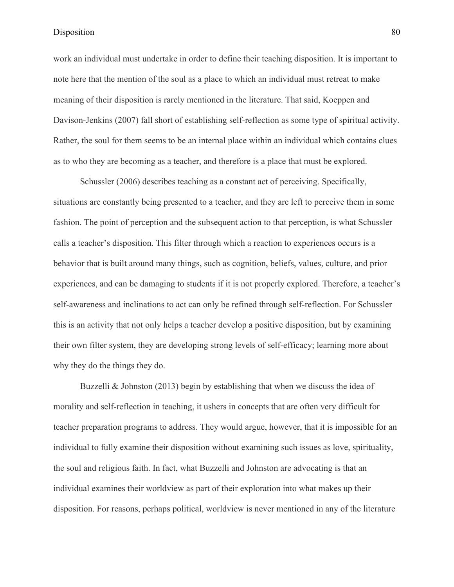work an individual must undertake in order to define their teaching disposition. It is important to note here that the mention of the soul as a place to which an individual must retreat to make meaning of their disposition is rarely mentioned in the literature. That said, Koeppen and Davison-Jenkins (2007) fall short of establishing self-reflection as some type of spiritual activity. Rather, the soul for them seems to be an internal place within an individual which contains clues as to who they are becoming as a teacher, and therefore is a place that must be explored.

Schussler (2006) describes teaching as a constant act of perceiving. Specifically, situations are constantly being presented to a teacher, and they are left to perceive them in some fashion. The point of perception and the subsequent action to that perception, is what Schussler calls a teacher's disposition. This filter through which a reaction to experiences occurs is a behavior that is built around many things, such as cognition, beliefs, values, culture, and prior experiences, and can be damaging to students if it is not properly explored. Therefore, a teacher's self-awareness and inclinations to act can only be refined through self-reflection. For Schussler this is an activity that not only helps a teacher develop a positive disposition, but by examining their own filter system, they are developing strong levels of self-efficacy; learning more about why they do the things they do.

Buzzelli & Johnston  $(2013)$  begin by establishing that when we discuss the idea of morality and self-reflection in teaching, it ushers in concepts that are often very difficult for teacher preparation programs to address. They would argue, however, that it is impossible for an individual to fully examine their disposition without examining such issues as love, spirituality, the soul and religious faith. In fact, what Buzzelli and Johnston are advocating is that an individual examines their worldview as part of their exploration into what makes up their disposition. For reasons, perhaps political, worldview is never mentioned in any of the literature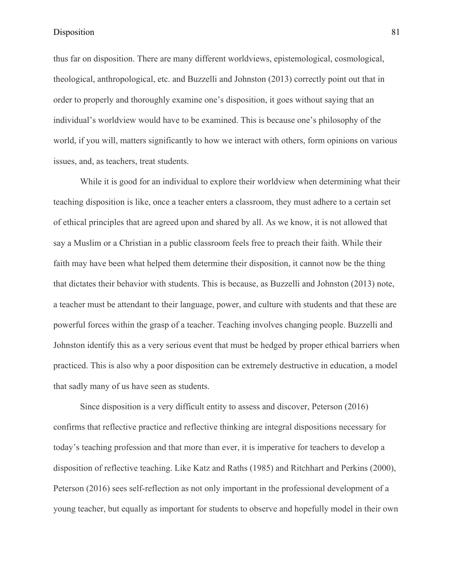thus far on disposition. There are many different worldviews, epistemological, cosmological, theological, anthropological, etc. and Buzzelli and Johnston (2013) correctly point out that in order to properly and thoroughly examine one's disposition, it goes without saying that an individual's worldview would have to be examined. This is because one's philosophy of the world, if you will, matters significantly to how we interact with others, form opinions on various issues, and, as teachers, treat students.

While it is good for an individual to explore their worldview when determining what their teaching disposition is like, once a teacher enters a classroom, they must adhere to a certain set of ethical principles that are agreed upon and shared by all. As we know, it is not allowed that say a Muslim or a Christian in a public classroom feels free to preach their faith. While their faith may have been what helped them determine their disposition, it cannot now be the thing that dictates their behavior with students. This is because, as Buzzelli and Johnston (2013) note, a teacher must be attendant to their language, power, and culture with students and that these are powerful forces within the grasp of a teacher. Teaching involves changing people. Buzzelli and Johnston identify this as a very serious event that must be hedged by proper ethical barriers when practiced. This is also why a poor disposition can be extremely destructive in education, a model that sadly many of us have seen as students.

Since disposition is a very difficult entity to assess and discover, Peterson (2016) confirms that reflective practice and reflective thinking are integral dispositions necessary for today's teaching profession and that more than ever, it is imperative for teachers to develop a disposition of reflective teaching. Like Katz and Raths (1985) and Ritchhart and Perkins (2000), Peterson (2016) sees self-reflection as not only important in the professional development of a young teacher, but equally as important for students to observe and hopefully model in their own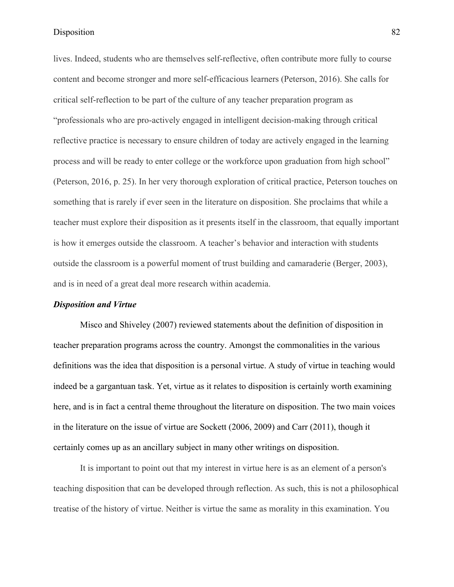lives. Indeed, students who are themselves self-reflective, often contribute more fully to course content and become stronger and more self-efficacious learners (Peterson, 2016). She calls for critical self-reflection to be part of the culture of any teacher preparation program as "professionals who are pro-actively engaged in intelligent decision-making through critical reflective practice is necessary to ensure children of today are actively engaged in the learning process and will be ready to enter college or the workforce upon graduation from high school" (Peterson, 2016, p. 25). In her very thorough exploration of critical practice, Peterson touches on something that is rarely if ever seen in the literature on disposition. She proclaims that while a teacher must explore their disposition as it presents itself in the classroom, that equally important is how it emerges outside the classroom. A teacher's behavior and interaction with students outside the classroom is a powerful moment of trust building and camaraderie (Berger, 2003), and is in need of a great deal more research within academia.

#### *Disposition and Virtue*

Misco and Shiveley (2007) reviewed statements about the definition of disposition in teacher preparation programs across the country. Amongst the commonalities in the various definitions was the idea that disposition is a personal virtue. A study of virtue in teaching would indeed be a gargantuan task. Yet, virtue as it relates to disposition is certainly worth examining here, and is in fact a central theme throughout the literature on disposition. The two main voices in the literature on the issue of virtue are Sockett (2006, 2009) and Carr (2011), though it certainly comes up as an ancillary subject in many other writings on disposition.

It is important to point out that my interest in virtue here is as an element of a person's teaching disposition that can be developed through reflection. As such, this is not a philosophical treatise of the history of virtue. Neither is virtue the same as morality in this examination. You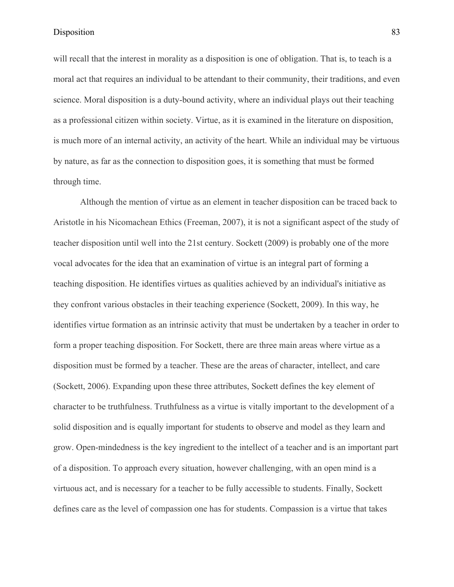will recall that the interest in morality as a disposition is one of obligation. That is, to teach is a moral act that requires an individual to be attendant to their community, their traditions, and even science. Moral disposition is a duty-bound activity, where an individual plays out their teaching as a professional citizen within society. Virtue, as it is examined in the literature on disposition, is much more of an internal activity, an activity of the heart. While an individual may be virtuous by nature, as far as the connection to disposition goes, it is something that must be formed through time.

Although the mention of virtue as an element in teacher disposition can be traced back to Aristotle in his Nicomachean Ethics (Freeman, 2007), it is not a significant aspect of the study of teacher disposition until well into the 21st century. Sockett (2009) is probably one of the more vocal advocates for the idea that an examination of virtue is an integral part of forming a teaching disposition. He identifies virtues as qualities achieved by an individual's initiative as they confront various obstacles in their teaching experience (Sockett, 2009). In this way, he identifies virtue formation as an intrinsic activity that must be undertaken by a teacher in order to form a proper teaching disposition. For Sockett, there are three main areas where virtue as a disposition must be formed by a teacher. These are the areas of character, intellect, and care (Sockett, 2006). Expanding upon these three attributes, Sockett defines the key element of character to be truthfulness. Truthfulness as a virtue is vitally important to the development of a solid disposition and is equally important for students to observe and model as they learn and grow. Open-mindedness is the key ingredient to the intellect of a teacher and is an important part of a disposition. To approach every situation, however challenging, with an open mind is a virtuous act, and is necessary for a teacher to be fully accessible to students. Finally, Sockett defines care as the level of compassion one has for students. Compassion is a virtue that takes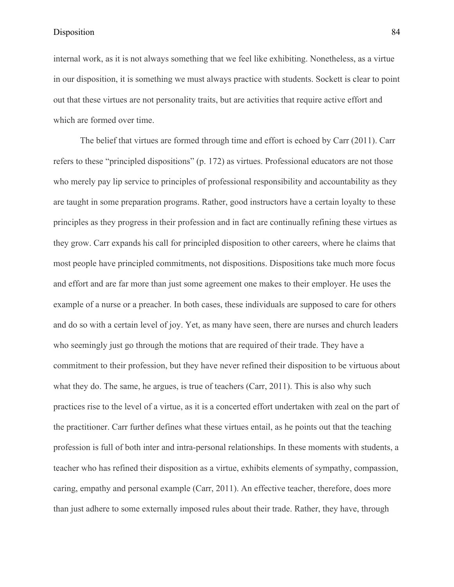internal work, as it is not always something that we feel like exhibiting. Nonetheless, as a virtue in our disposition, it is something we must always practice with students. Sockett is clear to point out that these virtues are not personality traits, but are activities that require active effort and which are formed over time.

The belief that virtues are formed through time and effort is echoed by Carr (2011). Carr refers to these "principled dispositions" (p. 172) as virtues. Professional educators are not those who merely pay lip service to principles of professional responsibility and accountability as they are taught in some preparation programs. Rather, good instructors have a certain loyalty to these principles as they progress in their profession and in fact are continually refining these virtues as they grow. Carr expands his call for principled disposition to other careers, where he claims that most people have principled commitments, not dispositions. Dispositions take much more focus and effort and are far more than just some agreement one makes to their employer. He uses the example of a nurse or a preacher. In both cases, these individuals are supposed to care for others and do so with a certain level of joy. Yet, as many have seen, there are nurses and church leaders who seemingly just go through the motions that are required of their trade. They have a commitment to their profession, but they have never refined their disposition to be virtuous about what they do. The same, he argues, is true of teachers (Carr, 2011). This is also why such practices rise to the level of a virtue, as it is a concerted effort undertaken with zeal on the part of the practitioner. Carr further defines what these virtues entail, as he points out that the teaching profession is full of both inter and intra-personal relationships. In these moments with students, a teacher who has refined their disposition as a virtue, exhibits elements of sympathy, compassion, caring, empathy and personal example (Carr, 2011). An effective teacher, therefore, does more than just adhere to some externally imposed rules about their trade. Rather, they have, through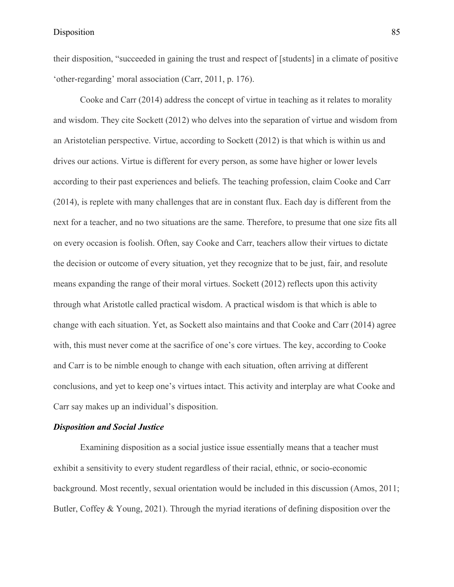their disposition, "succeeded in gaining the trust and respect of [students] in a climate of positive 'other-regarding' moral association (Carr, 2011, p. 176).

Cooke and Carr (2014) address the concept of virtue in teaching as it relates to morality and wisdom. They cite Sockett (2012) who delves into the separation of virtue and wisdom from an Aristotelian perspective. Virtue, according to Sockett (2012) is that which is within us and drives our actions. Virtue is different for every person, as some have higher or lower levels according to their past experiences and beliefs. The teaching profession, claim Cooke and Carr (2014), is replete with many challenges that are in constant flux. Each day is different from the next for a teacher, and no two situations are the same. Therefore, to presume that one size fits all on every occasion is foolish. Often, say Cooke and Carr, teachers allow their virtues to dictate the decision or outcome of every situation, yet they recognize that to be just, fair, and resolute means expanding the range of their moral virtues. Sockett (2012) reflects upon this activity through what Aristotle called practical wisdom. A practical wisdom is that which is able to change with each situation. Yet, as Sockett also maintains and that Cooke and Carr (2014) agree with, this must never come at the sacrifice of one's core virtues. The key, according to Cooke and Carr is to be nimble enough to change with each situation, often arriving at different conclusions, and yet to keep one's virtues intact. This activity and interplay are what Cooke and Carr say makes up an individual's disposition.

#### *Disposition and Social Justice*

Examining disposition as a social justice issue essentially means that a teacher must exhibit a sensitivity to every student regardless of their racial, ethnic, or socio-economic background. Most recently, sexual orientation would be included in this discussion (Amos, 2011; Butler, Coffey & Young, 2021). Through the myriad iterations of defining disposition over the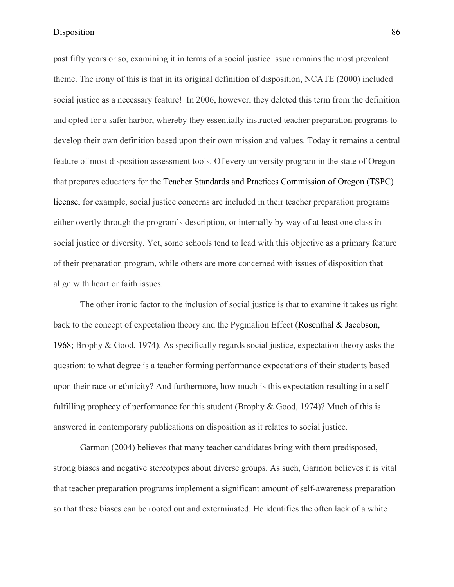past fifty years or so, examining it in terms of a social justice issue remains the most prevalent theme. The irony of this is that in its original definition of disposition, NCATE (2000) included social justice as a necessary feature! In 2006, however, they deleted this term from the definition and opted for a safer harbor, whereby they essentially instructed teacher preparation programs to develop their own definition based upon their own mission and values. Today it remains a central feature of most disposition assessment tools. Of every university program in the state of Oregon that prepares educators for the Teacher Standards and Practices Commission of Oregon (TSPC) license, for example, social justice concerns are included in their teacher preparation programs either overtly through the program's description, or internally by way of at least one class in social justice or diversity. Yet, some schools tend to lead with this objective as a primary feature of their preparation program, while others are more concerned with issues of disposition that align with heart or faith issues.

The other ironic factor to the inclusion of social justice is that to examine it takes us right back to the concept of expectation theory and the Pygmalion Effect (Rosenthal & Jacobson, 1968; Brophy & Good, 1974). As specifically regards social justice, expectation theory asks the question: to what degree is a teacher forming performance expectations of their students based upon their race or ethnicity? And furthermore, how much is this expectation resulting in a selffulfilling prophecy of performance for this student (Brophy & Good, 1974)? Much of this is answered in contemporary publications on disposition as it relates to social justice.

Garmon (2004) believes that many teacher candidates bring with them predisposed, strong biases and negative stereotypes about diverse groups. As such, Garmon believes it is vital that teacher preparation programs implement a significant amount of self-awareness preparation so that these biases can be rooted out and exterminated. He identifies the often lack of a white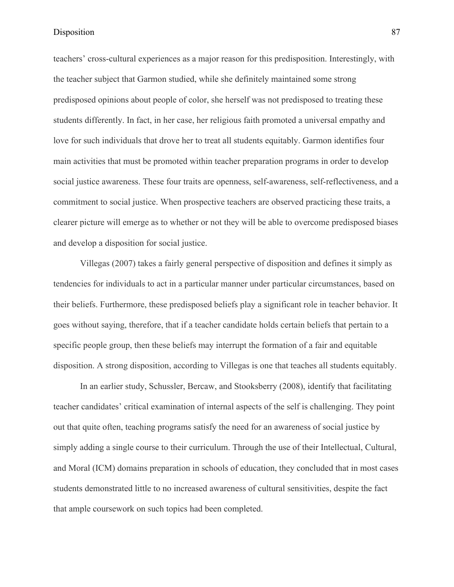teachers' cross-cultural experiences as a major reason for this predisposition. Interestingly, with the teacher subject that Garmon studied, while she definitely maintained some strong predisposed opinions about people of color, she herself was not predisposed to treating these students differently. In fact, in her case, her religious faith promoted a universal empathy and love for such individuals that drove her to treat all students equitably. Garmon identifies four main activities that must be promoted within teacher preparation programs in order to develop social justice awareness. These four traits are openness, self-awareness, self-reflectiveness, and a commitment to social justice. When prospective teachers are observed practicing these traits, a clearer picture will emerge as to whether or not they will be able to overcome predisposed biases and develop a disposition for social justice.

Villegas (2007) takes a fairly general perspective of disposition and defines it simply as tendencies for individuals to act in a particular manner under particular circumstances, based on their beliefs. Furthermore, these predisposed beliefs play a significant role in teacher behavior. It goes without saying, therefore, that if a teacher candidate holds certain beliefs that pertain to a specific people group, then these beliefs may interrupt the formation of a fair and equitable disposition. A strong disposition, according to Villegas is one that teaches all students equitably.

In an earlier study, Schussler, Bercaw, and Stooksberry (2008), identify that facilitating teacher candidates' critical examination of internal aspects of the self is challenging. They point out that quite often, teaching programs satisfy the need for an awareness of social justice by simply adding a single course to their curriculum. Through the use of their Intellectual, Cultural, and Moral (ICM) domains preparation in schools of education, they concluded that in most cases students demonstrated little to no increased awareness of cultural sensitivities, despite the fact that ample coursework on such topics had been completed.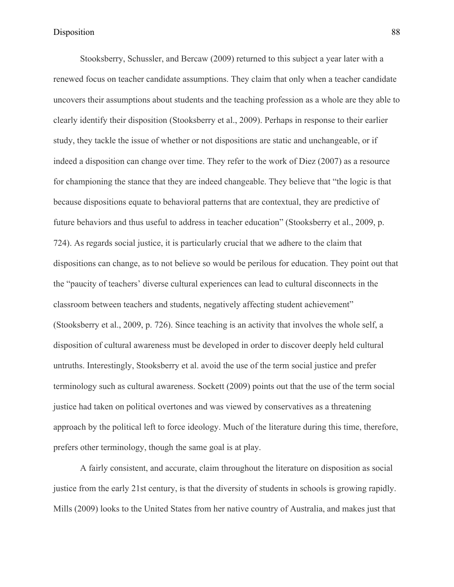Stooksberry, Schussler, and Bercaw (2009) returned to this subject a year later with a renewed focus on teacher candidate assumptions. They claim that only when a teacher candidate uncovers their assumptions about students and the teaching profession as a whole are they able to clearly identify their disposition (Stooksberry et al., 2009). Perhaps in response to their earlier study, they tackle the issue of whether or not dispositions are static and unchangeable, or if indeed a disposition can change over time. They refer to the work of Diez (2007) as a resource for championing the stance that they are indeed changeable. They believe that "the logic is that because dispositions equate to behavioral patterns that are contextual, they are predictive of future behaviors and thus useful to address in teacher education" (Stooksberry et al., 2009, p. 724). As regards social justice, it is particularly crucial that we adhere to the claim that dispositions can change, as to not believe so would be perilous for education. They point out that the "paucity of teachers' diverse cultural experiences can lead to cultural disconnects in the classroom between teachers and students, negatively affecting student achievement" (Stooksberry et al., 2009, p. 726). Since teaching is an activity that involves the whole self, a disposition of cultural awareness must be developed in order to discover deeply held cultural untruths. Interestingly, Stooksberry et al. avoid the use of the term social justice and prefer terminology such as cultural awareness. Sockett (2009) points out that the use of the term social justice had taken on political overtones and was viewed by conservatives as a threatening approach by the political left to force ideology. Much of the literature during this time, therefore, prefers other terminology, though the same goal is at play.

A fairly consistent, and accurate, claim throughout the literature on disposition as social justice from the early 21st century, is that the diversity of students in schools is growing rapidly. Mills (2009) looks to the United States from her native country of Australia, and makes just that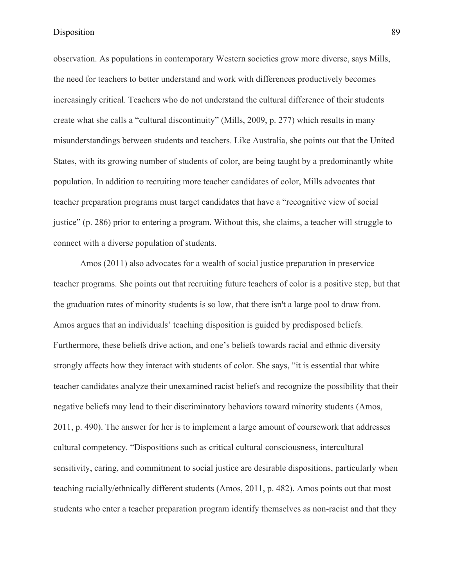observation. As populations in contemporary Western societies grow more diverse, says Mills, the need for teachers to better understand and work with differences productively becomes increasingly critical. Teachers who do not understand the cultural difference of their students create what she calls a "cultural discontinuity" (Mills, 2009, p. 277) which results in many misunderstandings between students and teachers. Like Australia, she points out that the United States, with its growing number of students of color, are being taught by a predominantly white population. In addition to recruiting more teacher candidates of color, Mills advocates that teacher preparation programs must target candidates that have a "recognitive view of social justice" (p. 286) prior to entering a program. Without this, she claims, a teacher will struggle to connect with a diverse population of students.

Amos (2011) also advocates for a wealth of social justice preparation in preservice teacher programs. She points out that recruiting future teachers of color is a positive step, but that the graduation rates of minority students is so low, that there isn't a large pool to draw from. Amos argues that an individuals' teaching disposition is guided by predisposed beliefs. Furthermore, these beliefs drive action, and one's beliefs towards racial and ethnic diversity strongly affects how they interact with students of color. She says, "it is essential that white teacher candidates analyze their unexamined racist beliefs and recognize the possibility that their negative beliefs may lead to their discriminatory behaviors toward minority students (Amos, 2011, p. 490). The answer for her is to implement a large amount of coursework that addresses cultural competency. "Dispositions such as critical cultural consciousness, intercultural sensitivity, caring, and commitment to social justice are desirable dispositions, particularly when teaching racially/ethnically different students (Amos, 2011, p. 482). Amos points out that most students who enter a teacher preparation program identify themselves as non-racist and that they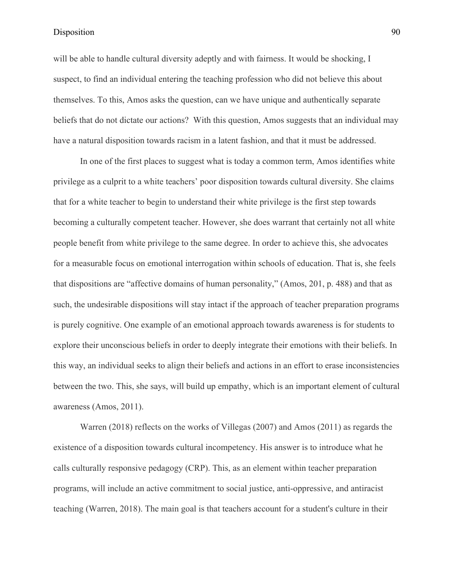will be able to handle cultural diversity adeptly and with fairness. It would be shocking, I suspect, to find an individual entering the teaching profession who did not believe this about themselves. To this, Amos asks the question, can we have unique and authentically separate beliefs that do not dictate our actions? With this question, Amos suggests that an individual may have a natural disposition towards racism in a latent fashion, and that it must be addressed.

In one of the first places to suggest what is today a common term, Amos identifies white privilege as a culprit to a white teachers' poor disposition towards cultural diversity. She claims that for a white teacher to begin to understand their white privilege is the first step towards becoming a culturally competent teacher. However, she does warrant that certainly not all white people benefit from white privilege to the same degree. In order to achieve this, she advocates for a measurable focus on emotional interrogation within schools of education. That is, she feels that dispositions are "affective domains of human personality," (Amos, 201, p. 488) and that as such, the undesirable dispositions will stay intact if the approach of teacher preparation programs is purely cognitive. One example of an emotional approach towards awareness is for students to explore their unconscious beliefs in order to deeply integrate their emotions with their beliefs. In this way, an individual seeks to align their beliefs and actions in an effort to erase inconsistencies between the two. This, she says, will build up empathy, which is an important element of cultural awareness (Amos, 2011).

Warren (2018) reflects on the works of Villegas (2007) and Amos (2011) as regards the existence of a disposition towards cultural incompetency. His answer is to introduce what he calls culturally responsive pedagogy (CRP). This, as an element within teacher preparation programs, will include an active commitment to social justice, anti-oppressive, and antiracist teaching (Warren, 2018). The main goal is that teachers account for a student's culture in their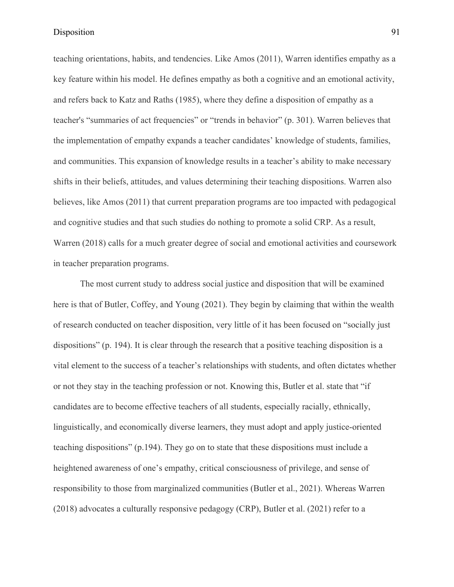teaching orientations, habits, and tendencies. Like Amos (2011), Warren identifies empathy as a key feature within his model. He defines empathy as both a cognitive and an emotional activity, and refers back to Katz and Raths (1985), where they define a disposition of empathy as a teacher's "summaries of act frequencies" or "trends in behavior" (p. 301). Warren believes that the implementation of empathy expands a teacher candidates' knowledge of students, families, and communities. This expansion of knowledge results in a teacher's ability to make necessary shifts in their beliefs, attitudes, and values determining their teaching dispositions. Warren also believes, like Amos (2011) that current preparation programs are too impacted with pedagogical and cognitive studies and that such studies do nothing to promote a solid CRP. As a result, Warren (2018) calls for a much greater degree of social and emotional activities and coursework in teacher preparation programs.

The most current study to address social justice and disposition that will be examined here is that of Butler, Coffey, and Young (2021). They begin by claiming that within the wealth of research conducted on teacher disposition, very little of it has been focused on "socially just dispositions" (p. 194). It is clear through the research that a positive teaching disposition is a vital element to the success of a teacher's relationships with students, and often dictates whether or not they stay in the teaching profession or not. Knowing this, Butler et al. state that "if candidates are to become effective teachers of all students, especially racially, ethnically, linguistically, and economically diverse learners, they must adopt and apply justice-oriented teaching dispositions" (p.194). They go on to state that these dispositions must include a heightened awareness of one's empathy, critical consciousness of privilege, and sense of responsibility to those from marginalized communities (Butler et al., 2021). Whereas Warren (2018) advocates a culturally responsive pedagogy (CRP), Butler et al. (2021) refer to a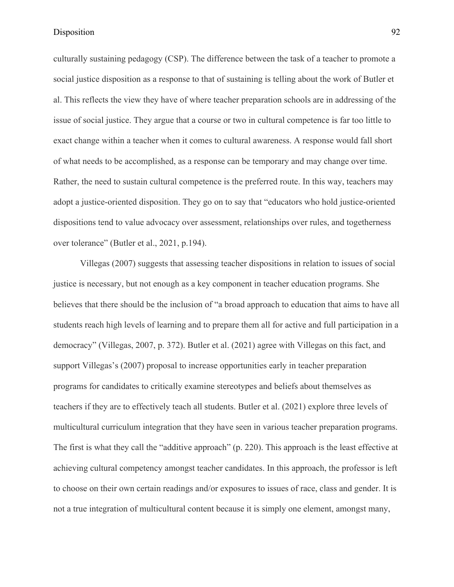culturally sustaining pedagogy (CSP). The difference between the task of a teacher to promote a social justice disposition as a response to that of sustaining is telling about the work of Butler et al. This reflects the view they have of where teacher preparation schools are in addressing of the issue of social justice. They argue that a course or two in cultural competence is far too little to exact change within a teacher when it comes to cultural awareness. A response would fall short of what needs to be accomplished, as a response can be temporary and may change over time. Rather, the need to sustain cultural competence is the preferred route. In this way, teachers may adopt a justice-oriented disposition. They go on to say that "educators who hold justice-oriented dispositions tend to value advocacy over assessment, relationships over rules, and togetherness over tolerance" (Butler et al., 2021, p.194).

Villegas (2007) suggests that assessing teacher dispositions in relation to issues of social justice is necessary, but not enough as a key component in teacher education programs. She believes that there should be the inclusion of "a broad approach to education that aims to have all students reach high levels of learning and to prepare them all for active and full participation in a democracy" (Villegas, 2007, p. 372). Butler et al. (2021) agree with Villegas on this fact, and support Villegas's (2007) proposal to increase opportunities early in teacher preparation programs for candidates to critically examine stereotypes and beliefs about themselves as teachers if they are to effectively teach all students. Butler et al. (2021) explore three levels of multicultural curriculum integration that they have seen in various teacher preparation programs. The first is what they call the "additive approach" (p. 220). This approach is the least effective at achieving cultural competency amongst teacher candidates. In this approach, the professor is left to choose on their own certain readings and/or exposures to issues of race, class and gender. It is not a true integration of multicultural content because it is simply one element, amongst many,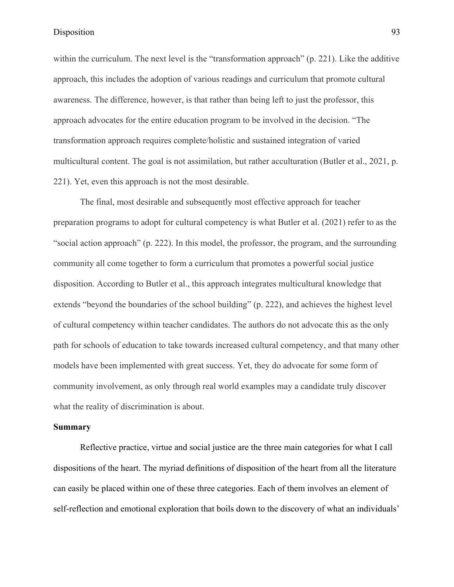within the curriculum. The next level is the "transformation approach" (p. 221). Like the additive approach, this includes the adoption of various readings and curriculum that promote cultural awareness. The difference, however, is that rather than being left to just the professor, this approach advocates for the entire education program to be involved in the decision. "The transformation approach requires complete/holistic and sustained integration of varied multicultural content. The goal is not assimilation, but rather acculturation (Butler et al., 2021, p. 221). Yet, even this approach is not the most desirable.

The final, most desirable and subsequently most effective approach for teacher preparation programs to adopt for cultural competency is what Butler et al. (2021) refer to as the "social action approach" (p. 222). In this model, the professor, the program, and the surrounding community all come together to form a curriculum that promotes a powerful social justice disposition. According to Butler et al., this approach integrates multicultural knowledge that extends "beyond the boundaries of the school building" (p. 222), and achieves the highest level of cultural competency within teacher candidates. The authors do not advocate this as the only path for schools of education to take towards increased cultural competency, and that many other models have been implemented with great success. Yet, they do advocate for some form of community involvement, as only through real world examples may a candidate truly discover what the reality of discrimination is about.

#### **Summary**

Reflective practice, virtue and social justice are the three main categories for what I call dispositions of the heart. The myriad definitions of disposition of the heart from all the literature can easily be placed within one of these three categories. Each of them involves an element of self-reflection and emotional exploration that boils down to the discovery of what an individuals'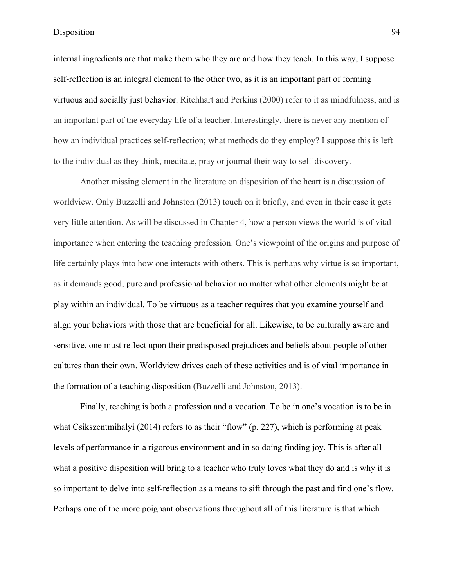internal ingredients are that make them who they are and how they teach. In this way, I suppose self-reflection is an integral element to the other two, as it is an important part of forming virtuous and socially just behavior. Ritchhart and Perkins (2000) refer to it as mindfulness, and is an important part of the everyday life of a teacher. Interestingly, there is never any mention of how an individual practices self-reflection; what methods do they employ? I suppose this is left to the individual as they think, meditate, pray or journal their way to self-discovery.

Another missing element in the literature on disposition of the heart is a discussion of worldview. Only Buzzelli and Johnston (2013) touch on it briefly, and even in their case it gets very little attention. As will be discussed in Chapter 4, how a person views the world is of vital importance when entering the teaching profession. One's viewpoint of the origins and purpose of life certainly plays into how one interacts with others. This is perhaps why virtue is so important, as it demands good, pure and professional behavior no matter what other elements might be at play within an individual. To be virtuous as a teacher requires that you examine yourself and align your behaviors with those that are beneficial for all. Likewise, to be culturally aware and sensitive, one must reflect upon their predisposed prejudices and beliefs about people of other cultures than their own. Worldview drives each of these activities and is of vital importance in the formation of a teaching disposition (Buzzelli and Johnston, 2013).

Finally, teaching is both a profession and a vocation. To be in one's vocation is to be in what Csikszentmihalyi (2014) refers to as their "flow" (p. 227), which is performing at peak levels of performance in a rigorous environment and in so doing finding joy. This is after all what a positive disposition will bring to a teacher who truly loves what they do and is why it is so important to delve into self-reflection as a means to sift through the past and find one's flow. Perhaps one of the more poignant observations throughout all of this literature is that which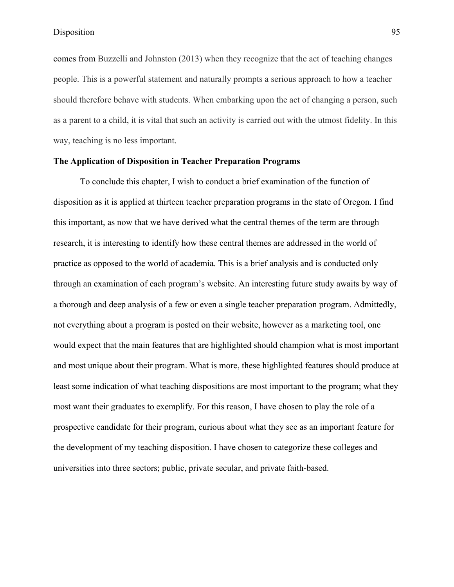comes from Buzzelli and Johnston (2013) when they recognize that the act of teaching changes people. This is a powerful statement and naturally prompts a serious approach to how a teacher should therefore behave with students. When embarking upon the act of changing a person, such as a parent to a child, it is vital that such an activity is carried out with the utmost fidelity. In this way, teaching is no less important.

## **The Application of Disposition in Teacher Preparation Programs**

To conclude this chapter, I wish to conduct a brief examination of the function of disposition as it is applied at thirteen teacher preparation programs in the state of Oregon. I find this important, as now that we have derived what the central themes of the term are through research, it is interesting to identify how these central themes are addressed in the world of practice as opposed to the world of academia. This is a brief analysis and is conducted only through an examination of each program's website. An interesting future study awaits by way of a thorough and deep analysis of a few or even a single teacher preparation program. Admittedly, not everything about a program is posted on their website, however as a marketing tool, one would expect that the main features that are highlighted should champion what is most important and most unique about their program. What is more, these highlighted features should produce at least some indication of what teaching dispositions are most important to the program; what they most want their graduates to exemplify. For this reason, I have chosen to play the role of a prospective candidate for their program, curious about what they see as an important feature for the development of my teaching disposition. I have chosen to categorize these colleges and universities into three sectors; public, private secular, and private faith-based.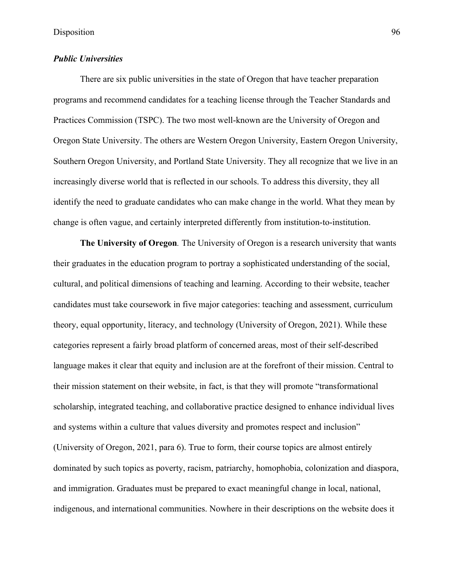# *Public Universities*

There are six public universities in the state of Oregon that have teacher preparation programs and recommend candidates for a teaching license through the Teacher Standards and Practices Commission (TSPC). The two most well-known are the University of Oregon and Oregon State University. The others are Western Oregon University, Eastern Oregon University, Southern Oregon University, and Portland State University. They all recognize that we live in an increasingly diverse world that is reflected in our schools. To address this diversity, they all identify the need to graduate candidates who can make change in the world. What they mean by change is often vague, and certainly interpreted differently from institution-to-institution.

**The University of Oregon***.* The University of Oregon is a research university that wants their graduates in the education program to portray a sophisticated understanding of the social, cultural, and political dimensions of teaching and learning. According to their website, teacher candidates must take coursework in five major categories: teaching and assessment, curriculum theory, equal opportunity, literacy, and technology (University of Oregon, 2021). While these categories represent a fairly broad platform of concerned areas, most of their self-described language makes it clear that equity and inclusion are at the forefront of their mission. Central to their mission statement on their website, in fact, is that they will promote "transformational scholarship, integrated teaching, and collaborative practice designed to enhance individual lives and systems within a culture that values diversity and promotes respect and inclusion" (University of Oregon, 2021, para 6). True to form, their course topics are almost entirely dominated by such topics as poverty, racism, patriarchy, homophobia, colonization and diaspora, and immigration. Graduates must be prepared to exact meaningful change in local, national, indigenous, and international communities. Nowhere in their descriptions on the website does it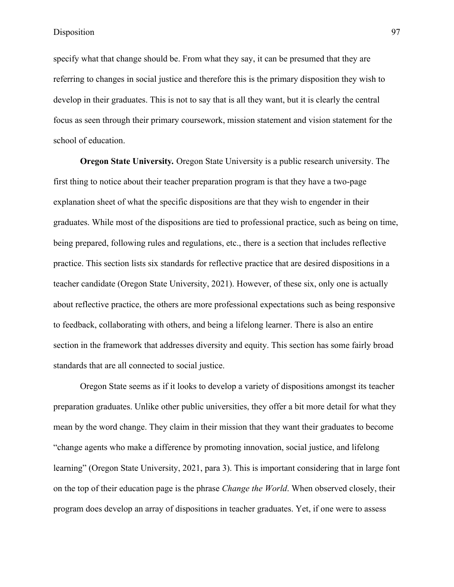specify what that change should be. From what they say, it can be presumed that they are referring to changes in social justice and therefore this is the primary disposition they wish to develop in their graduates. This is not to say that is all they want, but it is clearly the central focus as seen through their primary coursework, mission statement and vision statement for the school of education.

**Oregon State University***.* Oregon State University is a public research university. The first thing to notice about their teacher preparation program is that they have a two-page explanation sheet of what the specific dispositions are that they wish to engender in their graduates. While most of the dispositions are tied to professional practice, such as being on time, being prepared, following rules and regulations, etc., there is a section that includes reflective practice. This section lists six standards for reflective practice that are desired dispositions in a teacher candidate (Oregon State University, 2021). However, of these six, only one is actually about reflective practice, the others are more professional expectations such as being responsive to feedback, collaborating with others, and being a lifelong learner. There is also an entire section in the framework that addresses diversity and equity. This section has some fairly broad standards that are all connected to social justice.

Oregon State seems as if it looks to develop a variety of dispositions amongst its teacher preparation graduates. Unlike other public universities, they offer a bit more detail for what they mean by the word change. They claim in their mission that they want their graduates to become "change agents who make a difference by promoting innovation, social justice, and lifelong learning" (Oregon State University, 2021, para 3). This is important considering that in large font on the top of their education page is the phrase *Change the World*. When observed closely, their program does develop an array of dispositions in teacher graduates. Yet, if one were to assess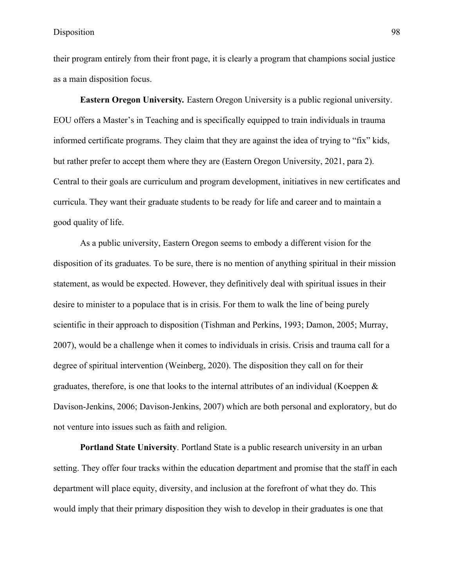their program entirely from their front page, it is clearly a program that champions social justice as a main disposition focus.

**Eastern Oregon University***.* Eastern Oregon University is a public regional university. EOU offers a Master's in Teaching and is specifically equipped to train individuals in trauma informed certificate programs. They claim that they are against the idea of trying to "fix" kids, but rather prefer to accept them where they are (Eastern Oregon University, 2021, para 2). Central to their goals are curriculum and program development, initiatives in new certificates and curricula. They want their graduate students to be ready for life and career and to maintain a good quality of life.

As a public university, Eastern Oregon seems to embody a different vision for the disposition of its graduates. To be sure, there is no mention of anything spiritual in their mission statement, as would be expected. However, they definitively deal with spiritual issues in their desire to minister to a populace that is in crisis. For them to walk the line of being purely scientific in their approach to disposition (Tishman and Perkins, 1993; Damon, 2005; Murray, 2007), would be a challenge when it comes to individuals in crisis. Crisis and trauma call for a degree of spiritual intervention (Weinberg, 2020). The disposition they call on for their graduates, therefore, is one that looks to the internal attributes of an individual (Koeppen  $\&$ Davison-Jenkins, 2006; Davison-Jenkins, 2007) which are both personal and exploratory, but do not venture into issues such as faith and religion.

**Portland State University**. Portland State is a public research university in an urban setting. They offer four tracks within the education department and promise that the staff in each department will place equity, diversity, and inclusion at the forefront of what they do. This would imply that their primary disposition they wish to develop in their graduates is one that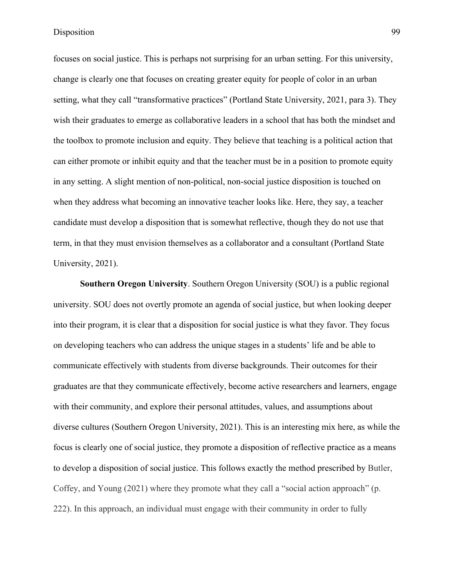focuses on social justice. This is perhaps not surprising for an urban setting. For this university, change is clearly one that focuses on creating greater equity for people of color in an urban setting, what they call "transformative practices" (Portland State University, 2021, para 3). They wish their graduates to emerge as collaborative leaders in a school that has both the mindset and the toolbox to promote inclusion and equity. They believe that teaching is a political action that can either promote or inhibit equity and that the teacher must be in a position to promote equity in any setting. A slight mention of non-political, non-social justice disposition is touched on when they address what becoming an innovative teacher looks like. Here, they say, a teacher candidate must develop a disposition that is somewhat reflective, though they do not use that term, in that they must envision themselves as a collaborator and a consultant (Portland State University, 2021).

**Southern Oregon University**. Southern Oregon University (SOU) is a public regional university. SOU does not overtly promote an agenda of social justice, but when looking deeper into their program, it is clear that a disposition for social justice is what they favor. They focus on developing teachers who can address the unique stages in a students' life and be able to communicate effectively with students from diverse backgrounds. Their outcomes for their graduates are that they communicate effectively, become active researchers and learners, engage with their community, and explore their personal attitudes, values, and assumptions about diverse cultures (Southern Oregon University, 2021). This is an interesting mix here, as while the focus is clearly one of social justice, they promote a disposition of reflective practice as a means to develop a disposition of social justice. This follows exactly the method prescribed by Butler, Coffey, and Young (2021) where they promote what they call a "social action approach" (p. 222). In this approach, an individual must engage with their community in order to fully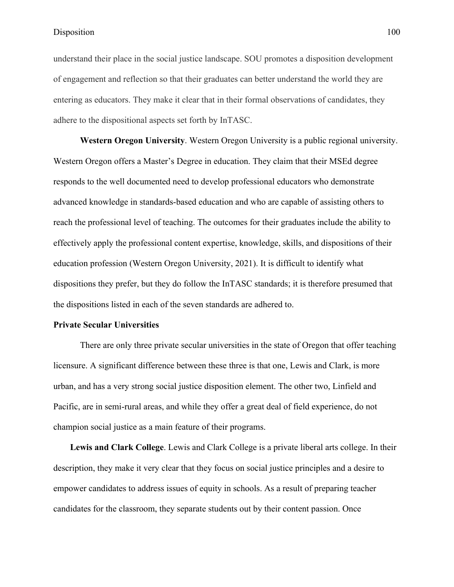understand their place in the social justice landscape. SOU promotes a disposition development of engagement and reflection so that their graduates can better understand the world they are entering as educators. They make it clear that in their formal observations of candidates, they adhere to the dispositional aspects set forth by InTASC.

**Western Oregon University**. Western Oregon University is a public regional university. Western Oregon offers a Master's Degree in education. They claim that their MSEd degree responds to the well documented need to develop professional educators who demonstrate advanced knowledge in standards-based education and who are capable of assisting others to reach the professional level of teaching. The outcomes for their graduates include the ability to effectively apply the professional content expertise, knowledge, skills, and dispositions of their education profession (Western Oregon University, 2021). It is difficult to identify what dispositions they prefer, but they do follow the InTASC standards; it is therefore presumed that the dispositions listed in each of the seven standards are adhered to.

#### **Private Secular Universities**

There are only three private secular universities in the state of Oregon that offer teaching licensure. A significant difference between these three is that one, Lewis and Clark, is more urban, and has a very strong social justice disposition element. The other two, Linfield and Pacific, are in semi-rural areas, and while they offer a great deal of field experience, do not champion social justice as a main feature of their programs.

**Lewis and Clark College**. Lewis and Clark College is a private liberal arts college. In their description, they make it very clear that they focus on social justice principles and a desire to empower candidates to address issues of equity in schools. As a result of preparing teacher candidates for the classroom, they separate students out by their content passion. Once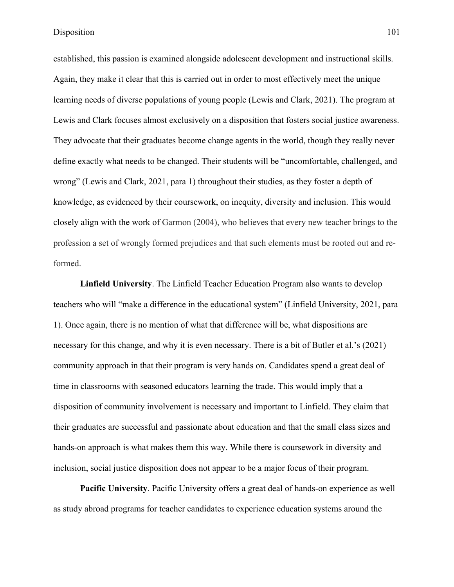established, this passion is examined alongside adolescent development and instructional skills. Again, they make it clear that this is carried out in order to most effectively meet the unique learning needs of diverse populations of young people (Lewis and Clark, 2021). The program at Lewis and Clark focuses almost exclusively on a disposition that fosters social justice awareness. They advocate that their graduates become change agents in the world, though they really never define exactly what needs to be changed. Their students will be "uncomfortable, challenged, and wrong" (Lewis and Clark, 2021, para 1) throughout their studies, as they foster a depth of knowledge, as evidenced by their coursework, on inequity, diversity and inclusion. This would closely align with the work of Garmon (2004), who believes that every new teacher brings to the profession a set of wrongly formed prejudices and that such elements must be rooted out and reformed.

**Linfield University**. The Linfield Teacher Education Program also wants to develop teachers who will "make a difference in the educational system" (Linfield University, 2021, para 1). Once again, there is no mention of what that difference will be, what dispositions are necessary for this change, and why it is even necessary. There is a bit of Butler et al.'s (2021) community approach in that their program is very hands on. Candidates spend a great deal of time in classrooms with seasoned educators learning the trade. This would imply that a disposition of community involvement is necessary and important to Linfield. They claim that their graduates are successful and passionate about education and that the small class sizes and hands-on approach is what makes them this way. While there is coursework in diversity and inclusion, social justice disposition does not appear to be a major focus of their program.

**Pacific University**. Pacific University offers a great deal of hands-on experience as well as study abroad programs for teacher candidates to experience education systems around the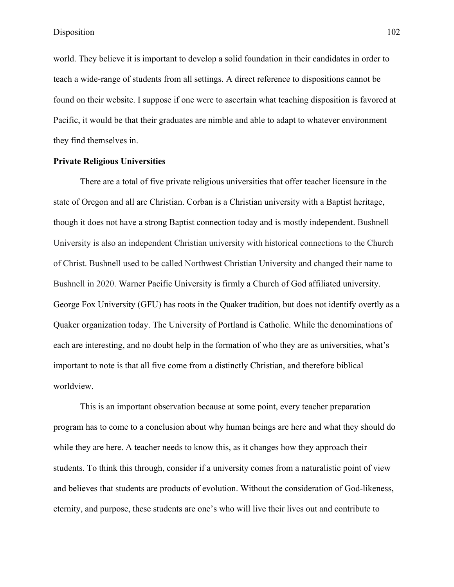world. They believe it is important to develop a solid foundation in their candidates in order to teach a wide-range of students from all settings. A direct reference to dispositions cannot be found on their website. I suppose if one were to ascertain what teaching disposition is favored at Pacific, it would be that their graduates are nimble and able to adapt to whatever environment they find themselves in.

## **Private Religious Universities**

There are a total of five private religious universities that offer teacher licensure in the state of Oregon and all are Christian. Corban is a Christian university with a Baptist heritage, though it does not have a strong Baptist connection today and is mostly independent. Bushnell University is also an independent Christian university with historical connections to the Church of Christ. Bushnell used to be called Northwest Christian University and changed their name to Bushnell in 2020. Warner Pacific University is firmly a Church of God affiliated university. George Fox University (GFU) has roots in the Quaker tradition, but does not identify overtly as a Quaker organization today. The University of Portland is Catholic. While the denominations of each are interesting, and no doubt help in the formation of who they are as universities, what's important to note is that all five come from a distinctly Christian, and therefore biblical worldview.

This is an important observation because at some point, every teacher preparation program has to come to a conclusion about why human beings are here and what they should do while they are here. A teacher needs to know this, as it changes how they approach their students. To think this through, consider if a university comes from a naturalistic point of view and believes that students are products of evolution. Without the consideration of God-likeness, eternity, and purpose, these students are one's who will live their lives out and contribute to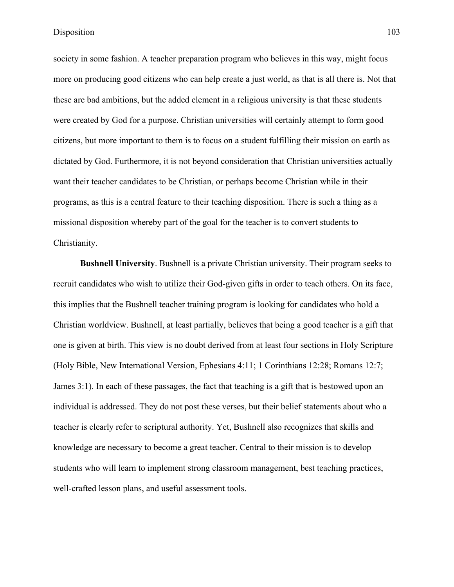society in some fashion. A teacher preparation program who believes in this way, might focus more on producing good citizens who can help create a just world, as that is all there is. Not that these are bad ambitions, but the added element in a religious university is that these students were created by God for a purpose. Christian universities will certainly attempt to form good citizens, but more important to them is to focus on a student fulfilling their mission on earth as dictated by God. Furthermore, it is not beyond consideration that Christian universities actually want their teacher candidates to be Christian, or perhaps become Christian while in their programs, as this is a central feature to their teaching disposition. There is such a thing as a missional disposition whereby part of the goal for the teacher is to convert students to Christianity.

**Bushnell University**. Bushnell is a private Christian university. Their program seeks to recruit candidates who wish to utilize their God-given gifts in order to teach others. On its face, this implies that the Bushnell teacher training program is looking for candidates who hold a Christian worldview. Bushnell, at least partially, believes that being a good teacher is a gift that one is given at birth. This view is no doubt derived from at least four sections in Holy Scripture (Holy Bible, New International Version, Ephesians 4:11; 1 Corinthians 12:28; Romans 12:7; James 3:1). In each of these passages, the fact that teaching is a gift that is bestowed upon an individual is addressed. They do not post these verses, but their belief statements about who a teacher is clearly refer to scriptural authority. Yet, Bushnell also recognizes that skills and knowledge are necessary to become a great teacher. Central to their mission is to develop students who will learn to implement strong classroom management, best teaching practices, well-crafted lesson plans, and useful assessment tools.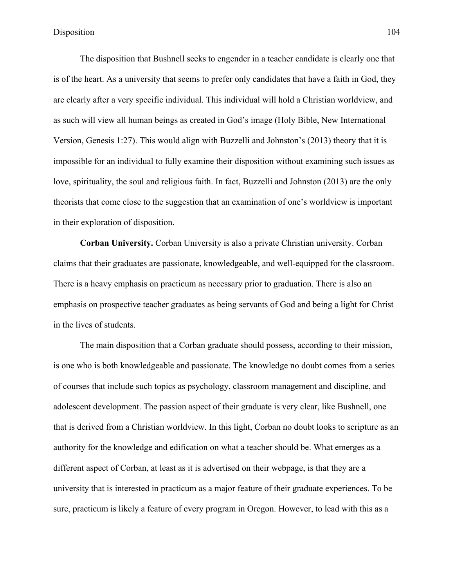The disposition that Bushnell seeks to engender in a teacher candidate is clearly one that is of the heart. As a university that seems to prefer only candidates that have a faith in God, they are clearly after a very specific individual. This individual will hold a Christian worldview, and as such will view all human beings as created in God's image (Holy Bible, New International Version, Genesis 1:27). This would align with Buzzelli and Johnston's (2013) theory that it is impossible for an individual to fully examine their disposition without examining such issues as love, spirituality, the soul and religious faith. In fact, Buzzelli and Johnston (2013) are the only theorists that come close to the suggestion that an examination of one's worldview is important in their exploration of disposition.

**Corban University.** Corban University is also a private Christian university. Corban claims that their graduates are passionate, knowledgeable, and well-equipped for the classroom. There is a heavy emphasis on practicum as necessary prior to graduation. There is also an emphasis on prospective teacher graduates as being servants of God and being a light for Christ in the lives of students.

The main disposition that a Corban graduate should possess, according to their mission, is one who is both knowledgeable and passionate. The knowledge no doubt comes from a series of courses that include such topics as psychology, classroom management and discipline, and adolescent development. The passion aspect of their graduate is very clear, like Bushnell, one that is derived from a Christian worldview. In this light, Corban no doubt looks to scripture as an authority for the knowledge and edification on what a teacher should be. What emerges as a different aspect of Corban, at least as it is advertised on their webpage, is that they are a university that is interested in practicum as a major feature of their graduate experiences. To be sure, practicum is likely a feature of every program in Oregon. However, to lead with this as a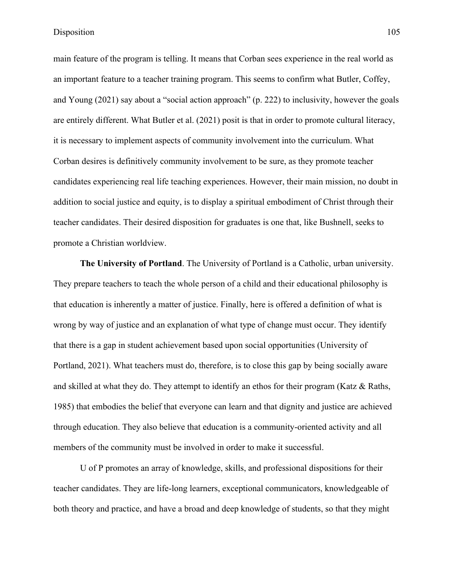main feature of the program is telling. It means that Corban sees experience in the real world as an important feature to a teacher training program. This seems to confirm what Butler, Coffey, and Young (2021) say about a "social action approach" (p. 222) to inclusivity, however the goals are entirely different. What Butler et al. (2021) posit is that in order to promote cultural literacy, it is necessary to implement aspects of community involvement into the curriculum. What Corban desires is definitively community involvement to be sure, as they promote teacher candidates experiencing real life teaching experiences. However, their main mission, no doubt in addition to social justice and equity, is to display a spiritual embodiment of Christ through their teacher candidates. Their desired disposition for graduates is one that, like Bushnell, seeks to promote a Christian worldview.

**The University of Portland**. The University of Portland is a Catholic, urban university. They prepare teachers to teach the whole person of a child and their educational philosophy is that education is inherently a matter of justice. Finally, here is offered a definition of what is wrong by way of justice and an explanation of what type of change must occur. They identify that there is a gap in student achievement based upon social opportunities (University of Portland, 2021). What teachers must do, therefore, is to close this gap by being socially aware and skilled at what they do. They attempt to identify an ethos for their program (Katz & Raths, 1985) that embodies the belief that everyone can learn and that dignity and justice are achieved through education. They also believe that education is a community-oriented activity and all members of the community must be involved in order to make it successful.

U of P promotes an array of knowledge, skills, and professional dispositions for their teacher candidates. They are life-long learners, exceptional communicators, knowledgeable of both theory and practice, and have a broad and deep knowledge of students, so that they might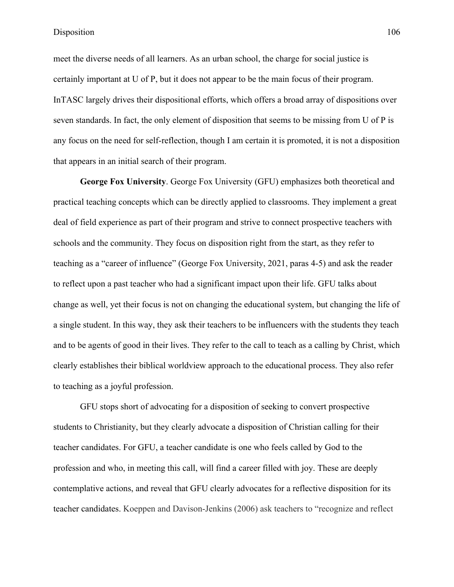meet the diverse needs of all learners. As an urban school, the charge for social justice is certainly important at U of P, but it does not appear to be the main focus of their program. InTASC largely drives their dispositional efforts, which offers a broad array of dispositions over seven standards. In fact, the only element of disposition that seems to be missing from U of P is any focus on the need for self-reflection, though I am certain it is promoted, it is not a disposition that appears in an initial search of their program.

**George Fox University**. George Fox University (GFU) emphasizes both theoretical and practical teaching concepts which can be directly applied to classrooms. They implement a great deal of field experience as part of their program and strive to connect prospective teachers with schools and the community. They focus on disposition right from the start, as they refer to teaching as a "career of influence" (George Fox University, 2021, paras 4-5) and ask the reader to reflect upon a past teacher who had a significant impact upon their life. GFU talks about change as well, yet their focus is not on changing the educational system, but changing the life of a single student. In this way, they ask their teachers to be influencers with the students they teach and to be agents of good in their lives. They refer to the call to teach as a calling by Christ, which clearly establishes their biblical worldview approach to the educational process. They also refer to teaching as a joyful profession.

GFU stops short of advocating for a disposition of seeking to convert prospective students to Christianity, but they clearly advocate a disposition of Christian calling for their teacher candidates. For GFU, a teacher candidate is one who feels called by God to the profession and who, in meeting this call, will find a career filled with joy. These are deeply contemplative actions, and reveal that GFU clearly advocates for a reflective disposition for its teacher candidates. Koeppen and Davison-Jenkins (2006) ask teachers to "recognize and reflect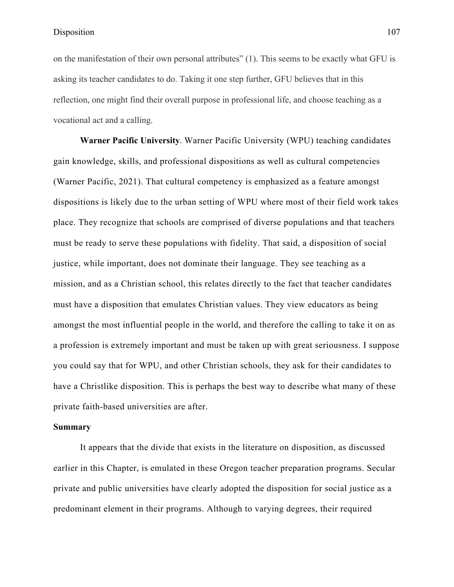on the manifestation of their own personal attributes" (1). This seems to be exactly what GFU is asking its teacher candidates to do. Taking it one step further, GFU believes that in this reflection, one might find their overall purpose in professional life, and choose teaching as a vocational act and a calling.

**Warner Pacific University**. Warner Pacific University (WPU) teaching candidates gain knowledge, skills, and professional dispositions as well as cultural competencies (Warner Pacific, 2021). That cultural competency is emphasized as a feature amongst dispositions is likely due to the urban setting of WPU where most of their field work takes place. They recognize that schools are comprised of diverse populations and that teachers must be ready to serve these populations with fidelity. That said, a disposition of social justice, while important, does not dominate their language. They see teaching as a mission, and as a Christian school, this relates directly to the fact that teacher candidates must have a disposition that emulates Christian values. They view educators as being amongst the most influential people in the world, and therefore the calling to take it on as a profession is extremely important and must be taken up with great seriousness. I suppose you could say that for WPU, and other Christian schools, they ask for their candidates to have a Christlike disposition. This is perhaps the best way to describe what many of these private faith-based universities are after.

## **Summary**

It appears that the divide that exists in the literature on disposition, as discussed earlier in this Chapter, is emulated in these Oregon teacher preparation programs. Secular private and public universities have clearly adopted the disposition for social justice as a predominant element in their programs. Although to varying degrees, their required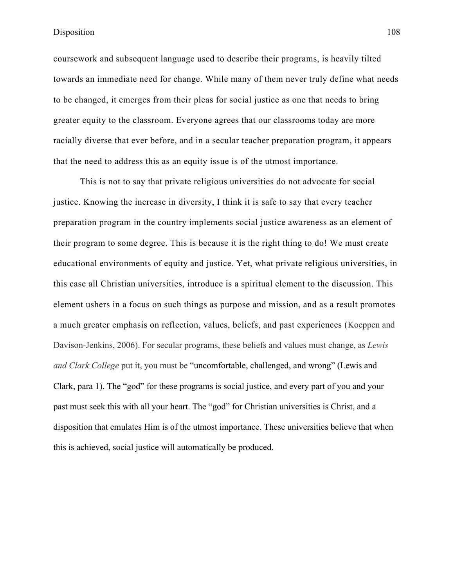coursework and subsequent language used to describe their programs, is heavily tilted towards an immediate need for change. While many of them never truly define what needs to be changed, it emerges from their pleas for social justice as one that needs to bring greater equity to the classroom. Everyone agrees that our classrooms today are more racially diverse that ever before, and in a secular teacher preparation program, it appears that the need to address this as an equity issue is of the utmost importance.

This is not to say that private religious universities do not advocate for social justice. Knowing the increase in diversity, I think it is safe to say that every teacher preparation program in the country implements social justice awareness as an element of their program to some degree. This is because it is the right thing to do! We must create educational environments of equity and justice. Yet, what private religious universities, in this case all Christian universities, introduce is a spiritual element to the discussion. This element ushers in a focus on such things as purpose and mission, and as a result promotes a much greater emphasis on reflection, values, beliefs, and past experiences (Koeppen and Davison-Jenkins, 2006). For secular programs, these beliefs and values must change, as *Lewis and Clark College* put it, you must be "uncomfortable, challenged, and wrong" (Lewis and Clark, para 1). The "god" for these programs is social justice, and every part of you and your past must seek this with all your heart. The "god" for Christian universities is Christ, and a disposition that emulates Him is of the utmost importance. These universities believe that when this is achieved, social justice will automatically be produced.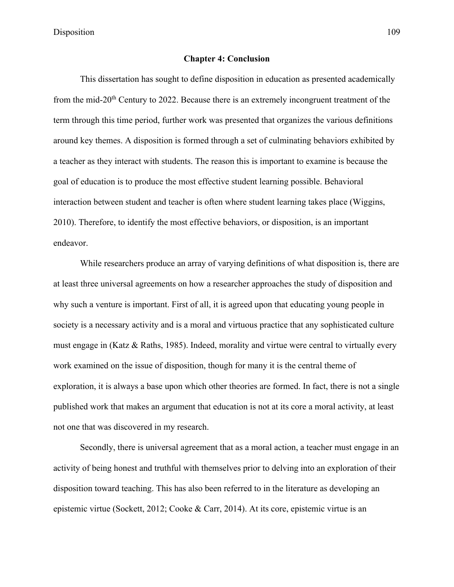## **Chapter 4: Conclusion**

This dissertation has sought to define disposition in education as presented academically from the mid-20<sup>th</sup> Century to 2022. Because there is an extremely incongruent treatment of the term through this time period, further work was presented that organizes the various definitions around key themes. A disposition is formed through a set of culminating behaviors exhibited by a teacher as they interact with students. The reason this is important to examine is because the goal of education is to produce the most effective student learning possible. Behavioral interaction between student and teacher is often where student learning takes place (Wiggins, 2010). Therefore, to identify the most effective behaviors, or disposition, is an important endeavor.

While researchers produce an array of varying definitions of what disposition is, there are at least three universal agreements on how a researcher approaches the study of disposition and why such a venture is important. First of all, it is agreed upon that educating young people in society is a necessary activity and is a moral and virtuous practice that any sophisticated culture must engage in (Katz & Raths, 1985). Indeed, morality and virtue were central to virtually every work examined on the issue of disposition, though for many it is the central theme of exploration, it is always a base upon which other theories are formed. In fact, there is not a single published work that makes an argument that education is not at its core a moral activity, at least not one that was discovered in my research.

Secondly, there is universal agreement that as a moral action, a teacher must engage in an activity of being honest and truthful with themselves prior to delving into an exploration of their disposition toward teaching. This has also been referred to in the literature as developing an epistemic virtue (Sockett, 2012; Cooke & Carr, 2014). At its core, epistemic virtue is an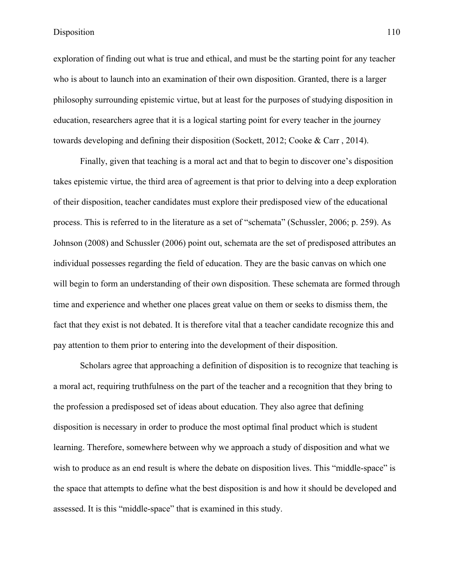exploration of finding out what is true and ethical, and must be the starting point for any teacher who is about to launch into an examination of their own disposition. Granted, there is a larger philosophy surrounding epistemic virtue, but at least for the purposes of studying disposition in education, researchers agree that it is a logical starting point for every teacher in the journey towards developing and defining their disposition (Sockett, 2012; Cooke & Carr , 2014).

Finally, given that teaching is a moral act and that to begin to discover one's disposition takes epistemic virtue, the third area of agreement is that prior to delving into a deep exploration of their disposition, teacher candidates must explore their predisposed view of the educational process. This is referred to in the literature as a set of "schemata" (Schussler, 2006; p. 259). As Johnson (2008) and Schussler (2006) point out, schemata are the set of predisposed attributes an individual possesses regarding the field of education. They are the basic canvas on which one will begin to form an understanding of their own disposition. These schemata are formed through time and experience and whether one places great value on them or seeks to dismiss them, the fact that they exist is not debated. It is therefore vital that a teacher candidate recognize this and pay attention to them prior to entering into the development of their disposition.

Scholars agree that approaching a definition of disposition is to recognize that teaching is a moral act, requiring truthfulness on the part of the teacher and a recognition that they bring to the profession a predisposed set of ideas about education. They also agree that defining disposition is necessary in order to produce the most optimal final product which is student learning. Therefore, somewhere between why we approach a study of disposition and what we wish to produce as an end result is where the debate on disposition lives. This "middle-space" is the space that attempts to define what the best disposition is and how it should be developed and assessed. It is this "middle-space" that is examined in this study.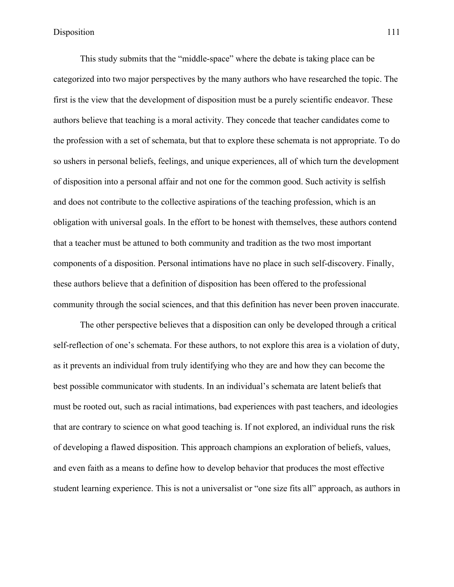This study submits that the "middle-space" where the debate is taking place can be categorized into two major perspectives by the many authors who have researched the topic. The first is the view that the development of disposition must be a purely scientific endeavor. These authors believe that teaching is a moral activity. They concede that teacher candidates come to the profession with a set of schemata, but that to explore these schemata is not appropriate. To do so ushers in personal beliefs, feelings, and unique experiences, all of which turn the development of disposition into a personal affair and not one for the common good. Such activity is selfish and does not contribute to the collective aspirations of the teaching profession, which is an obligation with universal goals. In the effort to be honest with themselves, these authors contend that a teacher must be attuned to both community and tradition as the two most important components of a disposition. Personal intimations have no place in such self-discovery. Finally, these authors believe that a definition of disposition has been offered to the professional community through the social sciences, and that this definition has never been proven inaccurate.

The other perspective believes that a disposition can only be developed through a critical self-reflection of one's schemata. For these authors, to not explore this area is a violation of duty, as it prevents an individual from truly identifying who they are and how they can become the best possible communicator with students. In an individual's schemata are latent beliefs that must be rooted out, such as racial intimations, bad experiences with past teachers, and ideologies that are contrary to science on what good teaching is. If not explored, an individual runs the risk of developing a flawed disposition. This approach champions an exploration of beliefs, values, and even faith as a means to define how to develop behavior that produces the most effective student learning experience. This is not a universalist or "one size fits all" approach, as authors in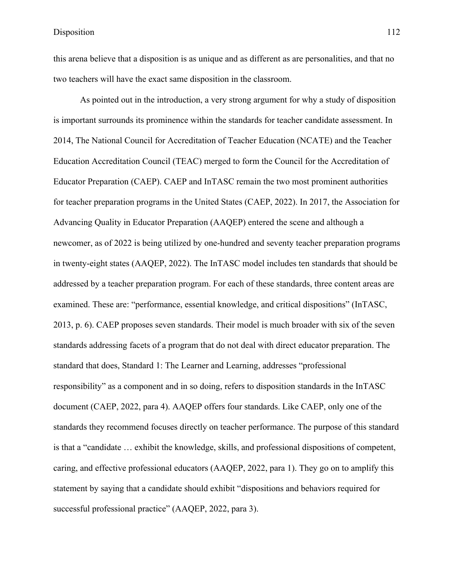this arena believe that a disposition is as unique and as different as are personalities, and that no two teachers will have the exact same disposition in the classroom.

As pointed out in the introduction, a very strong argument for why a study of disposition is important surrounds its prominence within the standards for teacher candidate assessment. In 2014, The National Council for Accreditation of Teacher Education (NCATE) and the Teacher Education Accreditation Council (TEAC) merged to form the Council for the Accreditation of Educator Preparation (CAEP). CAEP and InTASC remain the two most prominent authorities for teacher preparation programs in the United States (CAEP, 2022). In 2017, the Association for Advancing Quality in Educator Preparation (AAQEP) entered the scene and although a newcomer, as of 2022 is being utilized by one-hundred and seventy teacher preparation programs in twenty-eight states (AAQEP, 2022). The InTASC model includes ten standards that should be addressed by a teacher preparation program. For each of these standards, three content areas are examined. These are: "performance, essential knowledge, and critical dispositions" (InTASC, 2013, p. 6). CAEP proposes seven standards. Their model is much broader with six of the seven standards addressing facets of a program that do not deal with direct educator preparation. The standard that does, Standard 1: The Learner and Learning, addresses "professional responsibility" as a component and in so doing, refers to disposition standards in the InTASC document (CAEP, 2022, para 4). AAQEP offers four standards. Like CAEP, only one of the standards they recommend focuses directly on teacher performance. The purpose of this standard is that a "candidate … exhibit the knowledge, skills, and professional dispositions of competent, caring, and effective professional educators (AAQEP, 2022, para 1). They go on to amplify this statement by saying that a candidate should exhibit "dispositions and behaviors required for successful professional practice" (AAQEP, 2022, para 3).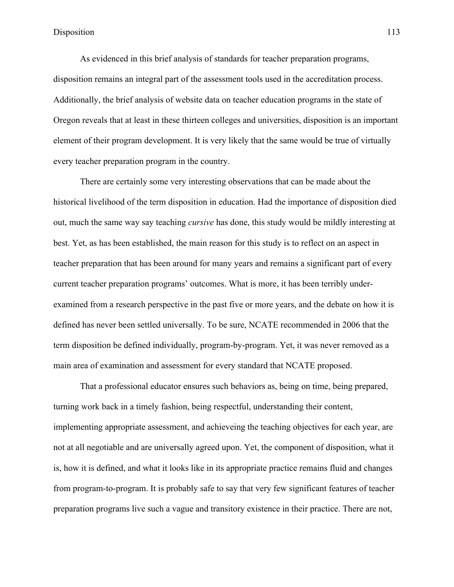As evidenced in this brief analysis of standards for teacher preparation programs, disposition remains an integral part of the assessment tools used in the accreditation process. Additionally, the brief analysis of website data on teacher education programs in the state of Oregon reveals that at least in these thirteen colleges and universities, disposition is an important element of their program development. It is very likely that the same would be true of virtually every teacher preparation program in the country.

There are certainly some very interesting observations that can be made about the historical livelihood of the term disposition in education. Had the importance of disposition died out, much the same way say teaching *cursive* has done, this study would be mildly interesting at best. Yet, as has been established, the main reason for this study is to reflect on an aspect in teacher preparation that has been around for many years and remains a significant part of every current teacher preparation programs' outcomes. What is more, it has been terribly underexamined from a research perspective in the past five or more years, and the debate on how it is defined has never been settled universally. To be sure, NCATE recommended in 2006 that the term disposition be defined individually, program-by-program. Yet, it was never removed as a main area of examination and assessment for every standard that NCATE proposed.

That a professional educator ensures such behaviors as, being on time, being prepared, turning work back in a timely fashion, being respectful, understanding their content, implementing appropriate assessment, and achieveing the teaching objectives for each year, are not at all negotiable and are universally agreed upon. Yet, the component of disposition, what it is, how it is defined, and what it looks like in its appropriate practice remains fluid and changes from program-to-program. It is probably safe to say that very few significant features of teacher preparation programs live such a vague and transitory existence in their practice. There are not,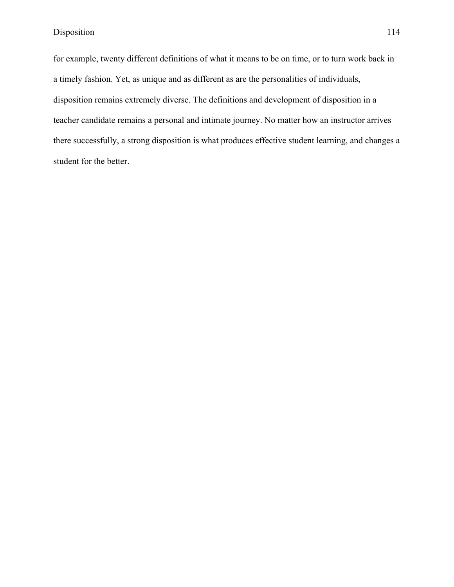for example, twenty different definitions of what it means to be on time, or to turn work back in a timely fashion. Yet, as unique and as different as are the personalities of individuals, disposition remains extremely diverse. The definitions and development of disposition in a teacher candidate remains a personal and intimate journey. No matter how an instructor arrives there successfully, a strong disposition is what produces effective student learning, and changes a student for the better.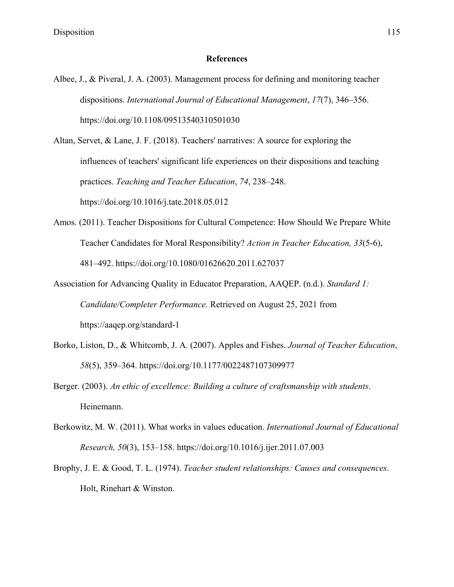## **References**

Albee, J., & Piveral, J. A. (2003). Management process for defining and monitoring teacher dispositions. *International Journal of Educational Management*, *17*(7), 346–356. https://doi.org/10.1108/09513540310501030

Altan, Servet, & Lane, J. F. (2018). Teachers' narratives: A source for exploring the influences of teachers' significant life experiences on their dispositions and teaching practices. *Teaching and Teacher Education*, *74*, 238–248. https://doi.org/10.1016/j.tate.2018.05.012

- Amos. (2011). Teacher Dispositions for Cultural Competence: How Should We Prepare White Teacher Candidates for Moral Responsibility? *Action in Teacher Education, 33*(5-6), 481–492. https://doi.org/10.1080/01626620.2011.627037
- Association for Advancing Quality in Educator Preparation, AAQEP. (n.d.). *Standard 1: Candidate/Completer Performance.* Retrieved on August 25, 2021 from https://aaqep.org/standard-1
- Borko, Liston, D., & Whitcomb, J. A. (2007). Apples and Fishes. *Journal of Teacher Education*, *58*(5), 359–364. https://doi.org/10.1177/0022487107309977
- Berger. (2003). *An ethic of excellence: Building a culture of craftsmanship with students*. Heinemann.
- Berkowitz, M. W. (2011). What works in values education. *International Journal of Educational Research, 50*(3), 153–158. https://doi.org/10.1016/j.ijer.2011.07.003
- Brophy, J. E. & Good, T. L. (1974). *Teacher student relationships: Causes and consequences*. Holt, Rinehart & Winston.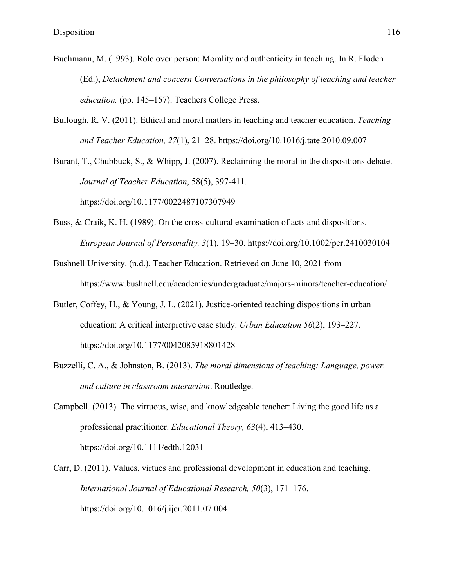- Buchmann, M. (1993). Role over person: Morality and authenticity in teaching. In R. Floden (Ed.), *Detachment and concern Conversations in the philosophy of teaching and teacher education.* (pp. 145–157). Teachers College Press.
- Bullough, R. V. (2011). Ethical and moral matters in teaching and teacher education. *Teaching and Teacher Education, 27*(1), 21–28. https://doi.org/10.1016/j.tate.2010.09.007

Burant, T., Chubbuck, S., & Whipp, J. (2007). Reclaiming the moral in the dispositions debate. *Journal of Teacher Education*, 58(5), 397-411. https://doi.org/10.1177/0022487107307949

- Buss, & Craik, K. H. (1989). On the cross-cultural examination of acts and dispositions. *European Journal of Personality, 3*(1), 19–30. https://doi.org/10.1002/per.2410030104
- Bushnell University. (n.d.). Teacher Education. Retrieved on June 10, 2021 from https://www.bushnell.edu/academics/undergraduate/majors-minors/teacher-education/
- Butler, Coffey, H., & Young, J. L. (2021). Justice-oriented teaching dispositions in urban education: A critical interpretive case study. *Urban Education 56*(2), 193–227. https://doi.org/10.1177/0042085918801428
- Buzzelli, C. A., & Johnston, B. (2013). *The moral dimensions of teaching: Language, power, and culture in classroom interaction*. Routledge.
- Campbell. (2013). The virtuous, wise, and knowledgeable teacher: Living the good life as a professional practitioner. *Educational Theory, 63*(4), 413–430. https://doi.org/10.1111/edth.12031
- Carr, D. (2011). Values, virtues and professional development in education and teaching. *International Journal of Educational Research, 50*(3), 171–176. https://doi.org/10.1016/j.ijer.2011.07.004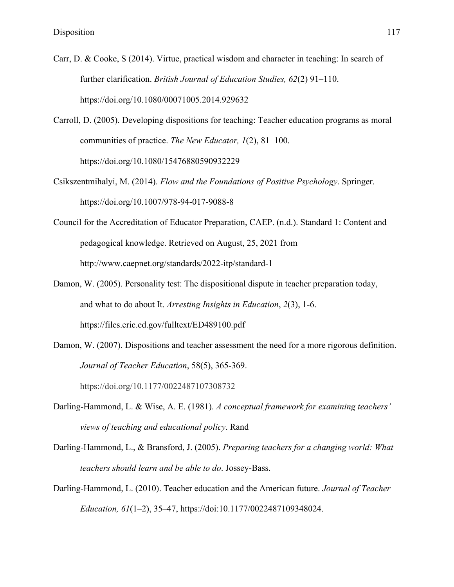- Carr, D. & Cooke, S (2014). Virtue, practical wisdom and character in teaching: In search of further clarification. *British Journal of Education Studies, 62*(2) 91–110. https://doi.org/10.1080/00071005.2014.929632
- Carroll, D. (2005). Developing dispositions for teaching: Teacher education programs as moral communities of practice. *The New Educator, 1*(2), 81–100. https://doi.org/10.1080/15476880590932229
- Csikszentmihalyi, M. (2014). *Flow and the Foundations of Positive Psychology*. Springer. https://doi.org/10.1007/978-94-017-9088-8
- Council for the Accreditation of Educator Preparation, CAEP. (n.d.). Standard 1: Content and pedagogical knowledge. Retrieved on August, 25, 2021 from http://www.caepnet.org/standards/2022-itp/standard-1
- Damon, W. (2005). Personality test: The dispositional dispute in teacher preparation today, and what to do about It. *Arresting Insights in Education*, *2*(3), 1-6. https://files.eric.ed.gov/fulltext/ED489100.pdf
- Damon, W. (2007). Dispositions and teacher assessment the need for a more rigorous definition. *Journal of Teacher Education*, 58(5), 365-369. https://doi.org/10.1177/0022487107308732
- Darling-Hammond, L. & Wise, A. E. (1981). *A conceptual framework for examining teachers' views of teaching and educational policy*. Rand
- Darling-Hammond, L., & Bransford, J. (2005). *Preparing teachers for a changing world: What teachers should learn and be able to do*. Jossey-Bass.
- Darling-Hammond, L. (2010). Teacher education and the American future. *Journal of Teacher Education, 61*(1–2), 35–47, https://doi:10.1177/0022487109348024.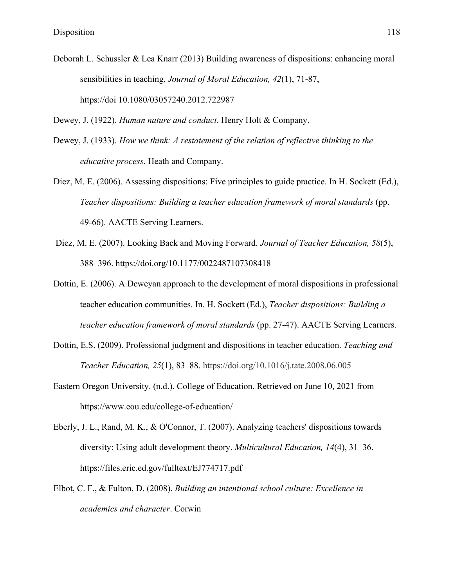Deborah L. Schussler & Lea Knarr (2013) Building awareness of dispositions: enhancing moral sensibilities in teaching, *Journal of Moral Education, 42*(1), 71-87, https://doi 10.1080/03057240.2012.722987

Dewey, J. (1922). *Human nature and conduct*. Henry Holt & Company.

- Dewey, J. (1933). *How we think: A restatement of the relation of reflective thinking to the educative process*. Heath and Company.
- Diez, M. E. (2006). Assessing dispositions: Five principles to guide practice. In H. Sockett (Ed.), *Teacher dispositions: Building a teacher education framework of moral standards* (pp. 49-66). AACTE Serving Learners.
- Diez, M. E. (2007). Looking Back and Moving Forward. *Journal of Teacher Education, 58*(5), 388–396. https://doi.org/10.1177/0022487107308418
- Dottin, E. (2006). A Deweyan approach to the development of moral dispositions in professional teacher education communities. In. H. Sockett (Ed.), *Teacher dispositions: Building a teacher education framework of moral standards* (pp. 27-47). AACTE Serving Learners.
- Dottin, E.S. (2009). Professional judgment and dispositions in teacher education. *Teaching and Teacher Education, 25*(1), 83–88. https://doi.org/10.1016/j.tate.2008.06.005
- Eastern Oregon University. (n.d.). College of Education. Retrieved on June 10, 2021 from https://www.eou.edu/college-of-education/
- Eberly, J. L., Rand, M. K., & O'Connor, T. (2007). Analyzing teachers' dispositions towards diversity: Using adult development theory. *Multicultural Education, 14*(4), 31–36. https://files.eric.ed.gov/fulltext/EJ774717.pdf
- Elbot, C. F., & Fulton, D. (2008). *Building an intentional school culture: Excellence in academics and character*. Corwin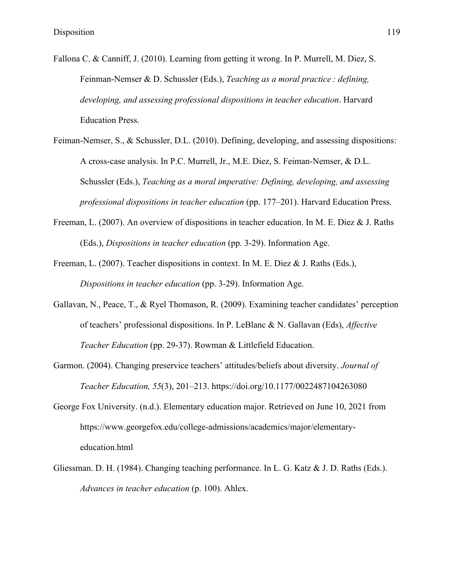- Fallona C. & Canniff, J. (2010). Learning from getting it wrong. In P. Murrell, M. Diez, S. Feinman-Nemser & D. Schussler (Eds.), *Teaching as a moral practice : defining, developing, and assessing professional dispositions in teacher education*. Harvard Education Press.
- Feiman-Nemser, S., & Schussler, D.L. (2010). Defining, developing, and assessing dispositions: A cross-case analysis. In P.C. Murrell, Jr., M.E. Diez, S. Feiman-Nemser, & D.L. Schussler (Eds.), *Teaching as a moral imperative: Defining, developing, and assessing professional dispositions in teacher education* (pp. 177–201). Harvard Education Press.
- Freeman, L. (2007). An overview of dispositions in teacher education. In M. E. Diez & J. Raths (Eds.), *Dispositions in teacher education* (pp. 3-29). Information Age.
- Freeman, L. (2007). Teacher dispositions in context. In M. E. Diez & J. Raths (Eds.), *Dispositions in teacher education* (pp. 3-29). Information Age.
- Gallavan, N., Peace, T., & Ryel Thomason, R. (2009). Examining teacher candidates' perception of teachers' professional dispositions. In P. LeBlanc & N. Gallavan (Eds), *Affective Teacher Education* (pp. 29-37). Rowman & Littlefield Education.
- Garmon. (2004). Changing preservice teachers' attitudes/beliefs about diversity. *Journal of Teacher Education, 55*(3), 201–213. https://doi.org/10.1177/0022487104263080
- George Fox University. (n.d.). Elementary education major. Retrieved on June 10, 2021 from https://www.georgefox.edu/college-admissions/academics/major/elementaryeducation.html
- Gliessman. D. H. (1984). Changing teaching performance. In L. G. Katz & J. D. Raths (Eds.). *Advances in teacher education* (p. 100). Ahlex.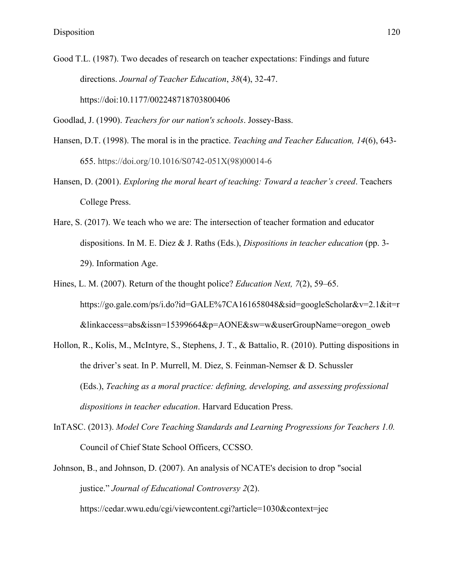Good T.L. (1987). Two decades of research on teacher expectations: Findings and future directions. *Journal of Teacher Education*, *38*(4), 32-47. https://doi:10.1177/002248718703800406

Goodlad, J. (1990). *Teachers for our nation's schools*. Jossey-Bass.

- Hansen, D.T. (1998). The moral is in the practice. *Teaching and Teacher Education, 14*(6), 643- 655. https://doi.org/10.1016/S0742-051X(98)00014-6
- Hansen, D. (2001). *Exploring the moral heart of teaching: Toward a teacher's creed*. Teachers College Press.
- Hare, S. (2017). We teach who we are: The intersection of teacher formation and educator dispositions. In M. E. Diez & J. Raths (Eds.), *Dispositions in teacher education* (pp. 3- 29). Information Age.
- Hines, L. M. (2007). Return of the thought police? *Education Next, 7*(2), 59–65. https://go.gale.com/ps/i.do?id=GALE%7CA161658048&sid=googleScholar&v=2.1&it=r &linkaccess=abs&issn=15399664&p=AONE&sw=w&userGroupName=oregon\_oweb
- Hollon, R., Kolis, M., McIntyre, S., Stephens, J. T., & Battalio, R. (2010). Putting dispositions in the driver's seat. In P. Murrell, M. Diez, S. Feinman-Nemser & D. Schussler (Eds.), *Teaching as a moral practice: defining, developing, and assessing professional dispositions in teacher education*. Harvard Education Press.
- InTASC. (2013). *Model Core Teaching Standards and Learning Progressions for Teachers 1.0.* Council of Chief State School Officers, CCSSO.
- Johnson, B., and Johnson, D. (2007). An analysis of NCATE's decision to drop "social justice." *Journal of Educational Controversy 2*(2). https://cedar.wwu.edu/cgi/viewcontent.cgi?article=1030&context=jec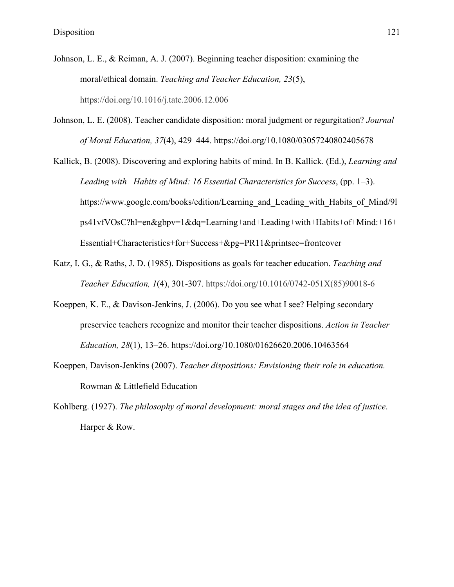- Johnson, L. E., & Reiman, A. J. (2007). Beginning teacher disposition: examining the moral/ethical domain. *Teaching and Teacher Education, 23*(5), https://doi.org/10.1016/j.tate.2006.12.006
- Johnson, L. E. (2008). Teacher candidate disposition: moral judgment or regurgitation? *Journal of Moral Education, 37*(4), 429–444. https://doi.org/10.1080/03057240802405678
- Kallick, B. (2008). Discovering and exploring habits of mind. In B. Kallick. (Ed.), *Learning and Leading with Habits of Mind: 16 Essential Characteristics for Success*, (pp. 1–3). https://www.google.com/books/edition/Learning and Leading with Habits of Mind/9l ps41vfVOsC?hl=en&gbpv=1&dq=Learning+and+Leading+with+Habits+of+Mind:+16+ Essential+Characteristics+for+Success+&pg=PR11&printsec=frontcover
- Katz, I. G., & Raths, J. D. (1985). Dispositions as goals for teacher education. *Teaching and Teacher Education, 1*(4), 301-307. https://doi.org/10.1016/0742-051X(85)90018-6
- Koeppen, K. E., & Davison-Jenkins, J. (2006). Do you see what I see? Helping secondary preservice teachers recognize and monitor their teacher dispositions. *Action in Teacher Education, 28*(1), 13–26. https://doi.org/10.1080/01626620.2006.10463564
- Koeppen, Davison-Jenkins (2007). *Teacher dispositions: Envisioning their role in education.* Rowman & Littlefield Education
- Kohlberg. (1927). *The philosophy of moral development: moral stages and the idea of justice*. Harper & Row.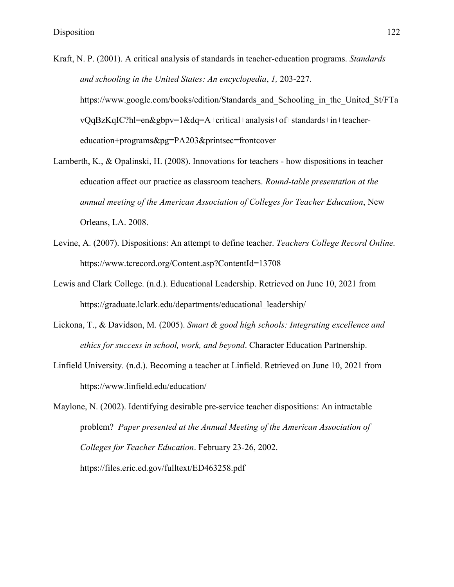- Kraft, N. P. (2001). A critical analysis of standards in teacher-education programs. *Standards and schooling in the United States: An encyclopedia*, *1,* 203-227. https://www.google.com/books/edition/Standards and Schooling in the United St/FTa vQqBzKqIC?hl=en&gbpv=1&dq=A+critical+analysis+of+standards+in+teachereducation+programs&pg=PA203&printsec=frontcover
- Lamberth, K., & Opalinski, H. (2008). Innovations for teachers how dispositions in teacher education affect our practice as classroom teachers. *Round-table presentation at the annual meeting of the American Association of Colleges for Teacher Education*, New Orleans, LA. 2008.
- Levine, A. (2007). Dispositions: An attempt to define teacher. *Teachers College Record Online.*  https://www.tcrecord.org/Content.asp?ContentId=13708
- Lewis and Clark College. (n.d.). Educational Leadership. Retrieved on June 10, 2021 from https://graduate.lclark.edu/departments/educational\_leadership/
- Lickona, T., & Davidson, M. (2005). *Smart & good high schools: Integrating excellence and ethics for success in school, work, and beyond*. Character Education Partnership.
- Linfield University. (n.d.). Becoming a teacher at Linfield. Retrieved on June 10, 2021 from https://www.linfield.edu/education/

Maylone, N. (2002). Identifying desirable pre-service teacher dispositions: An intractable problem? *Paper presented at the Annual Meeting of the American Association of Colleges for Teacher Education*. February 23-26, 2002. https://files.eric.ed.gov/fulltext/ED463258.pdf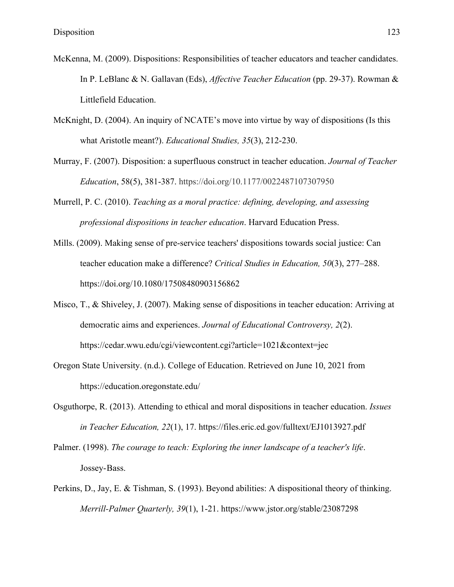- McKenna, M. (2009). Dispositions: Responsibilities of teacher educators and teacher candidates. In P. LeBlanc & N. Gallavan (Eds), *Affective Teacher Education* (pp. 29-37). Rowman & Littlefield Education.
- McKnight, D. (2004). An inquiry of NCATE's move into virtue by way of dispositions (Is this what Aristotle meant?). *Educational Studies, 35*(3), 212-230.
- Murray, F. (2007). Disposition: a superfluous construct in teacher education. *Journal of Teacher Education*, 58(5), 381-387. https://doi.org/10.1177/0022487107307950
- Murrell, P. C. (2010). *Teaching as a moral practice: defining, developing, and assessing professional dispositions in teacher education*. Harvard Education Press.
- Mills. (2009). Making sense of pre-service teachers' dispositions towards social justice: Can teacher education make a difference? *Critical Studies in Education, 50*(3), 277–288. https://doi.org/10.1080/17508480903156862
- Misco, T., & Shiveley, J. (2007). Making sense of dispositions in teacher education: Arriving at democratic aims and experiences. *Journal of Educational Controversy, 2*(2). https://cedar.wwu.edu/cgi/viewcontent.cgi?article=1021&context=jec
- Oregon State University. (n.d.). College of Education. Retrieved on June 10, 2021 from https://education.oregonstate.edu/
- Osguthorpe, R. (2013). Attending to ethical and moral dispositions in teacher education. *Issues in Teacher Education, 22*(1), 17. https://files.eric.ed.gov/fulltext/EJ1013927.pdf
- Palmer. (1998). *The courage to teach: Exploring the inner landscape of a teacher's life*. Jossey-Bass.
- Perkins, D., Jay, E. & Tishman, S. (1993). Beyond abilities: A dispositional theory of thinking. *Merrill-Palmer Quarterly, 39*(1), 1-21. https://www.jstor.org/stable/23087298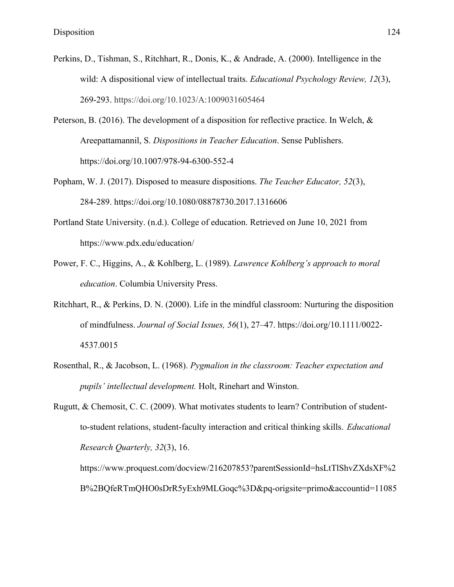- Perkins, D., Tishman, S., Ritchhart, R., Donis, K., & Andrade, A. (2000). Intelligence in the wild: A dispositional view of intellectual traits. *Educational Psychology Review, 12*(3), 269-293. https://doi.org/10.1023/A:1009031605464
- Peterson, B. (2016). The development of a disposition for reflective practice. In Welch, & Areepattamannil, S. *Dispositions in Teacher Education*. Sense Publishers. https://doi.org/10.1007/978-94-6300-552-4
- Popham, W. J. (2017). Disposed to measure dispositions. *The Teacher Educator, 52*(3), 284-289. https://doi.org/10.1080/08878730.2017.1316606
- Portland State University. (n.d.). College of education. Retrieved on June 10, 2021 from https://www.pdx.edu/education/
- Power, F. C., Higgins, A., & Kohlberg, L. (1989). *Lawrence Kohlberg's approach to moral education*. Columbia University Press.
- Ritchhart, R., & Perkins, D. N. (2000). Life in the mindful classroom: Nurturing the disposition of mindfulness. *Journal of Social Issues, 56*(1), 27–47. https://doi.org/10.1111/0022- 4537.0015
- Rosenthal, R., & Jacobson, L. (1968). *Pygmalion in the classroom: Teacher expectation and pupils' intellectual development.* Holt, Rinehart and Winston.
- Rugutt, & Chemosit, C. C. (2009). What motivates students to learn? Contribution of studentto-student relations, student-faculty interaction and critical thinking skills. *Educational Research Quarterly, 32*(3), 16.

https://www.proquest.com/docview/216207853?parentSessionId=hsLtTlShvZXdsXF%2 B%2BQfeRTmQHO0sDrR5yExh9MLGoqc%3D&pq-origsite=primo&accountid=11085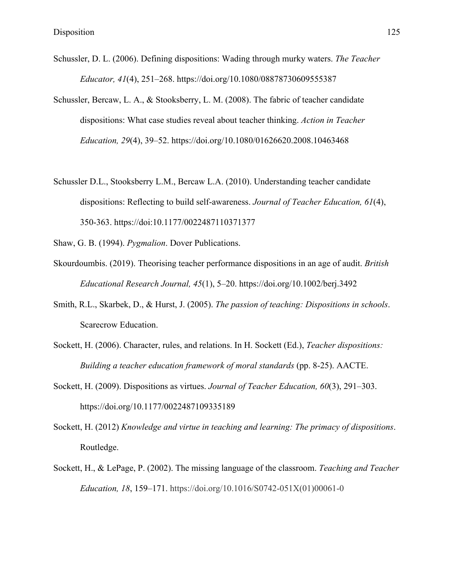- Schussler, D. L. (2006). Defining dispositions: Wading through murky waters. *The Teacher Educator, 41*(4), 251–268. https://doi.org/10.1080/08878730609555387
- Schussler, Bercaw, L. A., & Stooksberry, L. M. (2008). The fabric of teacher candidate dispositions: What case studies reveal about teacher thinking. *Action in Teacher Education, 29*(4), 39–52. https://doi.org/10.1080/01626620.2008.10463468
- Schussler D.L., Stooksberry L.M., Bercaw L.A. (2010). Understanding teacher candidate dispositions: Reflecting to build self-awareness. *Journal of Teacher Education, 61*(4), 350-363. https://doi:10.1177/0022487110371377
- Shaw, G. B. (1994). *Pygmalion*. Dover Publications.
- Skourdoumbis. (2019). Theorising teacher performance dispositions in an age of audit. *British Educational Research Journal, 45*(1), 5–20. https://doi.org/10.1002/berj.3492
- Smith, R.L., Skarbek, D., & Hurst, J. (2005). *The passion of teaching: Dispositions in schools*. Scarecrow Education.
- Sockett, H. (2006). Character, rules, and relations. In H. Sockett (Ed.), *Teacher dispositions: Building a teacher education framework of moral standards* (pp. 8-25). AACTE.
- Sockett, H. (2009). Dispositions as virtues. *Journal of Teacher Education, 60*(3), 291–303. https://doi.org/10.1177/0022487109335189
- Sockett, H. (2012) *Knowledge and virtue in teaching and learning: The primacy of dispositions*. Routledge.
- Sockett, H., & LePage, P. (2002). The missing language of the classroom. *Teaching and Teacher Education, 18*, 159–171. https://doi.org/10.1016/S0742-051X(01)00061-0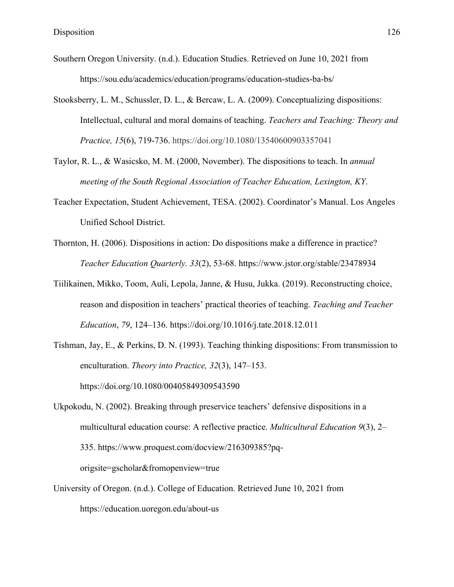- Southern Oregon University. (n.d.). Education Studies. Retrieved on June 10, 2021 from https://sou.edu/academics/education/programs/education-studies-ba-bs/
- Stooksberry, L. M., Schussler, D. L., & Bercaw, L. A. (2009). Conceptualizing dispositions: Intellectual, cultural and moral domains of teaching. *Teachers and Teaching: Theory and Practice, 15*(6), 719-736. https://doi.org/10.1080/13540600903357041
- Taylor, R. L., & Wasicsko, M. M. (2000, November). The dispositions to teach. In *annual meeting of the South Regional Association of Teacher Education, Lexington, KY*.
- Teacher Expectation, Student Achievement, TESA. (2002). Coordinator's Manual. Los Angeles Unified School District.
- Thornton, H. (2006). Dispositions in action: Do dispositions make a difference in practice? *Teacher Education Quarterly. 33*(2), 53-68. https://www.jstor.org/stable/23478934
- Tiilikainen, Mikko, Toom, Auli, Lepola, Janne, & Husu, Jukka. (2019). Reconstructing choice, reason and disposition in teachers' practical theories of teaching. *Teaching and Teacher Education*, *79*, 124–136. https://doi.org/10.1016/j.tate.2018.12.011
- Tishman, Jay, E., & Perkins, D. N. (1993). Teaching thinking dispositions: From transmission to enculturation. *Theory into Practice, 32*(3), 147–153. https://doi.org/10.1080/00405849309543590
- Ukpokodu, N. (2002). Breaking through preservice teachers' defensive dispositions in a multicultural education course: A reflective practice. *Multicultural Education 9*(3), 2– 335. https://www.proquest.com/docview/216309385?pqorigsite=gscholar&fromopenview=true
- University of Oregon. (n.d.). College of Education. Retrieved June 10, 2021 from https://education.uoregon.edu/about-us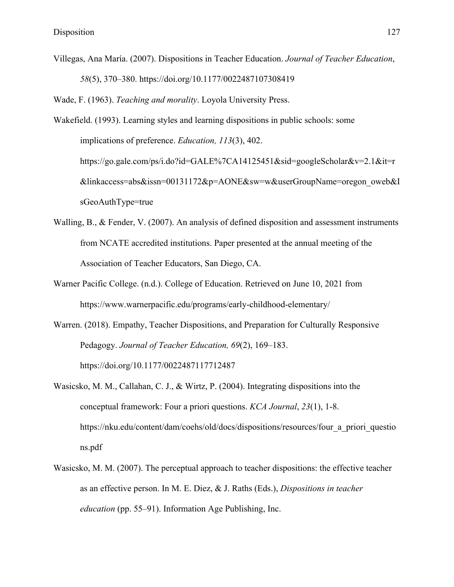Villegas, Ana María. (2007). Dispositions in Teacher Education. *Journal of Teacher Education*, *58*(5), 370–380. https://doi.org/10.1177/0022487107308419

Wade, F. (1963). *Teaching and morality*. Loyola University Press.

- Wakefield. (1993). Learning styles and learning dispositions in public schools: some implications of preference. *Education, 113*(3), 402. https://go.gale.com/ps/i.do?id=GALE%7CA14125451&sid=googleScholar&v=2.1&it=r &linkaccess=abs&issn=00131172&p=AONE&sw=w&userGroupName=oregon\_oweb&I sGeoAuthType=true
- Walling, B., & Fender, V. (2007). An analysis of defined disposition and assessment instruments from NCATE accredited institutions. Paper presented at the annual meeting of the Association of Teacher Educators, San Diego, CA.
- Warner Pacific College. (n.d.). College of Education. Retrieved on June 10, 2021 from https://www.warnerpacific.edu/programs/early-childhood-elementary/
- Warren. (2018). Empathy, Teacher Dispositions, and Preparation for Culturally Responsive Pedagogy. *Journal of Teacher Education, 69*(2), 169–183. https://doi.org/10.1177/0022487117712487
- Wasicsko, M. M., Callahan, C. J., & Wirtz, P. (2004). Integrating dispositions into the conceptual framework: Four a priori questions. *KCA Journal*, *23*(1), 1-8. https://nku.edu/content/dam/coehs/old/docs/dispositions/resources/four\_a\_priori\_questio ns.pdf
- Wasicsko, M. M. (2007). The perceptual approach to teacher dispositions: the effective teacher as an effective person. In M. E. Diez, & J. Raths (Eds.), *Dispositions in teacher education* (pp. 55–91). Information Age Publishing, Inc.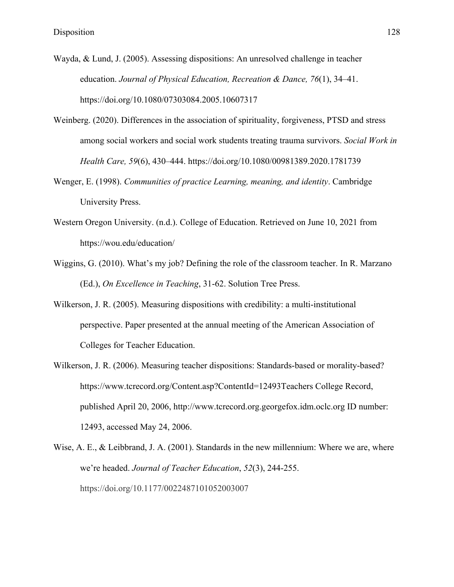- Wayda, & Lund, J. (2005). Assessing dispositions: An unresolved challenge in teacher education. *Journal of Physical Education, Recreation & Dance, 76*(1), 34–41. https://doi.org/10.1080/07303084.2005.10607317
- Weinberg. (2020). Differences in the association of spirituality, forgiveness, PTSD and stress among social workers and social work students treating trauma survivors. *Social Work in Health Care, 59*(6), 430–444. https://doi.org/10.1080/00981389.2020.1781739
- Wenger, E. (1998). *Communities of practice Learning, meaning, and identity*. Cambridge University Press.
- Western Oregon University. (n.d.). College of Education. Retrieved on June 10, 2021 from https://wou.edu/education/
- Wiggins, G. (2010). What's my job? Defining the role of the classroom teacher. In R. Marzano (Ed.), *On Excellence in Teaching*, 31-62. Solution Tree Press.
- Wilkerson, J. R. (2005). Measuring dispositions with credibility: a multi-institutional perspective. Paper presented at the annual meeting of the American Association of Colleges for Teacher Education.
- Wilkerson, J. R. (2006). Measuring teacher dispositions: Standards-based or morality-based? https://www.tcrecord.org/Content.asp?ContentId=12493Teachers College Record, published April 20, 2006, http://www.tcrecord.org.georgefox.idm.oclc.org ID number: 12493, accessed May 24, 2006.
- Wise, A. E., & Leibbrand, J. A. (2001). Standards in the new millennium: Where we are, where we're headed. *Journal of Teacher Education*, *52*(3), 244-255. https://doi.org/10.1177/0022487101052003007